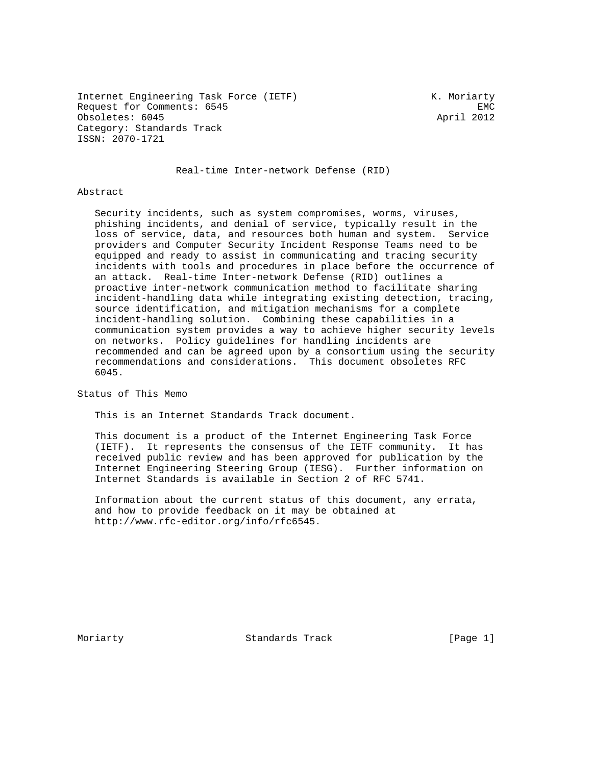Internet Engineering Task Force (IETF) The Muslim K. Moriarty Request for Comments: 6545 EMC Obsoletes: 6045 April 2012 Category: Standards Track ISSN: 2070-1721

Real-time Inter-network Defense (RID)

#### Abstract

 Security incidents, such as system compromises, worms, viruses, phishing incidents, and denial of service, typically result in the loss of service, data, and resources both human and system. Service providers and Computer Security Incident Response Teams need to be equipped and ready to assist in communicating and tracing security incidents with tools and procedures in place before the occurrence of an attack. Real-time Inter-network Defense (RID) outlines a proactive inter-network communication method to facilitate sharing incident-handling data while integrating existing detection, tracing, source identification, and mitigation mechanisms for a complete incident-handling solution. Combining these capabilities in a communication system provides a way to achieve higher security levels on networks. Policy guidelines for handling incidents are recommended and can be agreed upon by a consortium using the security recommendations and considerations. This document obsoletes RFC 6045.

Status of This Memo

This is an Internet Standards Track document.

 This document is a product of the Internet Engineering Task Force (IETF). It represents the consensus of the IETF community. It has received public review and has been approved for publication by the Internet Engineering Steering Group (IESG). Further information on Internet Standards is available in Section 2 of RFC 5741.

 Information about the current status of this document, any errata, and how to provide feedback on it may be obtained at http://www.rfc-editor.org/info/rfc6545.

Moriarty **Standards Track** [Page 1]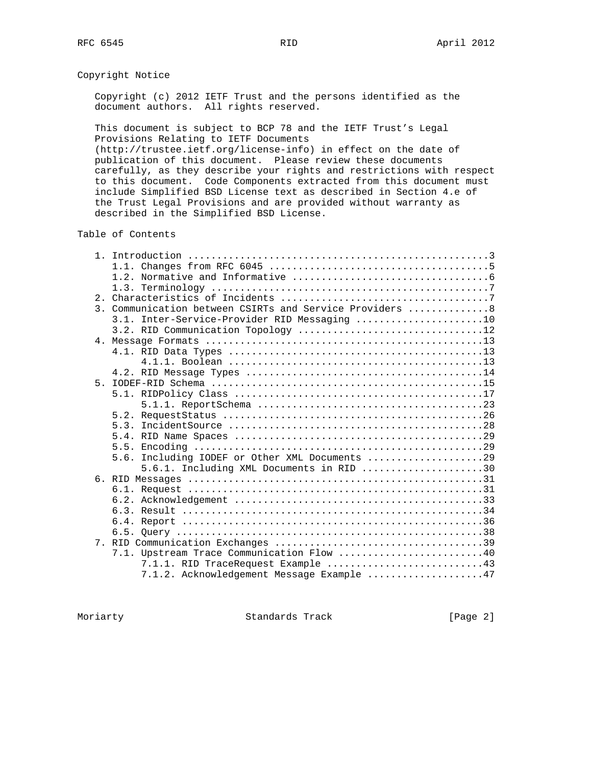# Copyright Notice

 Copyright (c) 2012 IETF Trust and the persons identified as the document authors. All rights reserved.

 This document is subject to BCP 78 and the IETF Trust's Legal Provisions Relating to IETF Documents

 (http://trustee.ietf.org/license-info) in effect on the date of publication of this document. Please review these documents carefully, as they describe your rights and restrictions with respect to this document. Code Components extracted from this document must include Simplified BSD License text as described in Section 4.e of the Trust Legal Provisions and are provided without warranty as described in the Simplified BSD License.

Table of Contents

|                | 3. Communication between CSIRTs and Service Providers  8 |
|----------------|----------------------------------------------------------|
|                | 3.1. Inter-Service-Provider RID Messaging 10             |
|                | 3.2. RID Communication Topology 12                       |
|                |                                                          |
|                |                                                          |
|                |                                                          |
|                |                                                          |
| $5 -$          |                                                          |
|                |                                                          |
|                |                                                          |
|                |                                                          |
|                |                                                          |
|                |                                                          |
|                |                                                          |
|                | 5.6. Including IODEF or Other XML Documents 29           |
|                | $5.6.1.$ Including XML Documents in RID 30               |
|                |                                                          |
|                |                                                          |
|                |                                                          |
|                |                                                          |
|                |                                                          |
|                |                                                          |
| 7 <sub>1</sub> |                                                          |
|                | 7.1. Upstream Trace Communication Flow 40                |
|                | $7.1.1.$ RID TraceRequest Example 43                     |
|                | 7.1.2. Acknowledgement Message Example 47                |

Moriarty **Standards Track** [Page 2]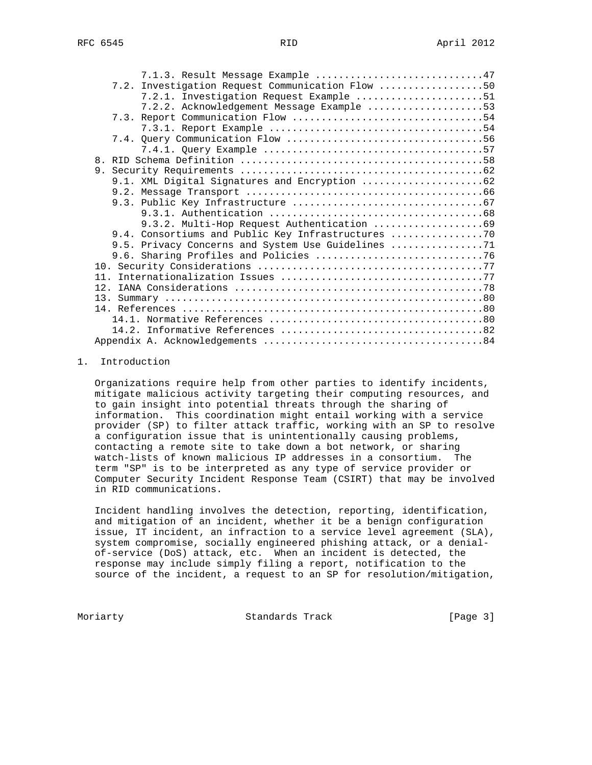| 7.1.3. Result Message Example 47                   |  |
|----------------------------------------------------|--|
| 7.2. Investigation Request Communication Flow 50   |  |
| 7.2.1. Investigation Request Example 51            |  |
| 7.2.2. Acknowledgement Message Example 53          |  |
|                                                    |  |
|                                                    |  |
|                                                    |  |
|                                                    |  |
|                                                    |  |
|                                                    |  |
|                                                    |  |
|                                                    |  |
|                                                    |  |
|                                                    |  |
|                                                    |  |
| 9.4. Consortiums and Public Key Infrastructures    |  |
| 9.5. Privacy Concerns and System Use Guidelines 71 |  |
|                                                    |  |
|                                                    |  |
|                                                    |  |
|                                                    |  |
|                                                    |  |
|                                                    |  |
|                                                    |  |
|                                                    |  |
|                                                    |  |

### 1. Introduction

 Organizations require help from other parties to identify incidents, mitigate malicious activity targeting their computing resources, and to gain insight into potential threats through the sharing of information. This coordination might entail working with a service provider (SP) to filter attack traffic, working with an SP to resolve a configuration issue that is unintentionally causing problems, contacting a remote site to take down a bot network, or sharing watch-lists of known malicious IP addresses in a consortium. The term "SP" is to be interpreted as any type of service provider or Computer Security Incident Response Team (CSIRT) that may be involved in RID communications.

 Incident handling involves the detection, reporting, identification, and mitigation of an incident, whether it be a benign configuration issue, IT incident, an infraction to a service level agreement (SLA), system compromise, socially engineered phishing attack, or a denial of-service (DoS) attack, etc. When an incident is detected, the response may include simply filing a report, notification to the source of the incident, a request to an SP for resolution/mitigation,

Moriarty **Standards Track** [Page 3]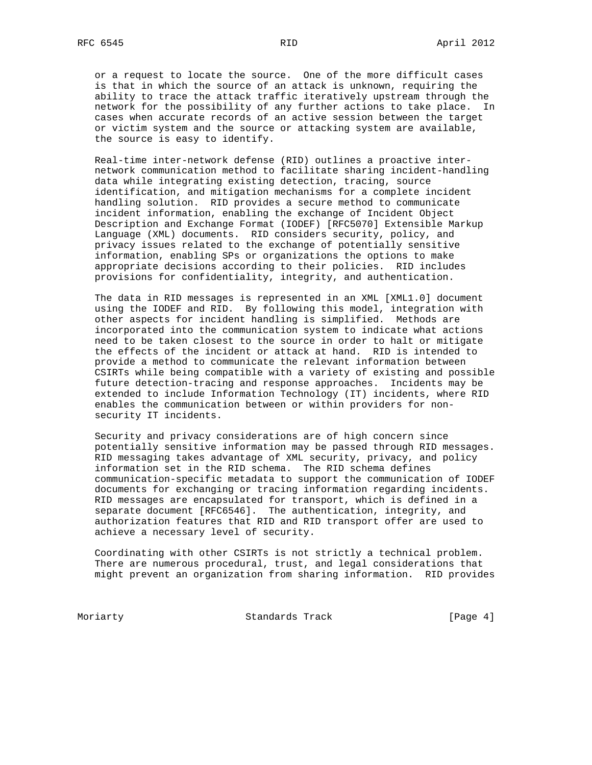or a request to locate the source. One of the more difficult cases is that in which the source of an attack is unknown, requiring the ability to trace the attack traffic iteratively upstream through the network for the possibility of any further actions to take place. In cases when accurate records of an active session between the target or victim system and the source or attacking system are available, the source is easy to identify.

 Real-time inter-network defense (RID) outlines a proactive inter network communication method to facilitate sharing incident-handling data while integrating existing detection, tracing, source identification, and mitigation mechanisms for a complete incident handling solution. RID provides a secure method to communicate incident information, enabling the exchange of Incident Object Description and Exchange Format (IODEF) [RFC5070] Extensible Markup Language (XML) documents. RID considers security, policy, and privacy issues related to the exchange of potentially sensitive information, enabling SPs or organizations the options to make appropriate decisions according to their policies. RID includes provisions for confidentiality, integrity, and authentication.

 The data in RID messages is represented in an XML [XML1.0] document using the IODEF and RID. By following this model, integration with other aspects for incident handling is simplified. Methods are incorporated into the communication system to indicate what actions need to be taken closest to the source in order to halt or mitigate the effects of the incident or attack at hand. RID is intended to provide a method to communicate the relevant information between CSIRTs while being compatible with a variety of existing and possible future detection-tracing and response approaches. Incidents may be extended to include Information Technology (IT) incidents, where RID enables the communication between or within providers for non security IT incidents.

 Security and privacy considerations are of high concern since potentially sensitive information may be passed through RID messages. RID messaging takes advantage of XML security, privacy, and policy information set in the RID schema. The RID schema defines communication-specific metadata to support the communication of IODEF documents for exchanging or tracing information regarding incidents. RID messages are encapsulated for transport, which is defined in a separate document [RFC6546]. The authentication, integrity, and authorization features that RID and RID transport offer are used to achieve a necessary level of security.

 Coordinating with other CSIRTs is not strictly a technical problem. There are numerous procedural, trust, and legal considerations that might prevent an organization from sharing information. RID provides

Moriarty **Standards Track** (Page 4)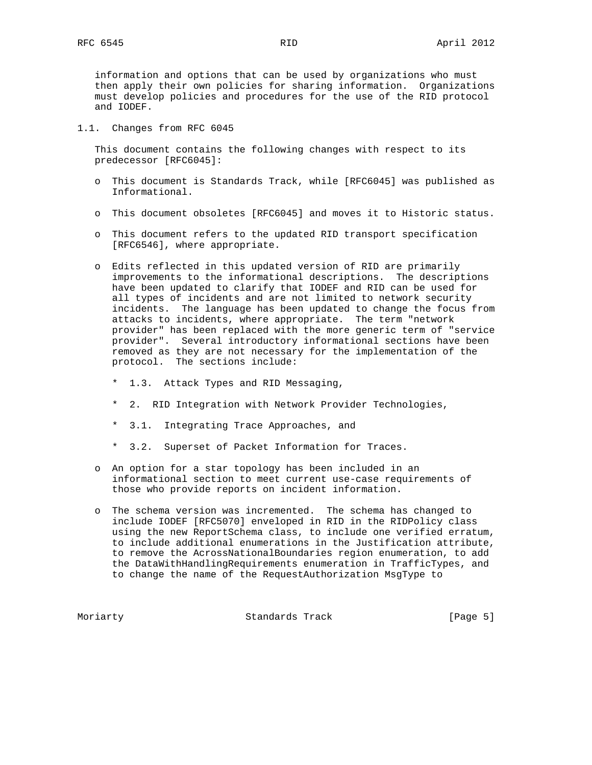information and options that can be used by organizations who must then apply their own policies for sharing information. Organizations must develop policies and procedures for the use of the RID protocol and IODEF.

1.1. Changes from RFC 6045

 This document contains the following changes with respect to its predecessor [RFC6045]:

- o This document is Standards Track, while [RFC6045] was published as Informational.
- o This document obsoletes [RFC6045] and moves it to Historic status.
- o This document refers to the updated RID transport specification [RFC6546], where appropriate.
- o Edits reflected in this updated version of RID are primarily improvements to the informational descriptions. The descriptions have been updated to clarify that IODEF and RID can be used for all types of incidents and are not limited to network security incidents. The language has been updated to change the focus from attacks to incidents, where appropriate. The term "network provider" has been replaced with the more generic term of "service provider". Several introductory informational sections have been removed as they are not necessary for the implementation of the protocol. The sections include:
	- \* 1.3. Attack Types and RID Messaging,
	- \* 2. RID Integration with Network Provider Technologies,
	- 3.1. Integrating Trace Approaches, and
	- \* 3.2. Superset of Packet Information for Traces.
- o An option for a star topology has been included in an informational section to meet current use-case requirements of those who provide reports on incident information.
- o The schema version was incremented. The schema has changed to include IODEF [RFC5070] enveloped in RID in the RIDPolicy class using the new ReportSchema class, to include one verified erratum, to include additional enumerations in the Justification attribute, to remove the AcrossNationalBoundaries region enumeration, to add the DataWithHandlingRequirements enumeration in TrafficTypes, and to change the name of the RequestAuthorization MsgType to

Moriarty **Standards Track** [Page 5]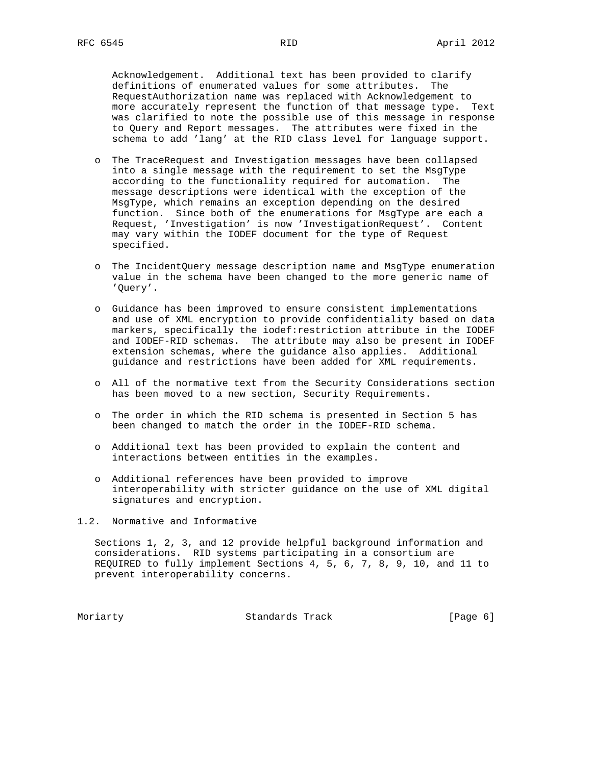Acknowledgement. Additional text has been provided to clarify definitions of enumerated values for some attributes. The RequestAuthorization name was replaced with Acknowledgement to more accurately represent the function of that message type. Text was clarified to note the possible use of this message in response to Query and Report messages. The attributes were fixed in the schema to add 'lang' at the RID class level for language support.

- o The TraceRequest and Investigation messages have been collapsed into a single message with the requirement to set the MsgType according to the functionality required for automation. The message descriptions were identical with the exception of the MsgType, which remains an exception depending on the desired function. Since both of the enumerations for MsgType are each a Request, 'Investigation' is now 'InvestigationRequest'. Content may vary within the IODEF document for the type of Request specified.
- o The IncidentQuery message description name and MsgType enumeration value in the schema have been changed to the more generic name of 'Query'.
- o Guidance has been improved to ensure consistent implementations and use of XML encryption to provide confidentiality based on data markers, specifically the iodef:restriction attribute in the IODEF and IODEF-RID schemas. The attribute may also be present in IODEF extension schemas, where the guidance also applies. Additional guidance and restrictions have been added for XML requirements.
- o All of the normative text from the Security Considerations section has been moved to a new section, Security Requirements.
- o The order in which the RID schema is presented in Section 5 has been changed to match the order in the IODEF-RID schema.
- o Additional text has been provided to explain the content and interactions between entities in the examples.
- o Additional references have been provided to improve interoperability with stricter guidance on the use of XML digital signatures and encryption.
- 1.2. Normative and Informative

 Sections 1, 2, 3, and 12 provide helpful background information and considerations. RID systems participating in a consortium are REQUIRED to fully implement Sections 4, 5, 6, 7, 8, 9, 10, and 11 to prevent interoperability concerns.

Moriarty **Standards Track** [Page 6]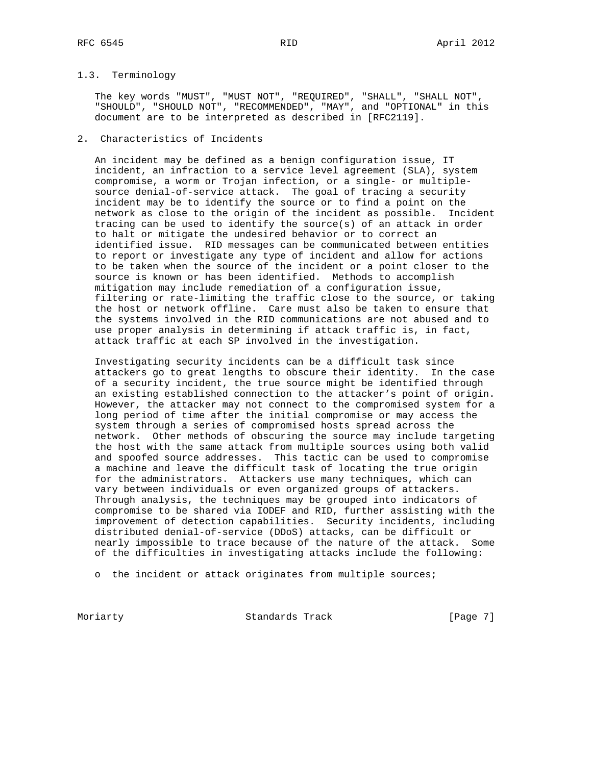# 1.3. Terminology

 The key words "MUST", "MUST NOT", "REQUIRED", "SHALL", "SHALL NOT", "SHOULD", "SHOULD NOT", "RECOMMENDED", "MAY", and "OPTIONAL" in this document are to be interpreted as described in [RFC2119].

# 2. Characteristics of Incidents

 An incident may be defined as a benign configuration issue, IT incident, an infraction to a service level agreement (SLA), system compromise, a worm or Trojan infection, or a single- or multiple source denial-of-service attack. The goal of tracing a security incident may be to identify the source or to find a point on the network as close to the origin of the incident as possible. Incident tracing can be used to identify the source(s) of an attack in order to halt or mitigate the undesired behavior or to correct an identified issue. RID messages can be communicated between entities to report or investigate any type of incident and allow for actions to be taken when the source of the incident or a point closer to the source is known or has been identified. Methods to accomplish mitigation may include remediation of a configuration issue, filtering or rate-limiting the traffic close to the source, or taking the host or network offline. Care must also be taken to ensure that the systems involved in the RID communications are not abused and to use proper analysis in determining if attack traffic is, in fact, attack traffic at each SP involved in the investigation.

 Investigating security incidents can be a difficult task since attackers go to great lengths to obscure their identity. In the case of a security incident, the true source might be identified through an existing established connection to the attacker's point of origin. However, the attacker may not connect to the compromised system for a long period of time after the initial compromise or may access the system through a series of compromised hosts spread across the network. Other methods of obscuring the source may include targeting the host with the same attack from multiple sources using both valid and spoofed source addresses. This tactic can be used to compromise a machine and leave the difficult task of locating the true origin for the administrators. Attackers use many techniques, which can vary between individuals or even organized groups of attackers. Through analysis, the techniques may be grouped into indicators of compromise to be shared via IODEF and RID, further assisting with the improvement of detection capabilities. Security incidents, including distributed denial-of-service (DDoS) attacks, can be difficult or nearly impossible to trace because of the nature of the attack. Some of the difficulties in investigating attacks include the following:

o the incident or attack originates from multiple sources;

Moriarty **Standards Track** [Page 7]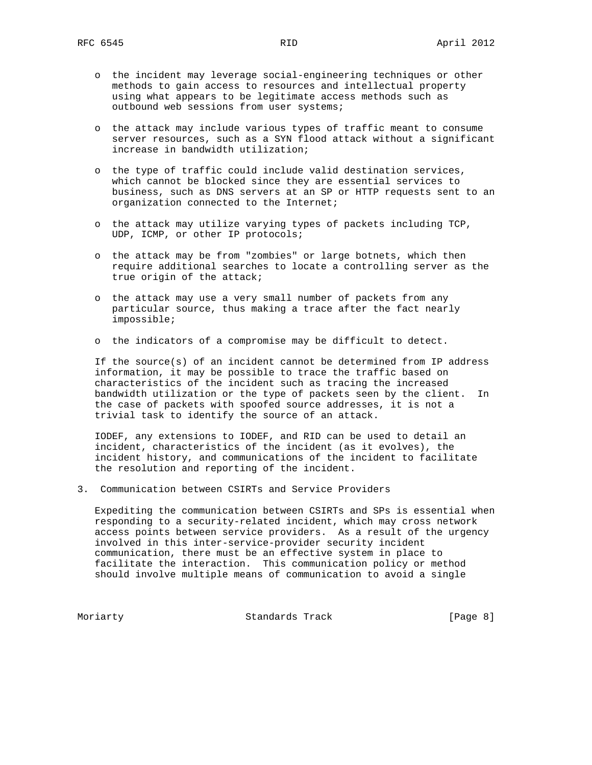- o the incident may leverage social-engineering techniques or other methods to gain access to resources and intellectual property using what appears to be legitimate access methods such as outbound web sessions from user systems;
- o the attack may include various types of traffic meant to consume server resources, such as a SYN flood attack without a significant increase in bandwidth utilization;
- o the type of traffic could include valid destination services, which cannot be blocked since they are essential services to business, such as DNS servers at an SP or HTTP requests sent to an organization connected to the Internet;
- o the attack may utilize varying types of packets including TCP, UDP, ICMP, or other IP protocols;
- o the attack may be from "zombies" or large botnets, which then require additional searches to locate a controlling server as the true origin of the attack;
- o the attack may use a very small number of packets from any particular source, thus making a trace after the fact nearly impossible;
- o the indicators of a compromise may be difficult to detect.

 If the source(s) of an incident cannot be determined from IP address information, it may be possible to trace the traffic based on characteristics of the incident such as tracing the increased bandwidth utilization or the type of packets seen by the client. In the case of packets with spoofed source addresses, it is not a trivial task to identify the source of an attack.

 IODEF, any extensions to IODEF, and RID can be used to detail an incident, characteristics of the incident (as it evolves), the incident history, and communications of the incident to facilitate the resolution and reporting of the incident.

3. Communication between CSIRTs and Service Providers

 Expediting the communication between CSIRTs and SPs is essential when responding to a security-related incident, which may cross network access points between service providers. As a result of the urgency involved in this inter-service-provider security incident communication, there must be an effective system in place to facilitate the interaction. This communication policy or method should involve multiple means of communication to avoid a single

Moriarty **Standards Track** (Page 8)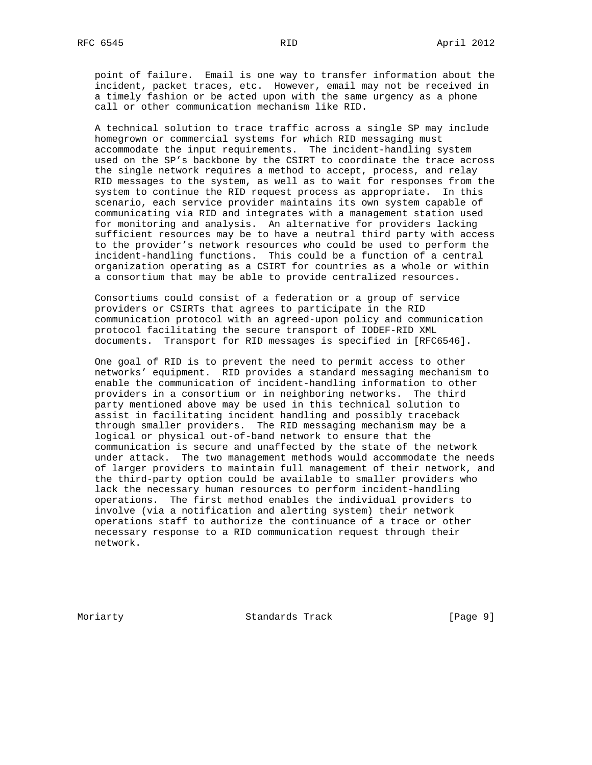point of failure. Email is one way to transfer information about the incident, packet traces, etc. However, email may not be received in a timely fashion or be acted upon with the same urgency as a phone call or other communication mechanism like RID.

 A technical solution to trace traffic across a single SP may include homegrown or commercial systems for which RID messaging must accommodate the input requirements. The incident-handling system used on the SP's backbone by the CSIRT to coordinate the trace across the single network requires a method to accept, process, and relay RID messages to the system, as well as to wait for responses from the system to continue the RID request process as appropriate. In this scenario, each service provider maintains its own system capable of communicating via RID and integrates with a management station used for monitoring and analysis. An alternative for providers lacking sufficient resources may be to have a neutral third party with access to the provider's network resources who could be used to perform the incident-handling functions. This could be a function of a central organization operating as a CSIRT for countries as a whole or within a consortium that may be able to provide centralized resources.

 Consortiums could consist of a federation or a group of service providers or CSIRTs that agrees to participate in the RID communication protocol with an agreed-upon policy and communication protocol facilitating the secure transport of IODEF-RID XML documents. Transport for RID messages is specified in [RFC6546].

 One goal of RID is to prevent the need to permit access to other networks' equipment. RID provides a standard messaging mechanism to enable the communication of incident-handling information to other providers in a consortium or in neighboring networks. The third party mentioned above may be used in this technical solution to assist in facilitating incident handling and possibly traceback through smaller providers. The RID messaging mechanism may be a logical or physical out-of-band network to ensure that the communication is secure and unaffected by the state of the network under attack. The two management methods would accommodate the needs of larger providers to maintain full management of their network, and the third-party option could be available to smaller providers who lack the necessary human resources to perform incident-handling operations. The first method enables the individual providers to involve (via a notification and alerting system) their network operations staff to authorize the continuance of a trace or other necessary response to a RID communication request through their network.

Moriarty **Standards Track** [Page 9]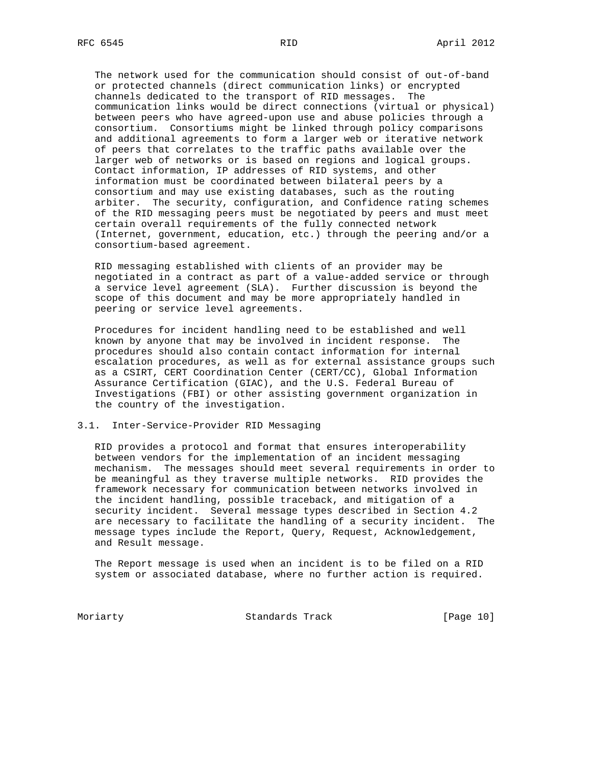The network used for the communication should consist of out-of-band or protected channels (direct communication links) or encrypted channels dedicated to the transport of RID messages. The communication links would be direct connections (virtual or physical) between peers who have agreed-upon use and abuse policies through a consortium. Consortiums might be linked through policy comparisons and additional agreements to form a larger web or iterative network of peers that correlates to the traffic paths available over the larger web of networks or is based on regions and logical groups. Contact information, IP addresses of RID systems, and other information must be coordinated between bilateral peers by a consortium and may use existing databases, such as the routing arbiter. The security, configuration, and Confidence rating schemes of the RID messaging peers must be negotiated by peers and must meet certain overall requirements of the fully connected network (Internet, government, education, etc.) through the peering and/or a consortium-based agreement.

 RID messaging established with clients of an provider may be negotiated in a contract as part of a value-added service or through a service level agreement (SLA). Further discussion is beyond the scope of this document and may be more appropriately handled in peering or service level agreements.

 Procedures for incident handling need to be established and well known by anyone that may be involved in incident response. The procedures should also contain contact information for internal escalation procedures, as well as for external assistance groups such as a CSIRT, CERT Coordination Center (CERT/CC), Global Information Assurance Certification (GIAC), and the U.S. Federal Bureau of Investigations (FBI) or other assisting government organization in the country of the investigation.

# 3.1. Inter-Service-Provider RID Messaging

 RID provides a protocol and format that ensures interoperability between vendors for the implementation of an incident messaging mechanism. The messages should meet several requirements in order to be meaningful as they traverse multiple networks. RID provides the framework necessary for communication between networks involved in the incident handling, possible traceback, and mitigation of a security incident. Several message types described in Section 4.2 are necessary to facilitate the handling of a security incident. The message types include the Report, Query, Request, Acknowledgement, and Result message.

 The Report message is used when an incident is to be filed on a RID system or associated database, where no further action is required.

Moriarty **Standards Track** [Page 10]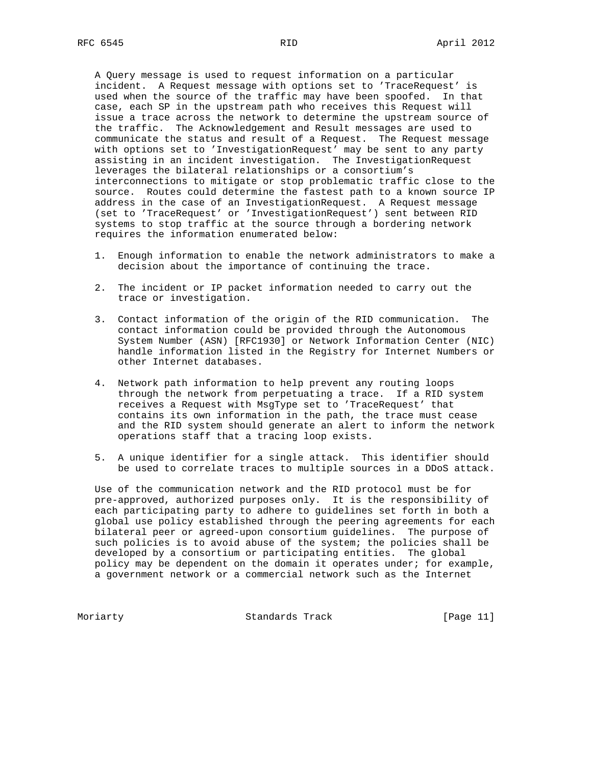A Query message is used to request information on a particular incident. A Request message with options set to 'TraceRequest' is used when the source of the traffic may have been spoofed. In that case, each SP in the upstream path who receives this Request will issue a trace across the network to determine the upstream source of the traffic. The Acknowledgement and Result messages are used to communicate the status and result of a Request. The Request message with options set to 'InvestigationRequest' may be sent to any party assisting in an incident investigation. The InvestigationRequest leverages the bilateral relationships or a consortium's interconnections to mitigate or stop problematic traffic close to the source. Routes could determine the fastest path to a known source IP address in the case of an InvestigationRequest. A Request message (set to 'TraceRequest' or 'InvestigationRequest') sent between RID systems to stop traffic at the source through a bordering network requires the information enumerated below:

- 1. Enough information to enable the network administrators to make a decision about the importance of continuing the trace.
- 2. The incident or IP packet information needed to carry out the trace or investigation.
- 3. Contact information of the origin of the RID communication. The contact information could be provided through the Autonomous System Number (ASN) [RFC1930] or Network Information Center (NIC) handle information listed in the Registry for Internet Numbers or other Internet databases.
- 4. Network path information to help prevent any routing loops through the network from perpetuating a trace. If a RID system receives a Request with MsgType set to 'TraceRequest' that contains its own information in the path, the trace must cease and the RID system should generate an alert to inform the network operations staff that a tracing loop exists.
- 5. A unique identifier for a single attack. This identifier should be used to correlate traces to multiple sources in a DDoS attack.

 Use of the communication network and the RID protocol must be for pre-approved, authorized purposes only. It is the responsibility of each participating party to adhere to guidelines set forth in both a global use policy established through the peering agreements for each bilateral peer or agreed-upon consortium guidelines. The purpose of such policies is to avoid abuse of the system; the policies shall be developed by a consortium or participating entities. The global policy may be dependent on the domain it operates under; for example, a government network or a commercial network such as the Internet

Moriarty **Standards Track** [Page 11]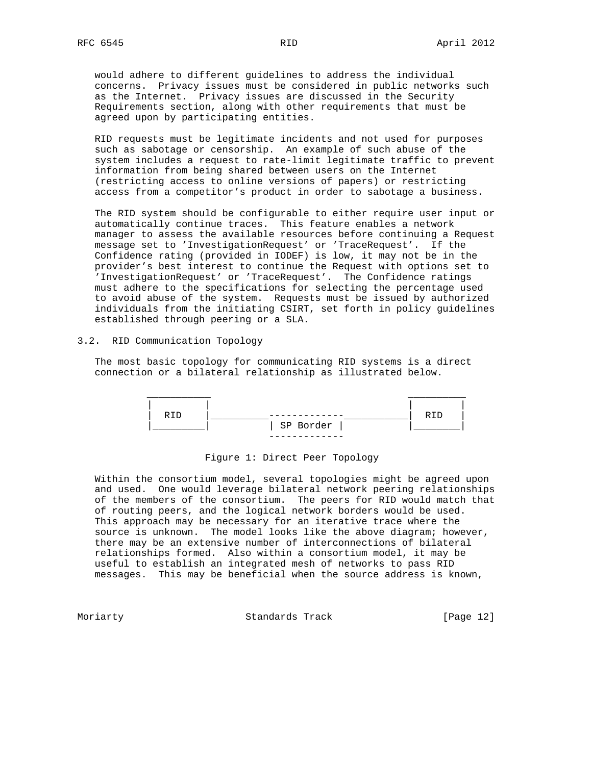would adhere to different guidelines to address the individual concerns. Privacy issues must be considered in public networks such as the Internet. Privacy issues are discussed in the Security Requirements section, along with other requirements that must be agreed upon by participating entities.

 RID requests must be legitimate incidents and not used for purposes such as sabotage or censorship. An example of such abuse of the system includes a request to rate-limit legitimate traffic to prevent information from being shared between users on the Internet (restricting access to online versions of papers) or restricting access from a competitor's product in order to sabotage a business.

 The RID system should be configurable to either require user input or automatically continue traces. This feature enables a network manager to assess the available resources before continuing a Request message set to 'InvestigationRequest' or 'TraceRequest'. If the Confidence rating (provided in IODEF) is low, it may not be in the provider's best interest to continue the Request with options set to 'InvestigationRequest' or 'TraceRequest'. The Confidence ratings must adhere to the specifications for selecting the percentage used to avoid abuse of the system. Requests must be issued by authorized individuals from the initiating CSIRT, set forth in policy guidelines established through peering or a SLA.

# 3.2. RID Communication Topology

 The most basic topology for communicating RID systems is a direct connection or a bilateral relationship as illustrated below.



## Figure 1: Direct Peer Topology

 Within the consortium model, several topologies might be agreed upon and used. One would leverage bilateral network peering relationships of the members of the consortium. The peers for RID would match that of routing peers, and the logical network borders would be used. This approach may be necessary for an iterative trace where the source is unknown. The model looks like the above diagram; however, there may be an extensive number of interconnections of bilateral relationships formed. Also within a consortium model, it may be useful to establish an integrated mesh of networks to pass RID messages. This may be beneficial when the source address is known,

Moriarty **Standards Track** [Page 12]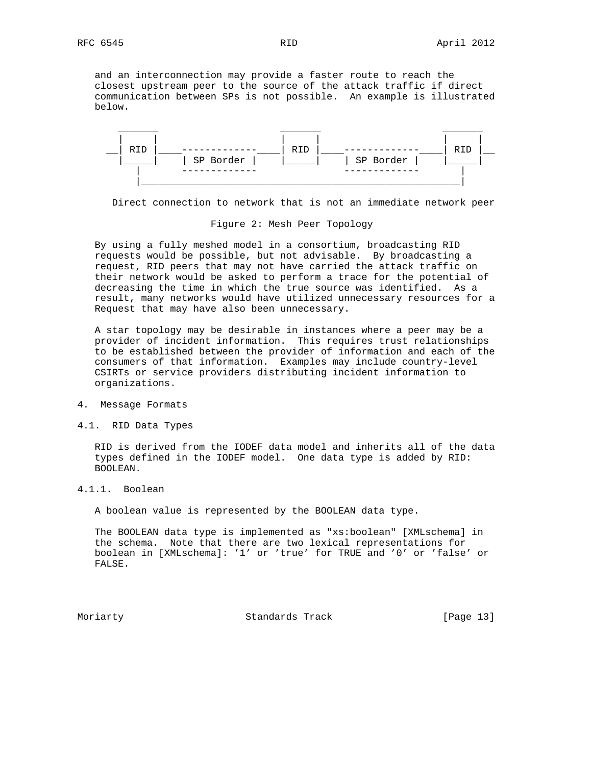and an interconnection may provide a faster route to reach the closest upstream peer to the source of the attack traffic if direct communication between SPs is not possible. An example is illustrated below.



Direct connection to network that is not an immediate network peer

#### Figure 2: Mesh Peer Topology

 By using a fully meshed model in a consortium, broadcasting RID requests would be possible, but not advisable. By broadcasting a request, RID peers that may not have carried the attack traffic on their network would be asked to perform a trace for the potential of decreasing the time in which the true source was identified. As a result, many networks would have utilized unnecessary resources for a Request that may have also been unnecessary.

 A star topology may be desirable in instances where a peer may be a provider of incident information. This requires trust relationships to be established between the provider of information and each of the consumers of that information. Examples may include country-level CSIRTs or service providers distributing incident information to organizations.

### 4. Message Formats

4.1. RID Data Types

 RID is derived from the IODEF data model and inherits all of the data types defined in the IODEF model. One data type is added by RID: BOOLEAN.

# 4.1.1. Boolean

A boolean value is represented by the BOOLEAN data type.

 The BOOLEAN data type is implemented as "xs:boolean" [XMLschema] in the schema. Note that there are two lexical representations for boolean in [XMLschema]: '1' or 'true' for TRUE and '0' or 'false' or FALSE.

Moriarty **Standards Track** [Page 13]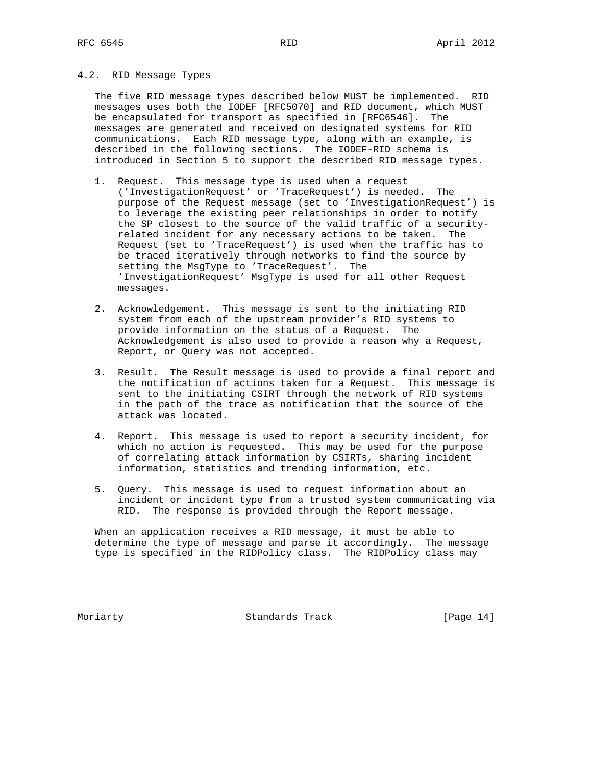# 4.2. RID Message Types

 The five RID message types described below MUST be implemented. RID messages uses both the IODEF [RFC5070] and RID document, which MUST be encapsulated for transport as specified in [RFC6546]. The messages are generated and received on designated systems for RID communications. Each RID message type, along with an example, is described in the following sections. The IODEF-RID schema is introduced in Section 5 to support the described RID message types.

- 1. Request. This message type is used when a request ('InvestigationRequest' or 'TraceRequest') is needed. The purpose of the Request message (set to 'InvestigationRequest') is to leverage the existing peer relationships in order to notify the SP closest to the source of the valid traffic of a security related incident for any necessary actions to be taken. The Request (set to 'TraceRequest') is used when the traffic has to be traced iteratively through networks to find the source by setting the MsgType to 'TraceRequest'. The 'InvestigationRequest' MsgType is used for all other Request messages.
- 2. Acknowledgement. This message is sent to the initiating RID system from each of the upstream provider's RID systems to provide information on the status of a Request. The Acknowledgement is also used to provide a reason why a Request, Report, or Query was not accepted.
- 3. Result. The Result message is used to provide a final report and the notification of actions taken for a Request. This message is sent to the initiating CSIRT through the network of RID systems in the path of the trace as notification that the source of the attack was located.
- 4. Report. This message is used to report a security incident, for which no action is requested. This may be used for the purpose of correlating attack information by CSIRTs, sharing incident information, statistics and trending information, etc.
- 5. Query. This message is used to request information about an incident or incident type from a trusted system communicating via RID. The response is provided through the Report message.

 When an application receives a RID message, it must be able to determine the type of message and parse it accordingly. The message type is specified in the RIDPolicy class. The RIDPolicy class may

Moriarty **Standards Track** [Page 14]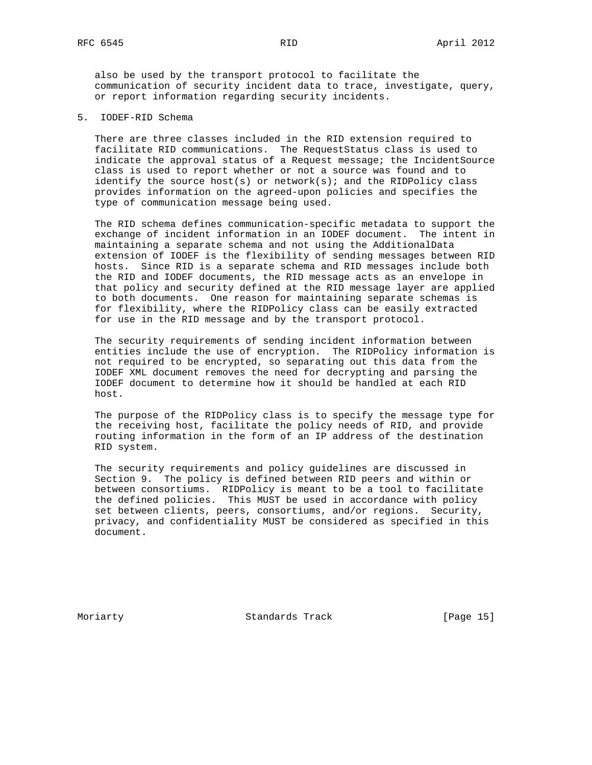also be used by the transport protocol to facilitate the communication of security incident data to trace, investigate, query, or report information regarding security incidents.

5. IODEF-RID Schema

 There are three classes included in the RID extension required to facilitate RID communications. The RequestStatus class is used to indicate the approval status of a Request message; the IncidentSource class is used to report whether or not a source was found and to identify the source host(s) or network(s); and the RIDPolicy class provides information on the agreed-upon policies and specifies the type of communication message being used.

 The RID schema defines communication-specific metadata to support the exchange of incident information in an IODEF document. The intent in maintaining a separate schema and not using the AdditionalData extension of IODEF is the flexibility of sending messages between RID hosts. Since RID is a separate schema and RID messages include both the RID and IODEF documents, the RID message acts as an envelope in that policy and security defined at the RID message layer are applied to both documents. One reason for maintaining separate schemas is for flexibility, where the RIDPolicy class can be easily extracted for use in the RID message and by the transport protocol.

 The security requirements of sending incident information between entities include the use of encryption. The RIDPolicy information is not required to be encrypted, so separating out this data from the IODEF XML document removes the need for decrypting and parsing the IODEF document to determine how it should be handled at each RID host.

 The purpose of the RIDPolicy class is to specify the message type for the receiving host, facilitate the policy needs of RID, and provide routing information in the form of an IP address of the destination RID system.

 The security requirements and policy guidelines are discussed in Section 9. The policy is defined between RID peers and within or between consortiums. RIDPolicy is meant to be a tool to facilitate the defined policies. This MUST be used in accordance with policy set between clients, peers, consortiums, and/or regions. Security, privacy, and confidentiality MUST be considered as specified in this document.

Moriarty **Standards Track** [Page 15]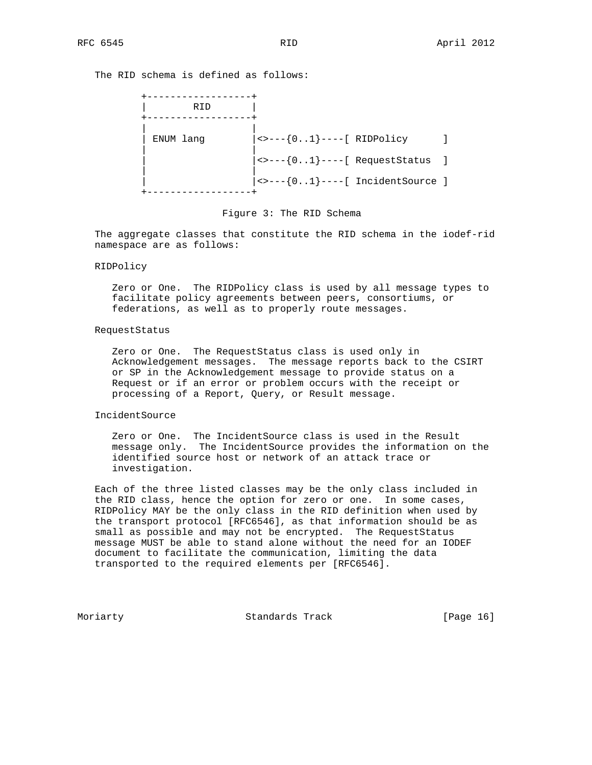The RID schema is defined as follows:



Figure 3: The RID Schema

 The aggregate classes that constitute the RID schema in the iodef-rid namespace are as follows:

## RIDPolicy

 Zero or One. The RIDPolicy class is used by all message types to facilitate policy agreements between peers, consortiums, or federations, as well as to properly route messages.

#### RequestStatus

 Zero or One. The RequestStatus class is used only in Acknowledgement messages. The message reports back to the CSIRT or SP in the Acknowledgement message to provide status on a Request or if an error or problem occurs with the receipt or processing of a Report, Query, or Result message.

# IncidentSource

 Zero or One. The IncidentSource class is used in the Result message only. The IncidentSource provides the information on the identified source host or network of an attack trace or investigation.

 Each of the three listed classes may be the only class included in the RID class, hence the option for zero or one. In some cases, RIDPolicy MAY be the only class in the RID definition when used by the transport protocol [RFC6546], as that information should be as small as possible and may not be encrypted. The RequestStatus message MUST be able to stand alone without the need for an IODEF document to facilitate the communication, limiting the data transported to the required elements per [RFC6546].

Moriarty **Standards Track** [Page 16]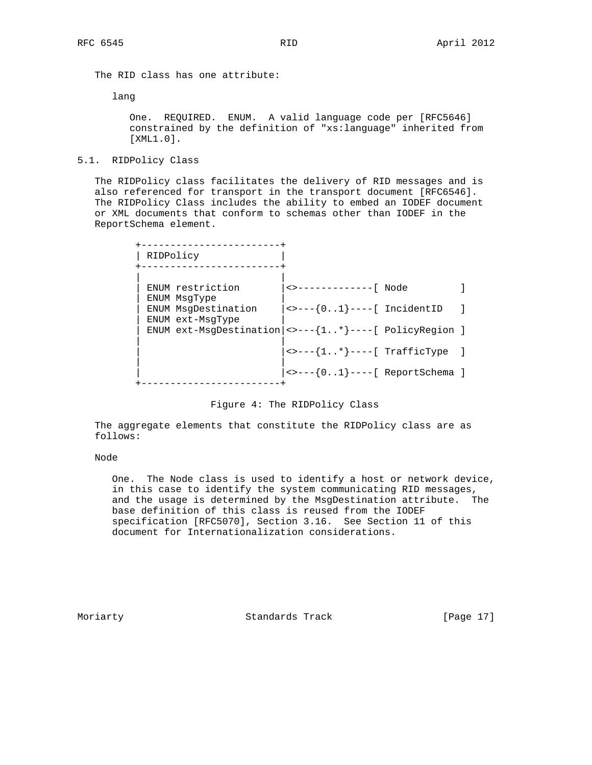The RID class has one attribute:

lang

 One. REQUIRED. ENUM. A valid language code per [RFC5646] constrained by the definition of "xs:language" inherited from [XML1.0].

## 5.1. RIDPolicy Class

 The RIDPolicy class facilitates the delivery of RID messages and is also referenced for transport in the transport document [RFC6546]. The RIDPolicy Class includes the ability to embed an IODEF document or XML documents that conform to schemas other than IODEF in the ReportSchema element.

| RIDPolicy                                                              |                                                                                                                             |  |
|------------------------------------------------------------------------|-----------------------------------------------------------------------------------------------------------------------------|--|
| ENUM restriction<br>ENUM MsqType                                       | <>-------------[ Node                                                                                                       |  |
| ENUM MsqDestination<br>ENUM ext-MsqType                                | $\leftarrow$ ---{01}----[ IncidentID                                                                                        |  |
| ENUM ext-MsgDestination $  \leftarrow - -\{1* \} --- [$ PolicyRegion ] |                                                                                                                             |  |
|                                                                        | $\left  \left\langle \cdot \right\rangle \right  = -\left  \left( \cdot \right) \right $ TrafficType $\left  \cdot \right $ |  |
|                                                                        | $ $ <>---{01}----[ ReportSchema ]                                                                                           |  |
|                                                                        |                                                                                                                             |  |

### Figure 4: The RIDPolicy Class

 The aggregate elements that constitute the RIDPolicy class are as follows:

## Node

 One. The Node class is used to identify a host or network device, in this case to identify the system communicating RID messages, and the usage is determined by the MsgDestination attribute. The base definition of this class is reused from the IODEF specification [RFC5070], Section 3.16. See Section 11 of this document for Internationalization considerations.

Moriarty **Standards Track** [Page 17]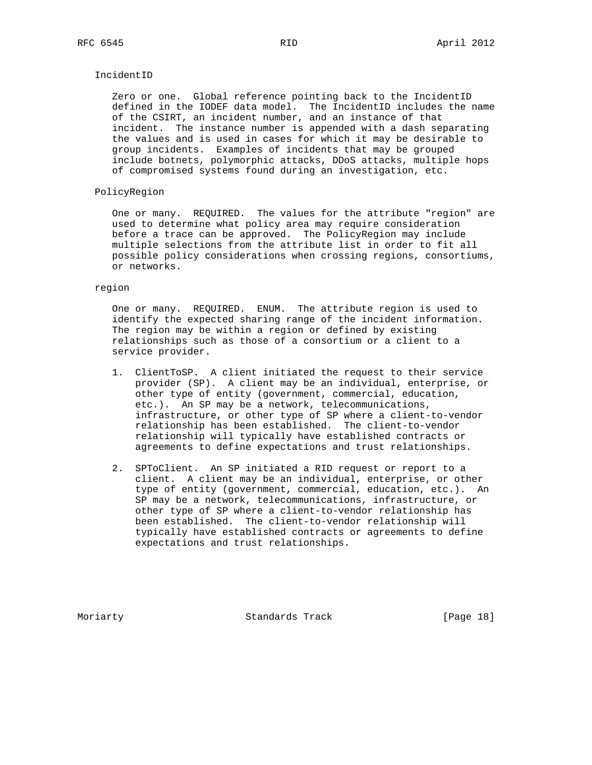#### IncidentID

 Zero or one. Global reference pointing back to the IncidentID defined in the IODEF data model. The IncidentID includes the name of the CSIRT, an incident number, and an instance of that incident. The instance number is appended with a dash separating the values and is used in cases for which it may be desirable to group incidents. Examples of incidents that may be grouped include botnets, polymorphic attacks, DDoS attacks, multiple hops of compromised systems found during an investigation, etc.

# PolicyRegion

 One or many. REQUIRED. The values for the attribute "region" are used to determine what policy area may require consideration before a trace can be approved. The PolicyRegion may include multiple selections from the attribute list in order to fit all possible policy considerations when crossing regions, consortiums, or networks.

#### region

 One or many. REQUIRED. ENUM. The attribute region is used to identify the expected sharing range of the incident information. The region may be within a region or defined by existing relationships such as those of a consortium or a client to a service provider.

- 1. ClientToSP. A client initiated the request to their service provider (SP). A client may be an individual, enterprise, or other type of entity (government, commercial, education, etc.). An SP may be a network, telecommunications, infrastructure, or other type of SP where a client-to-vendor relationship has been established. The client-to-vendor relationship will typically have established contracts or agreements to define expectations and trust relationships.
- 2. SPToClient. An SP initiated a RID request or report to a client. A client may be an individual, enterprise, or other type of entity (government, commercial, education, etc.). An SP may be a network, telecommunications, infrastructure, or other type of SP where a client-to-vendor relationship has been established. The client-to-vendor relationship will typically have established contracts or agreements to define expectations and trust relationships.

Moriarty **Standards Track** [Page 18]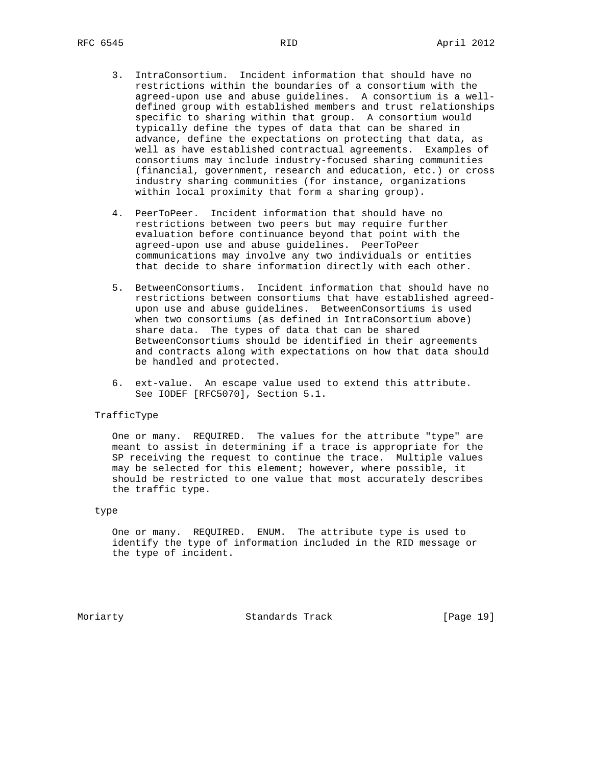- 3. IntraConsortium. Incident information that should have no restrictions within the boundaries of a consortium with the agreed-upon use and abuse guidelines. A consortium is a well defined group with established members and trust relationships specific to sharing within that group. A consortium would typically define the types of data that can be shared in advance, define the expectations on protecting that data, as well as have established contractual agreements. Examples of consortiums may include industry-focused sharing communities (financial, government, research and education, etc.) or cross industry sharing communities (for instance, organizations within local proximity that form a sharing group).
- 4. PeerToPeer. Incident information that should have no restrictions between two peers but may require further evaluation before continuance beyond that point with the agreed-upon use and abuse guidelines. PeerToPeer communications may involve any two individuals or entities that decide to share information directly with each other.
- 5. BetweenConsortiums. Incident information that should have no restrictions between consortiums that have established agreed upon use and abuse guidelines. BetweenConsortiums is used when two consortiums (as defined in IntraConsortium above) share data. The types of data that can be shared BetweenConsortiums should be identified in their agreements and contracts along with expectations on how that data should be handled and protected.
- 6. ext-value. An escape value used to extend this attribute. See IODEF [RFC5070], Section 5.1.

### TrafficType

 One or many. REQUIRED. The values for the attribute "type" are meant to assist in determining if a trace is appropriate for the SP receiving the request to continue the trace. Multiple values may be selected for this element; however, where possible, it should be restricted to one value that most accurately describes the traffic type.

### type

 One or many. REQUIRED. ENUM. The attribute type is used to identify the type of information included in the RID message or the type of incident.

Moriarty **Standards Track** [Page 19]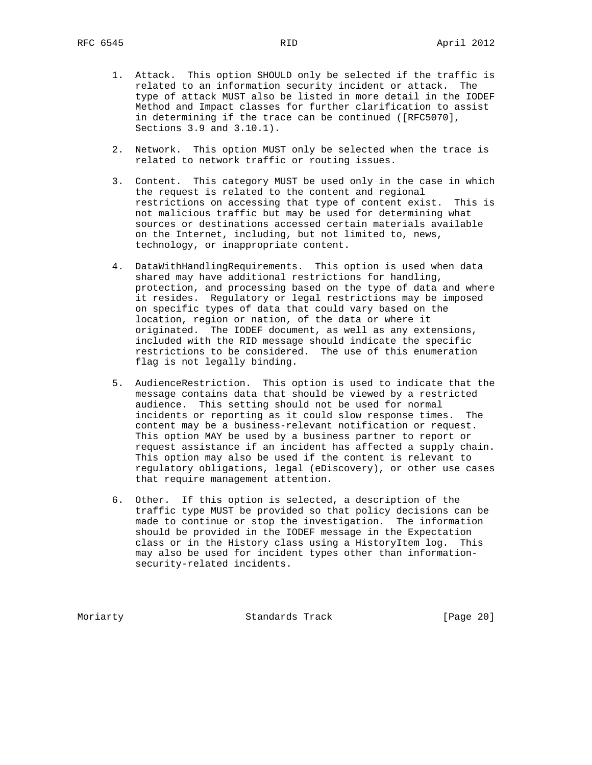- 1. Attack. This option SHOULD only be selected if the traffic is related to an information security incident or attack. The type of attack MUST also be listed in more detail in the IODEF Method and Impact classes for further clarification to assist in determining if the trace can be continued ([RFC5070], Sections 3.9 and 3.10.1).
- 2. Network. This option MUST only be selected when the trace is related to network traffic or routing issues.
- 3. Content. This category MUST be used only in the case in which the request is related to the content and regional restrictions on accessing that type of content exist. This is not malicious traffic but may be used for determining what sources or destinations accessed certain materials available on the Internet, including, but not limited to, news, technology, or inappropriate content.
- 4. DataWithHandlingRequirements. This option is used when data shared may have additional restrictions for handling, protection, and processing based on the type of data and where it resides. Regulatory or legal restrictions may be imposed on specific types of data that could vary based on the location, region or nation, of the data or where it originated. The IODEF document, as well as any extensions, included with the RID message should indicate the specific restrictions to be considered. The use of this enumeration flag is not legally binding.
- 5. AudienceRestriction. This option is used to indicate that the message contains data that should be viewed by a restricted audience. This setting should not be used for normal incidents or reporting as it could slow response times. The content may be a business-relevant notification or request. This option MAY be used by a business partner to report or request assistance if an incident has affected a supply chain. This option may also be used if the content is relevant to regulatory obligations, legal (eDiscovery), or other use cases that require management attention.
- 6. Other. If this option is selected, a description of the traffic type MUST be provided so that policy decisions can be made to continue or stop the investigation. The information should be provided in the IODEF message in the Expectation class or in the History class using a HistoryItem log. This may also be used for incident types other than information security-related incidents.

Moriarty **Standards Track** [Page 20]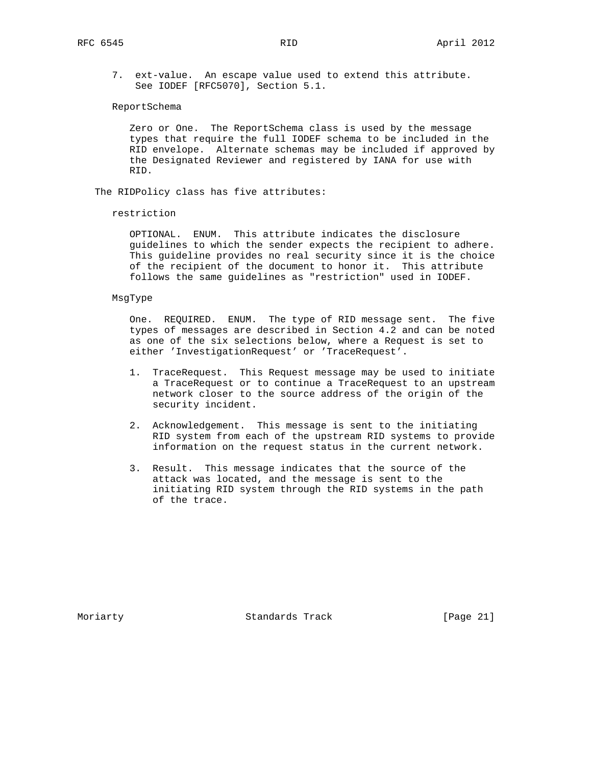7. ext-value. An escape value used to extend this attribute. See IODEF [RFC5070], Section 5.1.

ReportSchema

 Zero or One. The ReportSchema class is used by the message types that require the full IODEF schema to be included in the RID envelope. Alternate schemas may be included if approved by the Designated Reviewer and registered by IANA for use with RID.

The RIDPolicy class has five attributes:

restriction

 OPTIONAL. ENUM. This attribute indicates the disclosure guidelines to which the sender expects the recipient to adhere. This guideline provides no real security since it is the choice of the recipient of the document to honor it. This attribute follows the same guidelines as "restriction" used in IODEF.

#### MsgType

 One. REQUIRED. ENUM. The type of RID message sent. The five types of messages are described in Section 4.2 and can be noted as one of the six selections below, where a Request is set to either 'InvestigationRequest' or 'TraceRequest'.

- 1. TraceRequest. This Request message may be used to initiate a TraceRequest or to continue a TraceRequest to an upstream network closer to the source address of the origin of the security incident.
- 2. Acknowledgement. This message is sent to the initiating RID system from each of the upstream RID systems to provide information on the request status in the current network.
- 3. Result. This message indicates that the source of the attack was located, and the message is sent to the initiating RID system through the RID systems in the path of the trace.

Moriarty **Standards Track** [Page 21]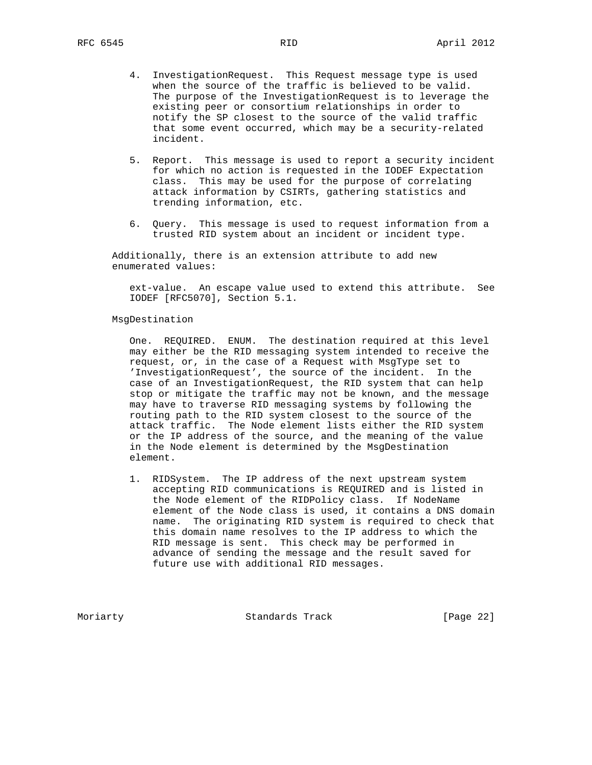- 5. Report. This message is used to report a security incident for which no action is requested in the IODEF Expectation class. This may be used for the purpose of correlating attack information by CSIRTs, gathering statistics and trending information, etc.
- 6. Query. This message is used to request information from a trusted RID system about an incident or incident type.

 Additionally, there is an extension attribute to add new enumerated values:

 ext-value. An escape value used to extend this attribute. See IODEF [RFC5070], Section 5.1.

## MsgDestination

 One. REQUIRED. ENUM. The destination required at this level may either be the RID messaging system intended to receive the request, or, in the case of a Request with MsgType set to 'InvestigationRequest', the source of the incident. In the case of an InvestigationRequest, the RID system that can help stop or mitigate the traffic may not be known, and the message may have to traverse RID messaging systems by following the routing path to the RID system closest to the source of the attack traffic. The Node element lists either the RID system or the IP address of the source, and the meaning of the value in the Node element is determined by the MsgDestination element.

 1. RIDSystem. The IP address of the next upstream system accepting RID communications is REQUIRED and is listed in the Node element of the RIDPolicy class. If NodeName element of the Node class is used, it contains a DNS domain name. The originating RID system is required to check that this domain name resolves to the IP address to which the RID message is sent. This check may be performed in advance of sending the message and the result saved for future use with additional RID messages.

Moriarty **Standards Track** [Page 22]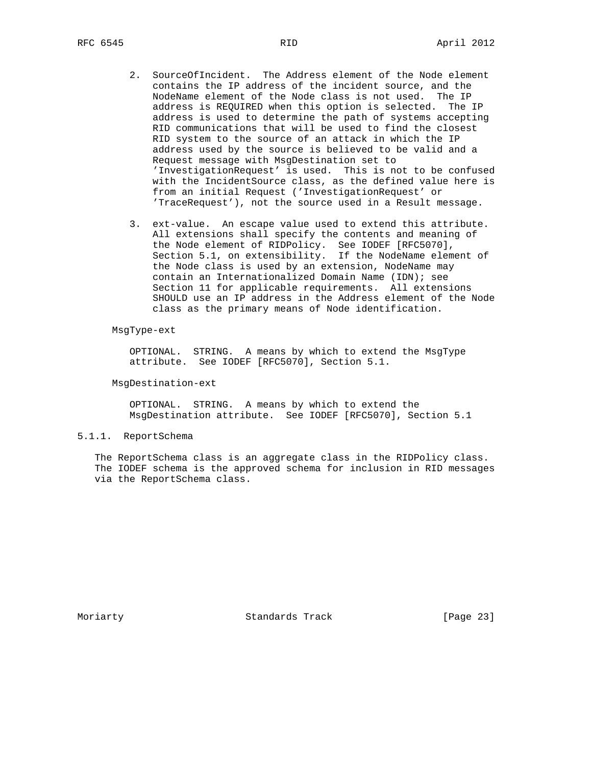- 2. SourceOfIncident. The Address element of the Node element contains the IP address of the incident source, and the NodeName element of the Node class is not used. The IP address is REQUIRED when this option is selected. The IP address is used to determine the path of systems accepting RID communications that will be used to find the closest RID system to the source of an attack in which the IP address used by the source is believed to be valid and a Request message with MsgDestination set to 'InvestigationRequest' is used. This is not to be confused with the IncidentSource class, as the defined value here is from an initial Request ('InvestigationRequest' or 'TraceRequest'), not the source used in a Result message.
- 3. ext-value. An escape value used to extend this attribute. All extensions shall specify the contents and meaning of the Node element of RIDPolicy. See IODEF [RFC5070], Section 5.1, on extensibility. If the NodeName element of the Node class is used by an extension, NodeName may contain an Internationalized Domain Name (IDN); see Section 11 for applicable requirements. All extensions SHOULD use an IP address in the Address element of the Node class as the primary means of Node identification.

#### MsgType-ext

 OPTIONAL. STRING. A means by which to extend the MsgType attribute. See IODEF [RFC5070], Section 5.1.

MsgDestination-ext

 OPTIONAL. STRING. A means by which to extend the MsgDestination attribute. See IODEF [RFC5070], Section 5.1

# 5.1.1. ReportSchema

 The ReportSchema class is an aggregate class in the RIDPolicy class. The IODEF schema is the approved schema for inclusion in RID messages via the ReportSchema class.

Moriarty **Standards Track** [Page 23]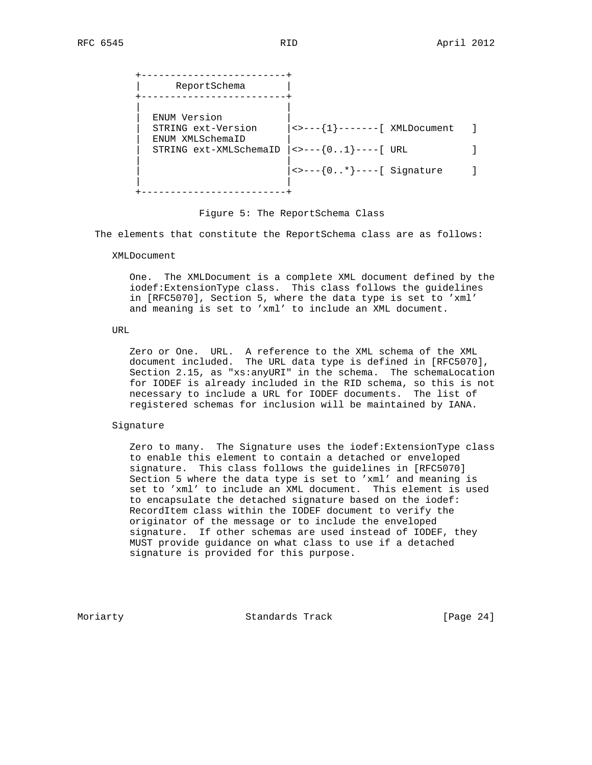+-------------------------+ | ReportSchema | +-------------------------+ | | ENUM Version | STRING ext-Version |<>---{1}-------[ XMLDocument ] | ENUM XMLSchemaID | | STRING ext-XMLSchemaID |<>---{0..1}----[ URL ] | |  $|\left\langle \rightarrow \left\{ 0..* \right\} \right\rangle$  ----[ Signature ] | | +-------------------------+

Figure 5: The ReportSchema Class

The elements that constitute the ReportSchema class are as follows:

XMLDocument

 One. The XMLDocument is a complete XML document defined by the iodef:ExtensionType class. This class follows the guidelines in [RFC5070], Section 5, where the data type is set to 'xml' and meaning is set to 'xml' to include an XML document.

URL

 Zero or One. URL. A reference to the XML schema of the XML document included. The URL data type is defined in [RFC5070], Section 2.15, as "xs:anyURI" in the schema. The schemaLocation for IODEF is already included in the RID schema, so this is not necessary to include a URL for IODEF documents. The list of registered schemas for inclusion will be maintained by IANA.

#### Signature

 Zero to many. The Signature uses the iodef:ExtensionType class to enable this element to contain a detached or enveloped signature. This class follows the guidelines in [RFC5070] Section 5 where the data type is set to 'xml' and meaning is set to 'xml' to include an XML document. This element is used to encapsulate the detached signature based on the iodef: RecordItem class within the IODEF document to verify the originator of the message or to include the enveloped signature. If other schemas are used instead of IODEF, they MUST provide guidance on what class to use if a detached signature is provided for this purpose.

Moriarty **Standards Track** [Page 24]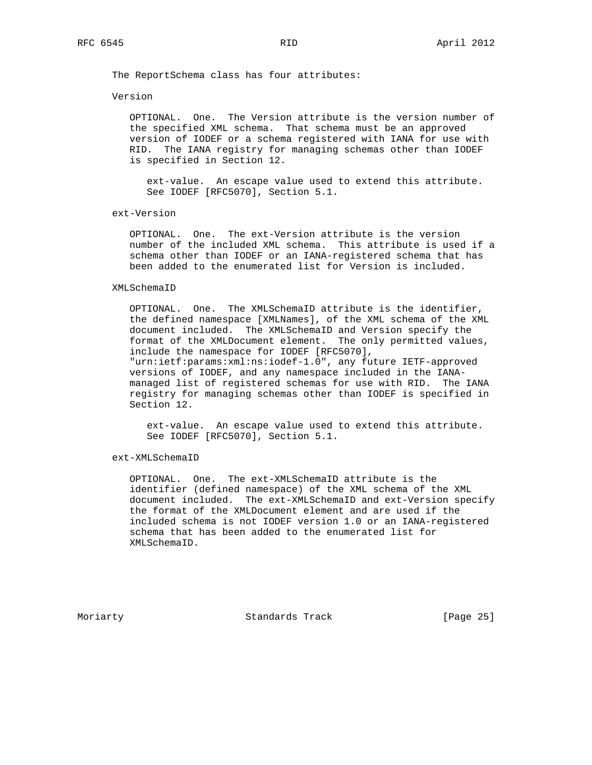The ReportSchema class has four attributes:

Version

 OPTIONAL. One. The Version attribute is the version number of the specified XML schema. That schema must be an approved version of IODEF or a schema registered with IANA for use with RID. The IANA registry for managing schemas other than IODEF is specified in Section 12.

 ext-value. An escape value used to extend this attribute. See IODEF [RFC5070], Section 5.1.

ext-Version

 OPTIONAL. One. The ext-Version attribute is the version number of the included XML schema. This attribute is used if a schema other than IODEF or an IANA-registered schema that has been added to the enumerated list for Version is included.

#### XMLSchemaID

 OPTIONAL. One. The XMLSchemaID attribute is the identifier, the defined namespace [XMLNames], of the XML schema of the XML document included. The XMLSchemaID and Version specify the format of the XMLDocument element. The only permitted values, include the namespace for IODEF [RFC5070], "urn:ietf:params:xml:ns:iodef-1.0", any future IETF-approved versions of IODEF, and any namespace included in the IANA managed list of registered schemas for use with RID. The IANA registry for managing schemas other than IODEF is specified in Section 12.

 ext-value. An escape value used to extend this attribute. See IODEF [RFC5070], Section 5.1.

ext-XMLSchemaID

 OPTIONAL. One. The ext-XMLSchemaID attribute is the identifier (defined namespace) of the XML schema of the XML document included. The ext-XMLSchemaID and ext-Version specify the format of the XMLDocument element and are used if the included schema is not IODEF version 1.0 or an IANA-registered schema that has been added to the enumerated list for XMLSchemaID.

Moriarty **Standards Track** [Page 25]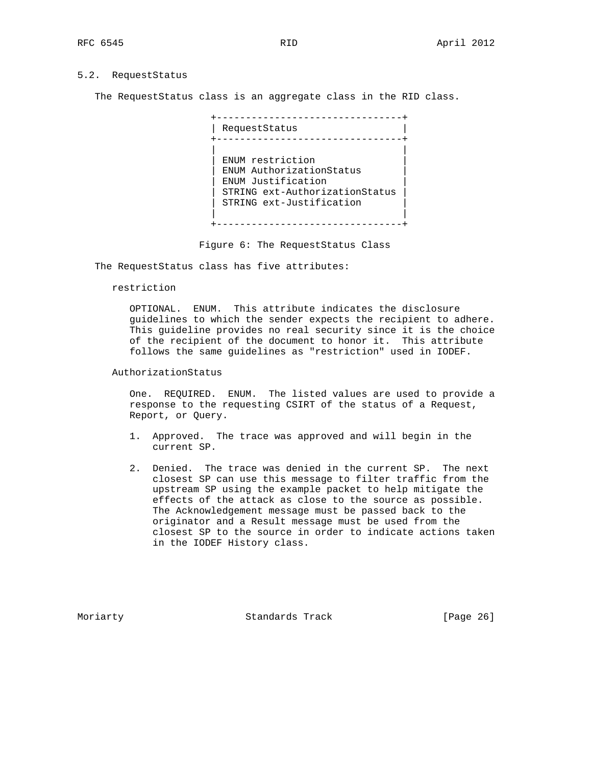# 5.2. RequestStatus

The RequestStatus class is an aggregate class in the RID class.

 +--------------------------------+ | RequestStatus | +--------------------------------+ | | ENUM restriction | ENUM AuthorizationStatus | ENUM Justification | STRING ext-AuthorizationStatus | STRING ext-Justification | | +--------------------------------+

Figure 6: The RequestStatus Class

The RequestStatus class has five attributes:

restriction

 OPTIONAL. ENUM. This attribute indicates the disclosure guidelines to which the sender expects the recipient to adhere. This guideline provides no real security since it is the choice of the recipient of the document to honor it. This attribute follows the same guidelines as "restriction" used in IODEF.

AuthorizationStatus

 One. REQUIRED. ENUM. The listed values are used to provide a response to the requesting CSIRT of the status of a Request, Report, or Query.

- 1. Approved. The trace was approved and will begin in the current SP.
- 2. Denied. The trace was denied in the current SP. The next closest SP can use this message to filter traffic from the upstream SP using the example packet to help mitigate the effects of the attack as close to the source as possible. The Acknowledgement message must be passed back to the originator and a Result message must be used from the closest SP to the source in order to indicate actions taken in the IODEF History class.

Moriarty **Standards Track** [Page 26]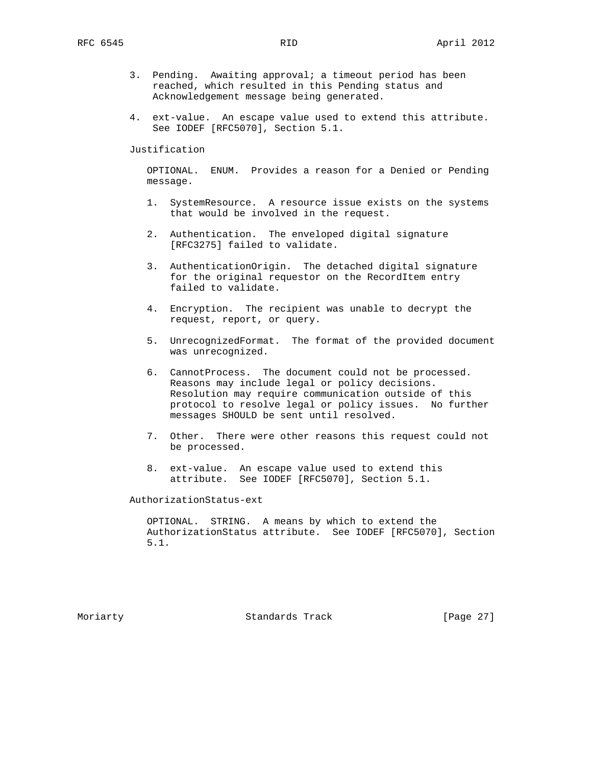- 3. Pending. Awaiting approval; a timeout period has been reached, which resulted in this Pending status and Acknowledgement message being generated.
- 4. ext-value. An escape value used to extend this attribute. See IODEF [RFC5070], Section 5.1.

Justification

 OPTIONAL. ENUM. Provides a reason for a Denied or Pending message.

- 1. SystemResource. A resource issue exists on the systems that would be involved in the request.
- 2. Authentication. The enveloped digital signature [RFC3275] failed to validate.
- 3. AuthenticationOrigin. The detached digital signature for the original requestor on the RecordItem entry failed to validate.
- 4. Encryption. The recipient was unable to decrypt the request, report, or query.
- 5. UnrecognizedFormat. The format of the provided document was unrecognized.
- 6. CannotProcess. The document could not be processed. Reasons may include legal or policy decisions. Resolution may require communication outside of this protocol to resolve legal or policy issues. No further messages SHOULD be sent until resolved.
- 7. Other. There were other reasons this request could not be processed.
- 8. ext-value. An escape value used to extend this attribute. See IODEF [RFC5070], Section 5.1.

AuthorizationStatus-ext

 OPTIONAL. STRING. A means by which to extend the AuthorizationStatus attribute. See IODEF [RFC5070], Section 5.1.

Moriarty **Standards Track** [Page 27]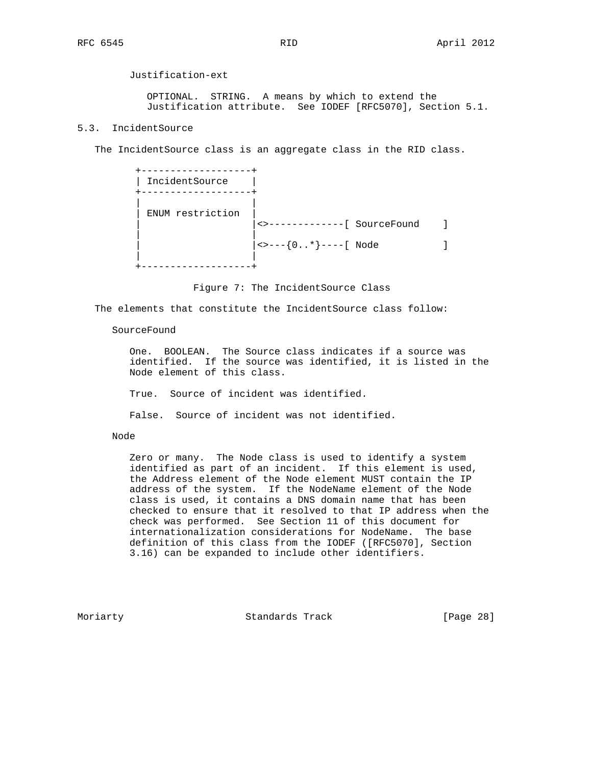Justification-ext

 OPTIONAL. STRING. A means by which to extend the Justification attribute. See IODEF [RFC5070], Section 5.1.

# 5.3. IncidentSource

The IncidentSource class is an aggregate class in the RID class.

 +-------------------+ | IncidentSource | +-------------------+ | | | ENUM restriction | | <>-------------[ SourceFound ] | |  $|\left\langle \rightarrow \left[0..* \right] \right\rangle$ ----[ Node ] | | +-------------------+

Figure 7: The IncidentSource Class

The elements that constitute the IncidentSource class follow:

SourceFound

 One. BOOLEAN. The Source class indicates if a source was identified. If the source was identified, it is listed in the Node element of this class.

True. Source of incident was identified.

False. Source of incident was not identified.

# Node

 Zero or many. The Node class is used to identify a system identified as part of an incident. If this element is used, the Address element of the Node element MUST contain the IP address of the system. If the NodeName element of the Node class is used, it contains a DNS domain name that has been checked to ensure that it resolved to that IP address when the check was performed. See Section 11 of this document for internationalization considerations for NodeName. The base definition of this class from the IODEF ([RFC5070], Section 3.16) can be expanded to include other identifiers.

Moriarty **Standards Track** [Page 28]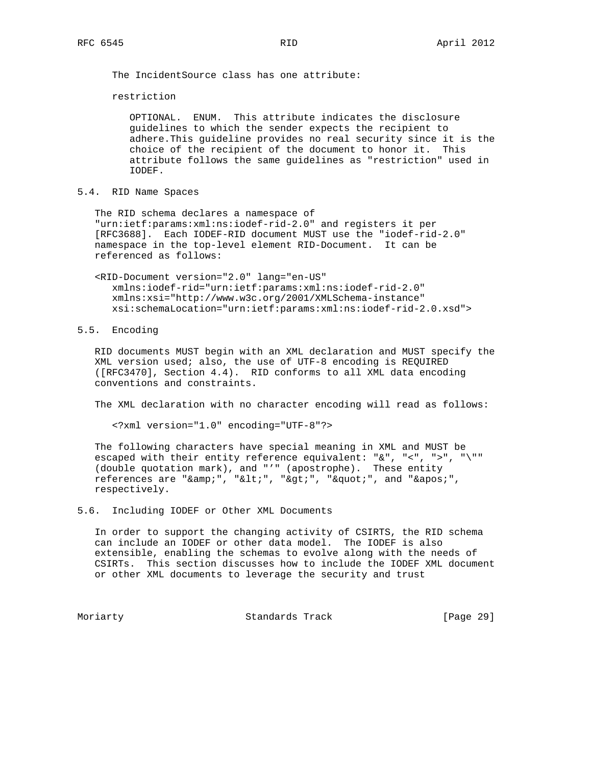The IncidentSource class has one attribute:

restriction

 OPTIONAL. ENUM. This attribute indicates the disclosure guidelines to which the sender expects the recipient to adhere.This guideline provides no real security since it is the choice of the recipient of the document to honor it. This attribute follows the same guidelines as "restriction" used in IODEF.

5.4. RID Name Spaces

 The RID schema declares a namespace of "urn:ietf:params:xml:ns:iodef-rid-2.0" and registers it per [RFC3688]. Each IODEF-RID document MUST use the "iodef-rid-2.0" namespace in the top-level element RID-Document. It can be referenced as follows:

 <RID-Document version="2.0" lang="en-US" xmlns:iodef-rid="urn:ietf:params:xml:ns:iodef-rid-2.0" xmlns:xsi="http://www.w3c.org/2001/XMLSchema-instance" xsi:schemaLocation="urn:ietf:params:xml:ns:iodef-rid-2.0.xsd">

5.5. Encoding

 RID documents MUST begin with an XML declaration and MUST specify the XML version used; also, the use of UTF-8 encoding is REQUIRED ([RFC3470], Section 4.4). RID conforms to all XML data encoding conventions and constraints.

The XML declaration with no character encoding will read as follows:

<?xml version="1.0" encoding="UTF-8"?>

 The following characters have special meaning in XML and MUST be escaped with their entity reference equivalent: "&", "<", ">", "\"" (double quotation mark), and "'" (apostrophe). These entity references are " $\&$ amp;", " $\&$ It;", " $\>$ ;", " $\&$ quot;", and " $\&$ apos;", respectively.

5.6. Including IODEF or Other XML Documents

 In order to support the changing activity of CSIRTS, the RID schema can include an IODEF or other data model. The IODEF is also extensible, enabling the schemas to evolve along with the needs of CSIRTs. This section discusses how to include the IODEF XML document or other XML documents to leverage the security and trust

Moriarty Standards Track [Page 29]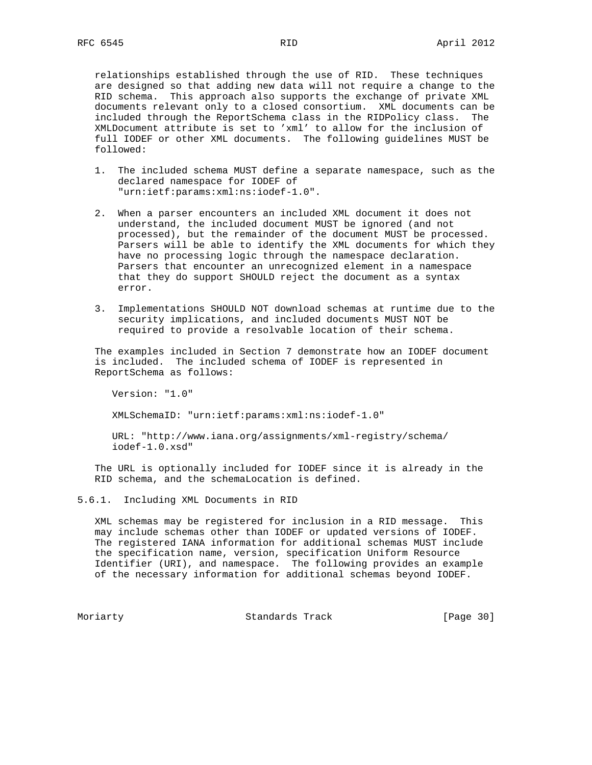relationships established through the use of RID. These techniques are designed so that adding new data will not require a change to the RID schema. This approach also supports the exchange of private XML documents relevant only to a closed consortium. XML documents can be included through the ReportSchema class in the RIDPolicy class. The XMLDocument attribute is set to 'xml' to allow for the inclusion of full IODEF or other XML documents. The following guidelines MUST be followed:

- 1. The included schema MUST define a separate namespace, such as the declared namespace for IODEF of "urn:ietf:params:xml:ns:iodef-1.0".
- 2. When a parser encounters an included XML document it does not understand, the included document MUST be ignored (and not processed), but the remainder of the document MUST be processed. Parsers will be able to identify the XML documents for which they have no processing logic through the namespace declaration. Parsers that encounter an unrecognized element in a namespace that they do support SHOULD reject the document as a syntax error.
- 3. Implementations SHOULD NOT download schemas at runtime due to the security implications, and included documents MUST NOT be required to provide a resolvable location of their schema.

 The examples included in Section 7 demonstrate how an IODEF document is included. The included schema of IODEF is represented in ReportSchema as follows:

Version: "1.0"

XMLSchemaID: "urn:ietf:params:xml:ns:iodef-1.0"

 URL: "http://www.iana.org/assignments/xml-registry/schema/ iodef-1.0.xsd"

 The URL is optionally included for IODEF since it is already in the RID schema, and the schemaLocation is defined.

### 5.6.1. Including XML Documents in RID

 XML schemas may be registered for inclusion in a RID message. This may include schemas other than IODEF or updated versions of IODEF. The registered IANA information for additional schemas MUST include the specification name, version, specification Uniform Resource Identifier (URI), and namespace. The following provides an example of the necessary information for additional schemas beyond IODEF.

Moriarty Standards Track [Page 30]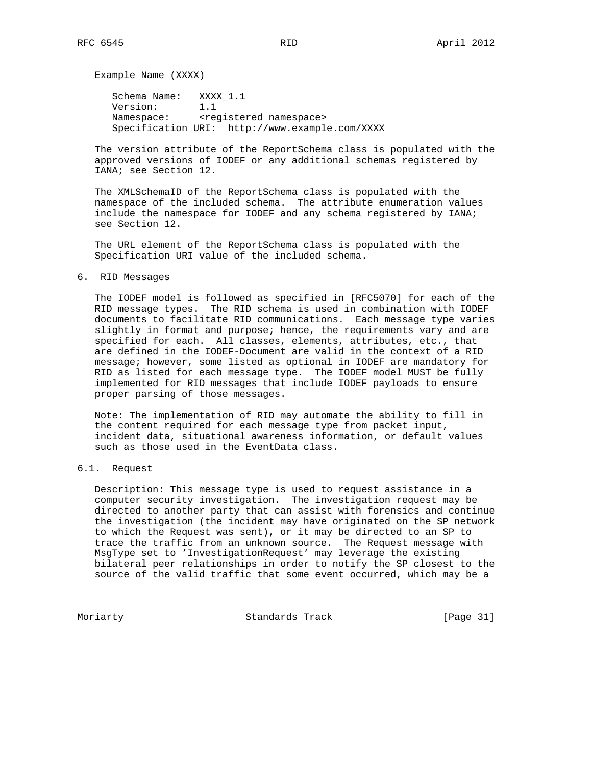Example Name (XXXX)

 Schema Name: XXXX\_1.1 Version: 1.1 Namespace: <registered namespace> Specification URI: http://www.example.com/XXXX

 The version attribute of the ReportSchema class is populated with the approved versions of IODEF or any additional schemas registered by IANA; see Section 12.

 The XMLSchemaID of the ReportSchema class is populated with the namespace of the included schema. The attribute enumeration values include the namespace for IODEF and any schema registered by IANA; see Section 12.

 The URL element of the ReportSchema class is populated with the Specification URI value of the included schema.

6. RID Messages

 The IODEF model is followed as specified in [RFC5070] for each of the RID message types. The RID schema is used in combination with IODEF documents to facilitate RID communications. Each message type varies slightly in format and purpose; hence, the requirements vary and are specified for each. All classes, elements, attributes, etc., that are defined in the IODEF-Document are valid in the context of a RID message; however, some listed as optional in IODEF are mandatory for RID as listed for each message type. The IODEF model MUST be fully implemented for RID messages that include IODEF payloads to ensure proper parsing of those messages.

 Note: The implementation of RID may automate the ability to fill in the content required for each message type from packet input, incident data, situational awareness information, or default values such as those used in the EventData class.

# 6.1. Request

 Description: This message type is used to request assistance in a computer security investigation. The investigation request may be directed to another party that can assist with forensics and continue the investigation (the incident may have originated on the SP network to which the Request was sent), or it may be directed to an SP to trace the traffic from an unknown source. The Request message with MsgType set to 'InvestigationRequest' may leverage the existing bilateral peer relationships in order to notify the SP closest to the source of the valid traffic that some event occurred, which may be a

Moriarty **Standards Track** [Page 31]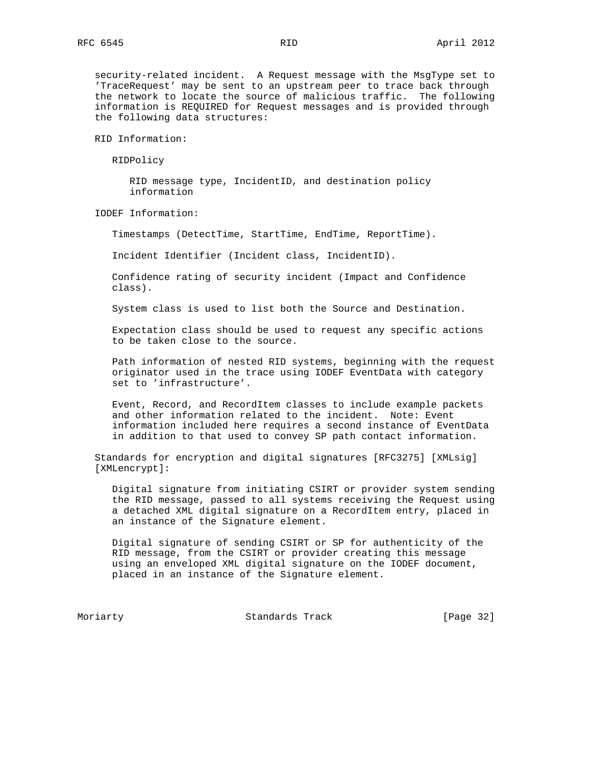security-related incident. A Request message with the MsgType set to 'TraceRequest' may be sent to an upstream peer to trace back through the network to locate the source of malicious traffic. The following information is REQUIRED for Request messages and is provided through the following data structures:

RID Information:

RIDPolicy

 RID message type, IncidentID, and destination policy information

IODEF Information:

Timestamps (DetectTime, StartTime, EndTime, ReportTime).

Incident Identifier (Incident class, IncidentID).

 Confidence rating of security incident (Impact and Confidence class).

System class is used to list both the Source and Destination.

 Expectation class should be used to request any specific actions to be taken close to the source.

 Path information of nested RID systems, beginning with the request originator used in the trace using IODEF EventData with category set to 'infrastructure'.

 Event, Record, and RecordItem classes to include example packets and other information related to the incident. Note: Event information included here requires a second instance of EventData in addition to that used to convey SP path contact information.

 Standards for encryption and digital signatures [RFC3275] [XMLsig] [XMLencrypt]:

 Digital signature from initiating CSIRT or provider system sending the RID message, passed to all systems receiving the Request using a detached XML digital signature on a RecordItem entry, placed in an instance of the Signature element.

 Digital signature of sending CSIRT or SP for authenticity of the RID message, from the CSIRT or provider creating this message using an enveloped XML digital signature on the IODEF document, placed in an instance of the Signature element.

Moriarty Standards Track [Page 32]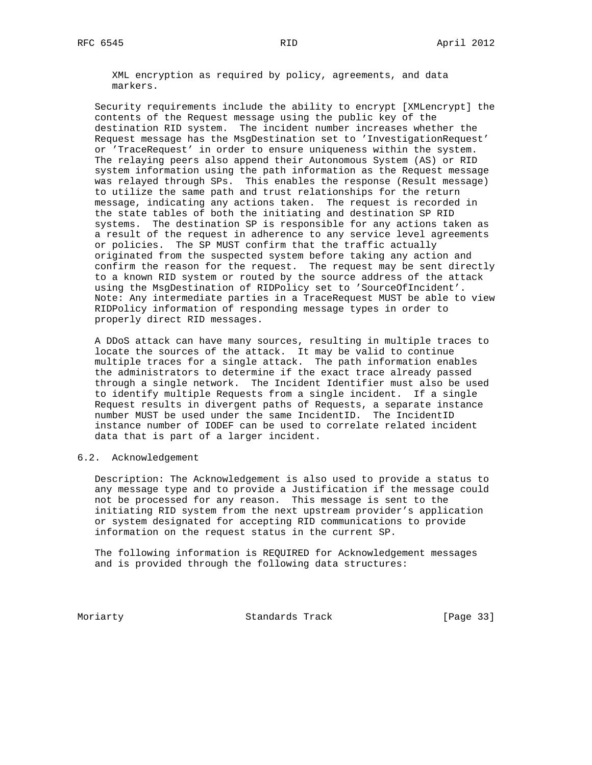XML encryption as required by policy, agreements, and data markers.

 Security requirements include the ability to encrypt [XMLencrypt] the contents of the Request message using the public key of the destination RID system. The incident number increases whether the Request message has the MsgDestination set to 'InvestigationRequest' or 'TraceRequest' in order to ensure uniqueness within the system. The relaying peers also append their Autonomous System (AS) or RID system information using the path information as the Request message was relayed through SPs. This enables the response (Result message) to utilize the same path and trust relationships for the return message, indicating any actions taken. The request is recorded in the state tables of both the initiating and destination SP RID systems. The destination SP is responsible for any actions taken as a result of the request in adherence to any service level agreements or policies. The SP MUST confirm that the traffic actually originated from the suspected system before taking any action and confirm the reason for the request. The request may be sent directly to a known RID system or routed by the source address of the attack using the MsgDestination of RIDPolicy set to 'SourceOfIncident'. Note: Any intermediate parties in a TraceRequest MUST be able to view RIDPolicy information of responding message types in order to properly direct RID messages.

 A DDoS attack can have many sources, resulting in multiple traces to locate the sources of the attack. It may be valid to continue multiple traces for a single attack. The path information enables the administrators to determine if the exact trace already passed through a single network. The Incident Identifier must also be used to identify multiple Requests from a single incident. If a single Request results in divergent paths of Requests, a separate instance number MUST be used under the same IncidentID. The IncidentID instance number of IODEF can be used to correlate related incident data that is part of a larger incident.

6.2. Acknowledgement

 Description: The Acknowledgement is also used to provide a status to any message type and to provide a Justification if the message could not be processed for any reason. This message is sent to the initiating RID system from the next upstream provider's application or system designated for accepting RID communications to provide information on the request status in the current SP.

 The following information is REQUIRED for Acknowledgement messages and is provided through the following data structures:

Moriarty **Standards Track** [Page 33]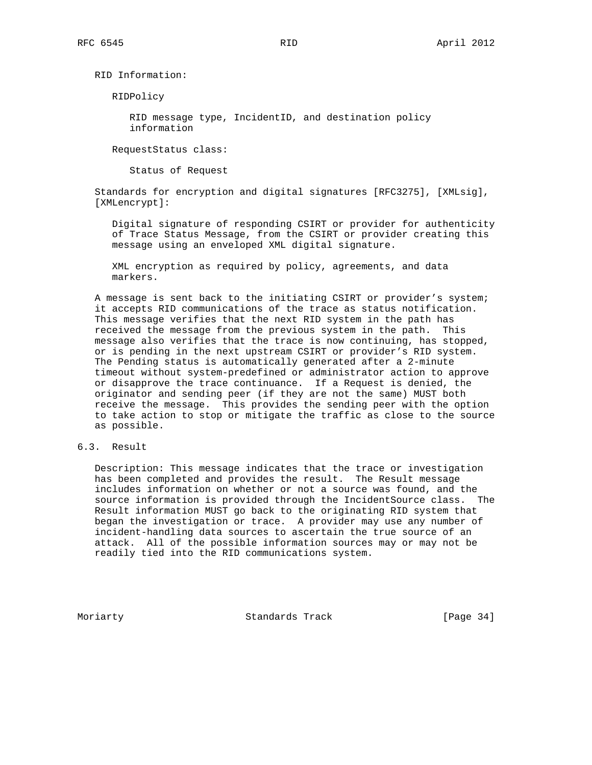RID Information:

RIDPolicy

 RID message type, IncidentID, and destination policy information

RequestStatus class:

Status of Request

 Standards for encryption and digital signatures [RFC3275], [XMLsig], [XMLencrypt]:

 Digital signature of responding CSIRT or provider for authenticity of Trace Status Message, from the CSIRT or provider creating this message using an enveloped XML digital signature.

 XML encryption as required by policy, agreements, and data markers.

 A message is sent back to the initiating CSIRT or provider's system; it accepts RID communications of the trace as status notification. This message verifies that the next RID system in the path has received the message from the previous system in the path. This message also verifies that the trace is now continuing, has stopped, or is pending in the next upstream CSIRT or provider's RID system. The Pending status is automatically generated after a 2-minute timeout without system-predefined or administrator action to approve or disapprove the trace continuance. If a Request is denied, the originator and sending peer (if they are not the same) MUST both receive the message. This provides the sending peer with the option to take action to stop or mitigate the traffic as close to the source as possible.

# 6.3. Result

 Description: This message indicates that the trace or investigation has been completed and provides the result. The Result message includes information on whether or not a source was found, and the source information is provided through the IncidentSource class. The Result information MUST go back to the originating RID system that began the investigation or trace. A provider may use any number of incident-handling data sources to ascertain the true source of an attack. All of the possible information sources may or may not be readily tied into the RID communications system.

Moriarty **Standards Track** [Page 34]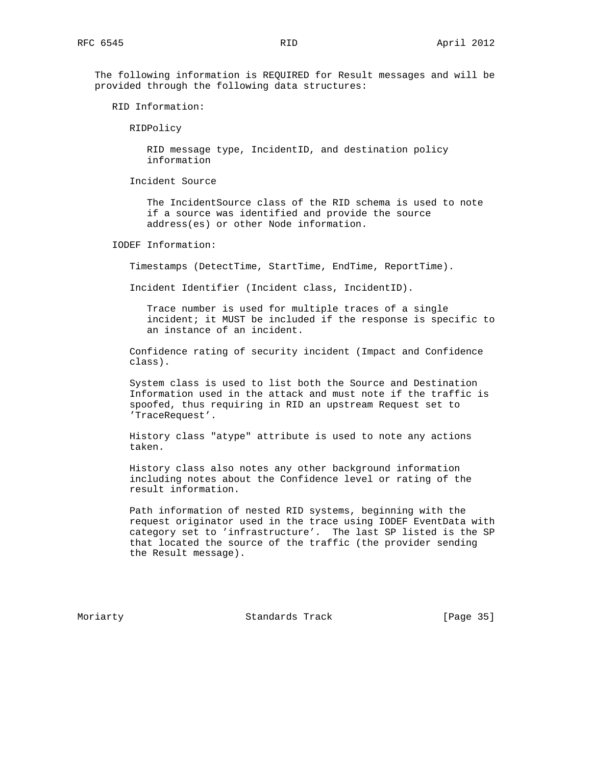The following information is REQUIRED for Result messages and will be provided through the following data structures:

RID Information:

RIDPolicy

 RID message type, IncidentID, and destination policy information

Incident Source

 The IncidentSource class of the RID schema is used to note if a source was identified and provide the source address(es) or other Node information.

IODEF Information:

Timestamps (DetectTime, StartTime, EndTime, ReportTime).

Incident Identifier (Incident class, IncidentID).

 Trace number is used for multiple traces of a single incident; it MUST be included if the response is specific to an instance of an incident.

 Confidence rating of security incident (Impact and Confidence class).

 System class is used to list both the Source and Destination Information used in the attack and must note if the traffic is spoofed, thus requiring in RID an upstream Request set to 'TraceRequest'.

 History class "atype" attribute is used to note any actions taken.

 History class also notes any other background information including notes about the Confidence level or rating of the result information.

 Path information of nested RID systems, beginning with the request originator used in the trace using IODEF EventData with category set to 'infrastructure'. The last SP listed is the SP that located the source of the traffic (the provider sending the Result message).

Moriarty **Standards Track** [Page 35]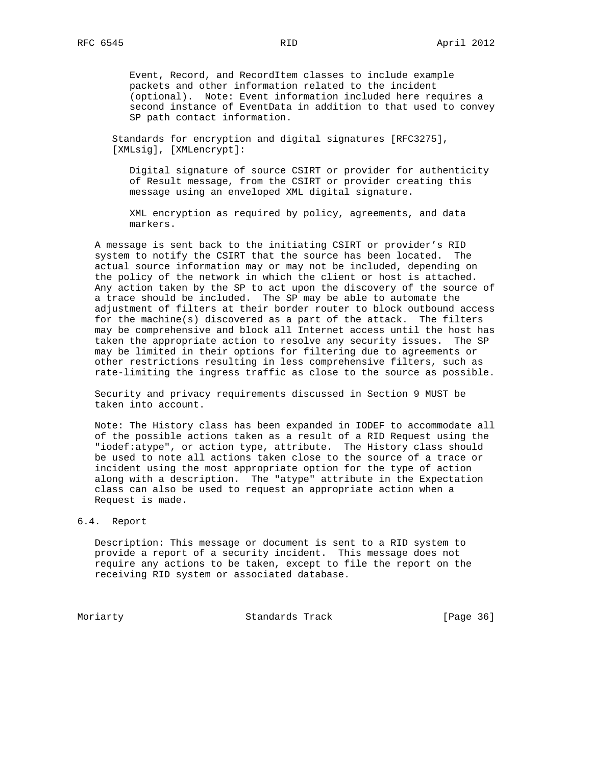Event, Record, and RecordItem classes to include example packets and other information related to the incident (optional). Note: Event information included here requires a second instance of EventData in addition to that used to convey SP path contact information.

 Standards for encryption and digital signatures [RFC3275], [XMLsig], [XMLencrypt]:

 Digital signature of source CSIRT or provider for authenticity of Result message, from the CSIRT or provider creating this message using an enveloped XML digital signature.

 XML encryption as required by policy, agreements, and data markers.

 A message is sent back to the initiating CSIRT or provider's RID system to notify the CSIRT that the source has been located. The actual source information may or may not be included, depending on the policy of the network in which the client or host is attached. Any action taken by the SP to act upon the discovery of the source of a trace should be included. The SP may be able to automate the adjustment of filters at their border router to block outbound access for the machine(s) discovered as a part of the attack. The filters may be comprehensive and block all Internet access until the host has taken the appropriate action to resolve any security issues. The SP may be limited in their options for filtering due to agreements or other restrictions resulting in less comprehensive filters, such as rate-limiting the ingress traffic as close to the source as possible.

 Security and privacy requirements discussed in Section 9 MUST be taken into account.

 Note: The History class has been expanded in IODEF to accommodate all of the possible actions taken as a result of a RID Request using the "iodef:atype", or action type, attribute. The History class should be used to note all actions taken close to the source of a trace or incident using the most appropriate option for the type of action along with a description. The "atype" attribute in the Expectation class can also be used to request an appropriate action when a Request is made.

# 6.4. Report

 Description: This message or document is sent to a RID system to provide a report of a security incident. This message does not require any actions to be taken, except to file the report on the receiving RID system or associated database.

Moriarty Standards Track [Page 36]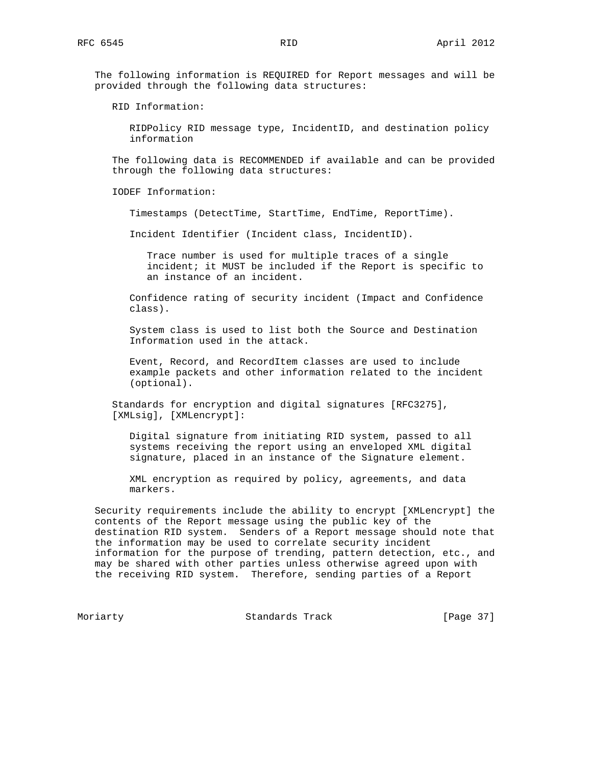The following information is REQUIRED for Report messages and will be provided through the following data structures:

RID Information:

 RIDPolicy RID message type, IncidentID, and destination policy information

 The following data is RECOMMENDED if available and can be provided through the following data structures:

IODEF Information:

Timestamps (DetectTime, StartTime, EndTime, ReportTime).

Incident Identifier (Incident class, IncidentID).

 Trace number is used for multiple traces of a single incident; it MUST be included if the Report is specific to an instance of an incident.

 Confidence rating of security incident (Impact and Confidence class).

 System class is used to list both the Source and Destination Information used in the attack.

 Event, Record, and RecordItem classes are used to include example packets and other information related to the incident (optional).

 Standards for encryption and digital signatures [RFC3275], [XMLsig], [XMLencrypt]:

 Digital signature from initiating RID system, passed to all systems receiving the report using an enveloped XML digital signature, placed in an instance of the Signature element.

 XML encryption as required by policy, agreements, and data markers.

 Security requirements include the ability to encrypt [XMLencrypt] the contents of the Report message using the public key of the destination RID system. Senders of a Report message should note that the information may be used to correlate security incident information for the purpose of trending, pattern detection, etc., and may be shared with other parties unless otherwise agreed upon with the receiving RID system. Therefore, sending parties of a Report

Moriarty **Standards Track** [Page 37]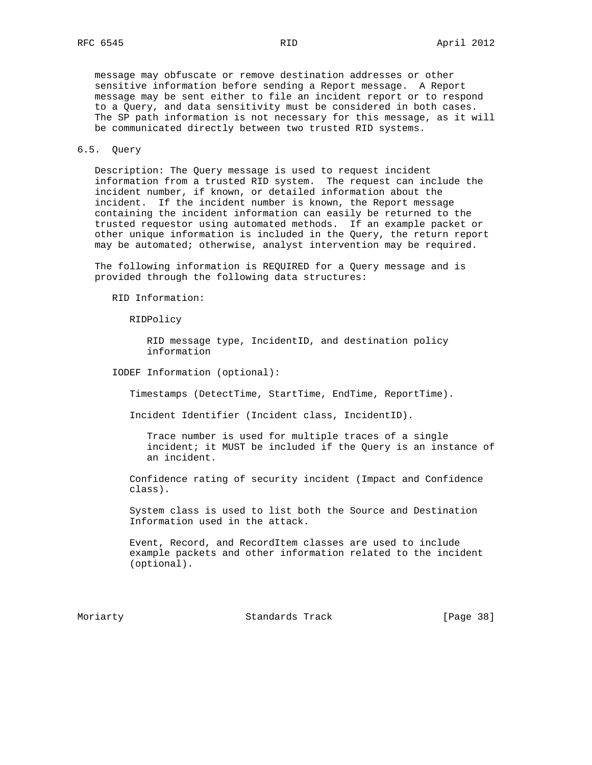message may obfuscate or remove destination addresses or other sensitive information before sending a Report message. A Report message may be sent either to file an incident report or to respond to a Query, and data sensitivity must be considered in both cases. The SP path information is not necessary for this message, as it will be communicated directly between two trusted RID systems.

## 6.5. Query

 Description: The Query message is used to request incident information from a trusted RID system. The request can include the incident number, if known, or detailed information about the incident. If the incident number is known, the Report message containing the incident information can easily be returned to the trusted requestor using automated methods. If an example packet or other unique information is included in the Query, the return report may be automated; otherwise, analyst intervention may be required.

 The following information is REQUIRED for a Query message and is provided through the following data structures:

RID Information:

RIDPolicy

 RID message type, IncidentID, and destination policy information

IODEF Information (optional):

Timestamps (DetectTime, StartTime, EndTime, ReportTime).

Incident Identifier (Incident class, IncidentID).

 Trace number is used for multiple traces of a single incident; it MUST be included if the Query is an instance of an incident.

 Confidence rating of security incident (Impact and Confidence class).

 System class is used to list both the Source and Destination Information used in the attack.

 Event, Record, and RecordItem classes are used to include example packets and other information related to the incident (optional).

Moriarty **Standards Track** [Page 38]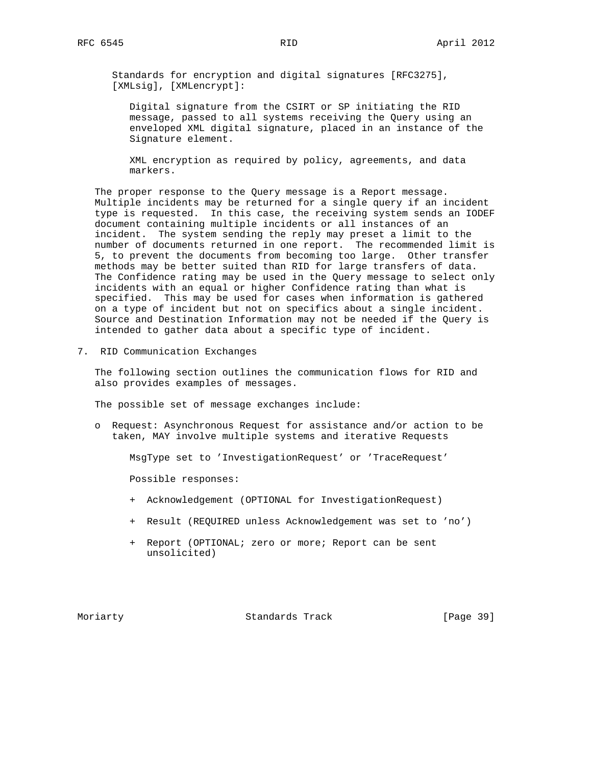Standards for encryption and digital signatures [RFC3275], [XMLsig], [XMLencrypt]:

 Digital signature from the CSIRT or SP initiating the RID message, passed to all systems receiving the Query using an enveloped XML digital signature, placed in an instance of the Signature element.

 XML encryption as required by policy, agreements, and data markers.

 The proper response to the Query message is a Report message. Multiple incidents may be returned for a single query if an incident type is requested. In this case, the receiving system sends an IODEF document containing multiple incidents or all instances of an incident. The system sending the reply may preset a limit to the number of documents returned in one report. The recommended limit is 5, to prevent the documents from becoming too large. Other transfer methods may be better suited than RID for large transfers of data. The Confidence rating may be used in the Query message to select only incidents with an equal or higher Confidence rating than what is specified. This may be used for cases when information is gathered on a type of incident but not on specifics about a single incident. Source and Destination Information may not be needed if the Query is intended to gather data about a specific type of incident.

7. RID Communication Exchanges

 The following section outlines the communication flows for RID and also provides examples of messages.

The possible set of message exchanges include:

 o Request: Asynchronous Request for assistance and/or action to be taken, MAY involve multiple systems and iterative Requests

MsgType set to 'InvestigationRequest' or 'TraceRequest'

Possible responses:

- + Acknowledgement (OPTIONAL for InvestigationRequest)
- + Result (REQUIRED unless Acknowledgement was set to 'no')
- + Report (OPTIONAL; zero or more; Report can be sent unsolicited)

Moriarty **Standards Track** [Page 39]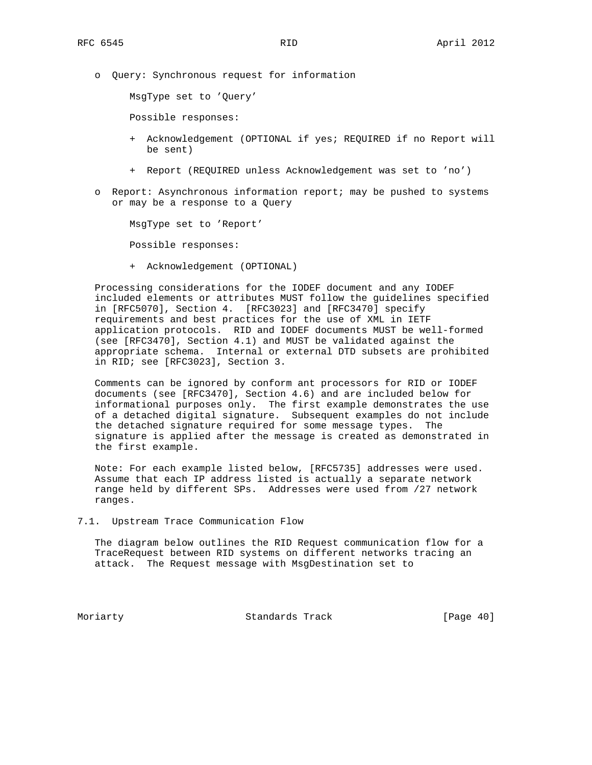o Query: Synchronous request for information

MsgType set to 'Query'

Possible responses:

- + Acknowledgement (OPTIONAL if yes; REQUIRED if no Report will be sent)
- + Report (REQUIRED unless Acknowledgement was set to 'no')
- o Report: Asynchronous information report; may be pushed to systems or may be a response to a Query

MsgType set to 'Report'

Possible responses:

+ Acknowledgement (OPTIONAL)

 Processing considerations for the IODEF document and any IODEF included elements or attributes MUST follow the guidelines specified in [RFC5070], Section 4. [RFC3023] and [RFC3470] specify requirements and best practices for the use of XML in IETF application protocols. RID and IODEF documents MUST be well-formed (see [RFC3470], Section 4.1) and MUST be validated against the appropriate schema. Internal or external DTD subsets are prohibited in RID; see [RFC3023], Section 3.

 Comments can be ignored by conform ant processors for RID or IODEF documents (see [RFC3470], Section 4.6) and are included below for informational purposes only. The first example demonstrates the use of a detached digital signature. Subsequent examples do not include the detached signature required for some message types. The signature is applied after the message is created as demonstrated in the first example.

 Note: For each example listed below, [RFC5735] addresses were used. Assume that each IP address listed is actually a separate network range held by different SPs. Addresses were used from /27 network ranges.

7.1. Upstream Trace Communication Flow

 The diagram below outlines the RID Request communication flow for a TraceRequest between RID systems on different networks tracing an attack. The Request message with MsgDestination set to

Moriarty **Standards Track** [Page 40]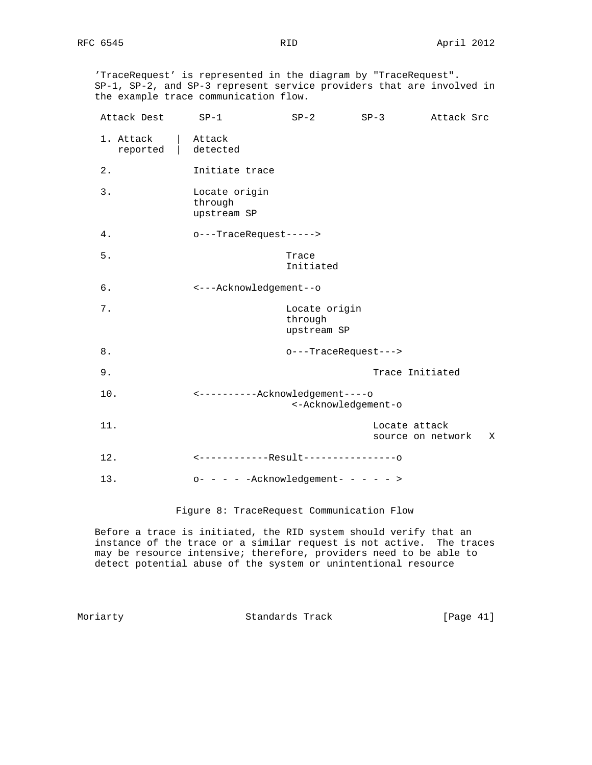'TraceRequest' is represented in the diagram by "TraceRequest". SP-1, SP-2, and SP-3 represent service providers that are involved in the example trace communication flow.

| Attack Dest           | $SP-1$                                                  | $SP-2$                                  | $SP-3$                             | Attack Src |   |  |
|-----------------------|---------------------------------------------------------|-----------------------------------------|------------------------------------|------------|---|--|
| 1. Attack<br>reported | Attack<br>detected                                      |                                         |                                    |            |   |  |
| 2.                    | Initiate trace                                          |                                         |                                    |            |   |  |
| 3.                    | Locate origin<br>through<br>upstream SP                 |                                         |                                    |            |   |  |
| 4.                    | o---TraceRequest----->                                  |                                         |                                    |            |   |  |
| $5.$                  |                                                         | Trace<br>Initiated                      |                                    |            |   |  |
| б.                    | <---Acknowledgement--o                                  |                                         |                                    |            |   |  |
| 7.                    |                                                         | Locate origin<br>through<br>upstream SP |                                    |            |   |  |
| 8.                    | o---TraceRequest--->                                    |                                         |                                    |            |   |  |
| 9.                    |                                                         |                                         | Trace Initiated                    |            |   |  |
| 10.                   | <-----------Acknowledgement----o<br><-Acknowledgement-o |                                         |                                    |            |   |  |
| 11.                   |                                                         |                                         | Locate attack<br>source on network |            | X |  |
| 12.                   | <-------------Result----------------0                   |                                         |                                    |            |   |  |
| 13.                   | $o- - - - -$ Acknowledgement- - - - - >                 |                                         |                                    |            |   |  |

Figure 8: TraceRequest Communication Flow

 Before a trace is initiated, the RID system should verify that an instance of the trace or a similar request is not active. The traces may be resource intensive; therefore, providers need to be able to detect potential abuse of the system or unintentional resource

Moriarty **Standards Track** [Page 41]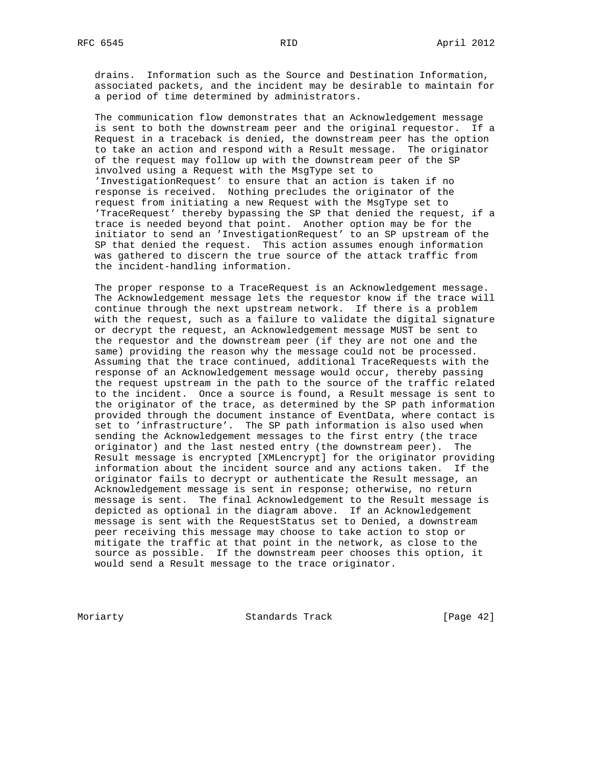drains. Information such as the Source and Destination Information, associated packets, and the incident may be desirable to maintain for a period of time determined by administrators.

 The communication flow demonstrates that an Acknowledgement message is sent to both the downstream peer and the original requestor. If a Request in a traceback is denied, the downstream peer has the option to take an action and respond with a Result message. The originator of the request may follow up with the downstream peer of the SP involved using a Request with the MsgType set to 'InvestigationRequest' to ensure that an action is taken if no response is received. Nothing precludes the originator of the request from initiating a new Request with the MsgType set to 'TraceRequest' thereby bypassing the SP that denied the request, if a trace is needed beyond that point. Another option may be for the initiator to send an 'InvestigationRequest' to an SP upstream of the SP that denied the request. This action assumes enough information was gathered to discern the true source of the attack traffic from the incident-handling information.

 The proper response to a TraceRequest is an Acknowledgement message. The Acknowledgement message lets the requestor know if the trace will continue through the next upstream network. If there is a problem with the request, such as a failure to validate the digital signature or decrypt the request, an Acknowledgement message MUST be sent to the requestor and the downstream peer (if they are not one and the same) providing the reason why the message could not be processed. Assuming that the trace continued, additional TraceRequests with the response of an Acknowledgement message would occur, thereby passing the request upstream in the path to the source of the traffic related to the incident. Once a source is found, a Result message is sent to the originator of the trace, as determined by the SP path information provided through the document instance of EventData, where contact is set to 'infrastructure'. The SP path information is also used when sending the Acknowledgement messages to the first entry (the trace originator) and the last nested entry (the downstream peer). The Result message is encrypted [XMLencrypt] for the originator providing information about the incident source and any actions taken. If the originator fails to decrypt or authenticate the Result message, an Acknowledgement message is sent in response; otherwise, no return message is sent. The final Acknowledgement to the Result message is depicted as optional in the diagram above. If an Acknowledgement message is sent with the RequestStatus set to Denied, a downstream peer receiving this message may choose to take action to stop or mitigate the traffic at that point in the network, as close to the source as possible. If the downstream peer chooses this option, it would send a Result message to the trace originator.

Moriarty **Standards Track** [Page 42]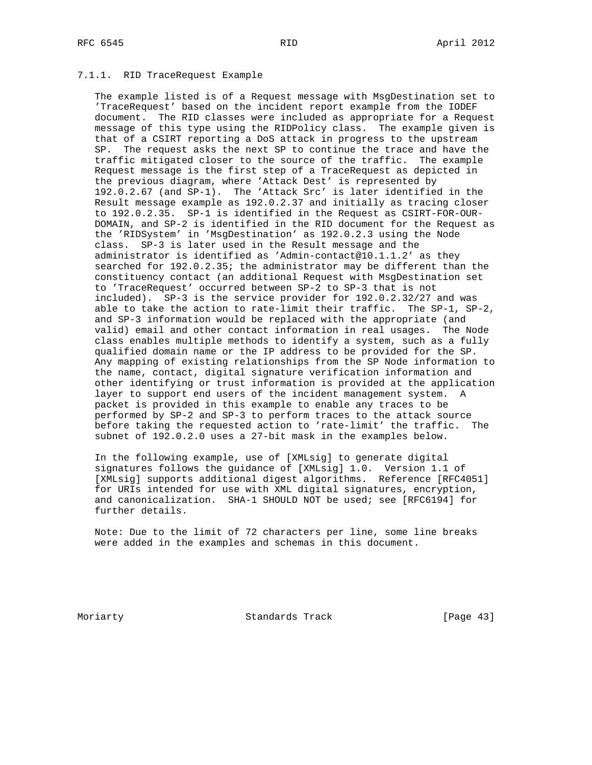## 7.1.1. RID TraceRequest Example

 The example listed is of a Request message with MsgDestination set to 'TraceRequest' based on the incident report example from the IODEF document. The RID classes were included as appropriate for a Request message of this type using the RIDPolicy class. The example given is that of a CSIRT reporting a DoS attack in progress to the upstream SP. The request asks the next SP to continue the trace and have the traffic mitigated closer to the source of the traffic. The example Request message is the first step of a TraceRequest as depicted in the previous diagram, where 'Attack Dest' is represented by 192.0.2.67 (and SP-1). The 'Attack Src' is later identified in the Result message example as 192.0.2.37 and initially as tracing closer to 192.0.2.35. SP-1 is identified in the Request as CSIRT-FOR-OUR- DOMAIN, and SP-2 is identified in the RID document for the Request as the 'RIDSystem' in 'MsgDestination' as 192.0.2.3 using the Node class. SP-3 is later used in the Result message and the administrator is identified as 'Admin-contact@10.1.1.2' as they searched for 192.0.2.35; the administrator may be different than the constituency contact (an additional Request with MsgDestination set to 'TraceRequest' occurred between SP-2 to SP-3 that is not included). SP-3 is the service provider for 192.0.2.32/27 and was able to take the action to rate-limit their traffic. The SP-1, SP-2, and SP-3 information would be replaced with the appropriate (and valid) email and other contact information in real usages. The Node class enables multiple methods to identify a system, such as a fully qualified domain name or the IP address to be provided for the SP. Any mapping of existing relationships from the SP Node information to the name, contact, digital signature verification information and other identifying or trust information is provided at the application layer to support end users of the incident management system. A packet is provided in this example to enable any traces to be performed by SP-2 and SP-3 to perform traces to the attack source before taking the requested action to 'rate-limit' the traffic. The subnet of 192.0.2.0 uses a 27-bit mask in the examples below.

 In the following example, use of [XMLsig] to generate digital signatures follows the guidance of [XMLsig] 1.0. Version 1.1 of [XMLsig] supports additional digest algorithms. Reference [RFC4051] for URIs intended for use with XML digital signatures, encryption, and canonicalization. SHA-1 SHOULD NOT be used; see [RFC6194] for further details.

 Note: Due to the limit of 72 characters per line, some line breaks were added in the examples and schemas in this document.

Moriarty **Standards Track** [Page 43]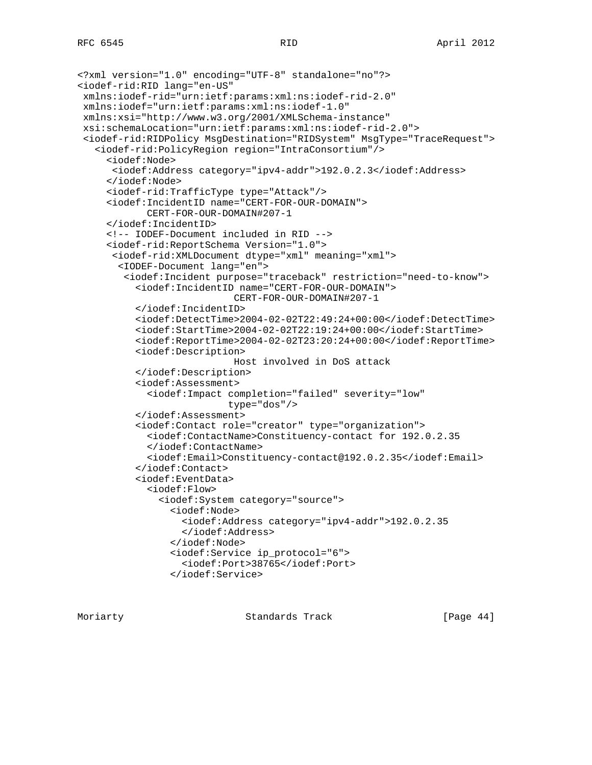```
<?xml version="1.0" encoding="UTF-8" standalone="no"?>
<iodef-rid:RID lang="en-US"
  xmlns:iodef-rid="urn:ietf:params:xml:ns:iodef-rid-2.0"
 xmlns:iodef="urn:ietf:params:xml:ns:iodef-1.0"
 xmlns:xsi="http://www.w3.org/2001/XMLSchema-instance"
 xsi:schemaLocation="urn:ietf:params:xml:ns:iodef-rid-2.0">
  <iodef-rid:RIDPolicy MsgDestination="RIDSystem" MsgType="TraceRequest">
    <iodef-rid:PolicyRegion region="IntraConsortium"/>
      <iodef:Node>
       <iodef:Address category="ipv4-addr">192.0.2.3</iodef:Address>
      </iodef:Node>
      <iodef-rid:TrafficType type="Attack"/>
      <iodef:IncidentID name="CERT-FOR-OUR-DOMAIN">
             CERT-FOR-OUR-DOMAIN#207-1
      </iodef:IncidentID>
      <!-- IODEF-Document included in RID -->
      <iodef-rid:ReportSchema Version="1.0">
       <iodef-rid:XMLDocument dtype="xml" meaning="xml">
        <IODEF-Document lang="en">
         <iodef:Incident purpose="traceback" restriction="need-to-know">
           <iodef:IncidentID name="CERT-FOR-OUR-DOMAIN">
                             CERT-FOR-OUR-DOMAIN#207-1
           </iodef:IncidentID>
           <iodef:DetectTime>2004-02-02T22:49:24+00:00</iodef:DetectTime>
           <iodef:StartTime>2004-02-02T22:19:24+00:00</iodef:StartTime>
           <iodef:ReportTime>2004-02-02T23:20:24+00:00</iodef:ReportTime>
           <iodef:Description>
                             Host involved in DoS attack
           </iodef:Description>
           <iodef:Assessment>
             <iodef:Impact completion="failed" severity="low"
                           type="dos"/>
           </iodef:Assessment>
           <iodef:Contact role="creator" type="organization">
             <iodef:ContactName>Constituency-contact for 192.0.2.35
             </iodef:ContactName>
             <iodef:Email>Constituency-contact@192.0.2.35</iodef:Email>
           </iodef:Contact>
           <iodef:EventData>
             <iodef:Flow>
               <iodef:System category="source">
                 <iodef:Node>
                   <iodef:Address category="ipv4-addr">192.0.2.35
                   </iodef:Address>
                 </iodef:Node>
                 <iodef:Service ip_protocol="6">
                   <iodef:Port>38765</iodef:Port>
                 </iodef:Service>
```
Moriarty Standards Track [Page 44]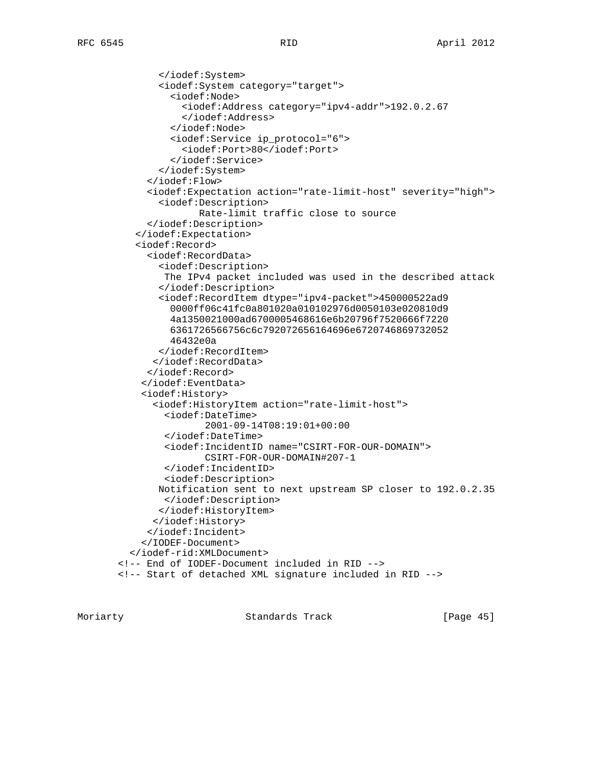</iodef:System> <iodef:System category="target"> <iodef:Node> <iodef:Address category="ipv4-addr">192.0.2.67 </iodef:Address> </iodef:Node> <iodef:Service ip\_protocol="6"> <iodef:Port>80</iodef:Port> </iodef:Service> </iodef:System> </iodef:Flow> <iodef:Expectation action="rate-limit-host" severity="high"> <iodef:Description> Rate-limit traffic close to source </iodef:Description> </iodef:Expectation> <iodef:Record> <iodef:RecordData> <iodef:Description> The IPv4 packet included was used in the described attack </iodef:Description> <iodef:RecordItem dtype="ipv4-packet">450000522ad9 0000ff06c41fc0a801020a010102976d0050103e020810d9 4a1350021000ad6700005468616e6b20796f7520666f7220 6361726566756c6c792072656164696e6720746869732052 46432e0a </iodef:RecordItem> </iodef:RecordData> </iodef:Record> </iodef:EventData> <iodef:History> <iodef:HistoryItem action="rate-limit-host"> <iodef:DateTime> 2001-09-14T08:19:01+00:00 </iodef:DateTime> <iodef:IncidentID name="CSIRT-FOR-OUR-DOMAIN"> CSIRT-FOR-OUR-DOMAIN#207-1 </iodef:IncidentID> <iodef:Description> Notification sent to next upstream SP closer to 192.0.2.35 </iodef:Description> </iodef:HistoryItem> </iodef:History> </iodef:Incident> </IODEF-Document> </iodef-rid:XMLDocument> <!-- End of IODEF-Document included in RID --> <!-- Start of detached XML signature included in RID -->

Moriarty **Standards Track** [Page 45]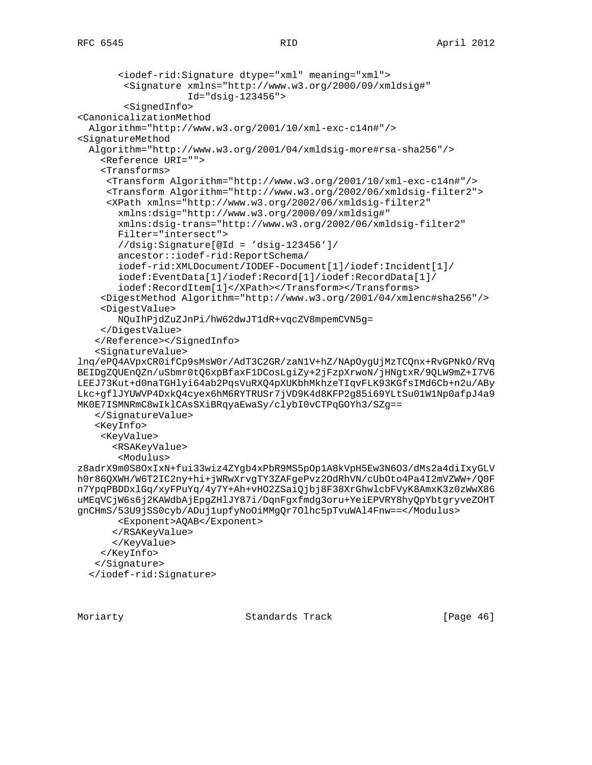```
 <iodef-rid:Signature dtype="xml" meaning="xml">
         <Signature xmlns="http://www.w3.org/2000/09/xmldsig#"
                    Id="dsig-123456">
         <SignedInfo>
<CanonicalizationMethod
   Algorithm="http://www.w3.org/2001/10/xml-exc-c14n#"/>
<SignatureMethod
   Algorithm="http://www.w3.org/2001/04/xmldsig-more#rsa-sha256"/>
     <Reference URI="">
     <Transforms>
      <Transform Algorithm="http://www.w3.org/2001/10/xml-exc-c14n#"/>
      <Transform Algorithm="http://www.w3.org/2002/06/xmldsig-filter2">
      <XPath xmlns="http://www.w3.org/2002/06/xmldsig-filter2"
        xmlns:dsig="http://www.w3.org/2000/09/xmldsig#"
        xmlns:dsig-trans="http://www.w3.org/2002/06/xmldsig-filter2"
        Filter="intersect">
        //dsig:Signature[@Id = 'dsig-123456']/
        ancestor::iodef-rid:ReportSchema/
        iodef-rid:XMLDocument/IODEF-Document[1]/iodef:Incident[1]/
        iodef:EventData[1]/iodef:Record[1]/iodef:RecordData[1]/
        iodef:RecordItem[1]</XPath></Transform></Transforms>
     <DigestMethod Algorithm="http://www.w3.org/2001/04/xmlenc#sha256"/>
     <DigestValue>
       NQuIhPjdZuZJnPi/hW62dwJT1dR+vqcZV8mpemCVN5g=
     </DigestValue>
    </Reference></SignedInfo>
    <SignatureValue>
lnq/ePQ4AVpxCR0ifCp9sMsW0r/AdT3C2GR/zaN1V+hZ/NApOygUjMzTCQnx+RvGPNkO/RVq
BEIDgZQUEnQZn/uSbmr0tQ6xpBfaxF1DCosLgiZy+2jFzpXrwoN/jHNgtxR/9QLW9mZ+I7V6
LEEJ73Kut+d0naTGHlyi64ab2PqsVuRXQ4pXUKbhMkhzeTIqvFLK93KGfsIMd6Cb+n2u/ABy
Lkc+gflJYUWVP4DxkQ4cyex6hM6RYTRUSr7jVD9K4d8KFP2g85i69YLtSu01W1Np0afpJ4a9
MK0E7ISMNRmC8wIklCAsSXiBRqyaEwaSy/clybI0vCTPqGOYh3/SZg==
    </SignatureValue>
    <KeyInfo>
     <KeyValue>
       <RSAKeyValue>
        <Modulus>
z8adrX9m0S8OxIxN+fui33wiz4ZYgb4xPbR9MS5pOp1A8kVpH5Ew3N6O3/dMs2a4diIxyGLV
h0r86QXWH/W6T2IC2ny+hi+jWRwXrvgTY3ZAFgePvz2OdRhVN/cUbOto4Pa4I2mVZWW+/Q0F
n7YpqPBDDxlGq/xyFPuYq/4y7Y+Ah+vHO2ZSaiQjbj8F38XrGhwlcbFVyK8AmxK3z0zWwX86
uMEqVCjW6s6j2KAWdbAjEpgZHlJY87i/DqnFgxfmdg3oru+YeiEPVRY8hyQpYbtgryveZOHT
gnCHmS/53U9jSS0cyb/ADuj1upfyNoOiMMgQr7Olhc5pTvuWAl4Fnw==</Modulus>
        <Exponent>AQAB</Exponent>
       </RSAKeyValue>
       </KeyValue>
     </KeyInfo>
    </Signature>
   </iodef-rid:Signature>
```
Moriarty **Standards Track** [Page 46]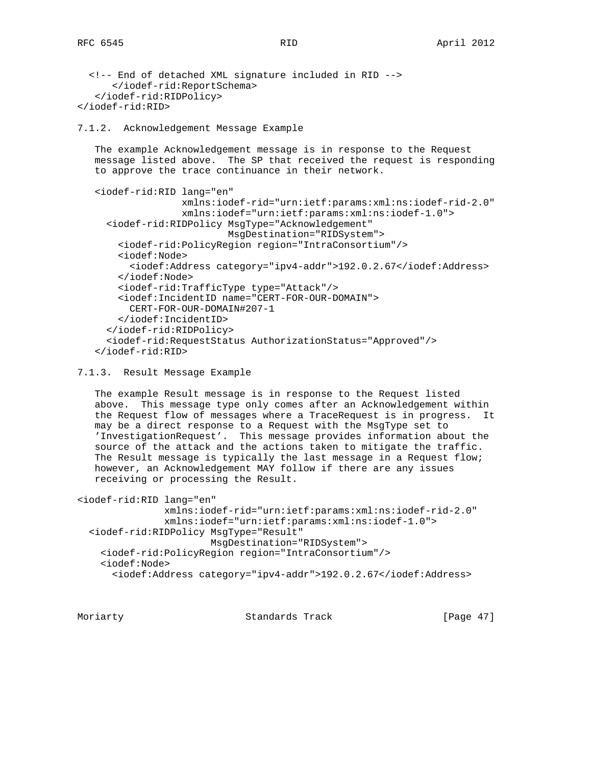```
 <!-- End of detached XML signature included in RID -->
       </iodef-rid:ReportSchema>
    </iodef-rid:RIDPolicy>
</iodef-rid:RID>
```
7.1.2. Acknowledgement Message Example

 The example Acknowledgement message is in response to the Request message listed above. The SP that received the request is responding to approve the trace continuance in their network.

```
 <iodef-rid:RID lang="en"
                xmlns:iodef-rid="urn:ietf:params:xml:ns:iodef-rid-2.0"
                xmlns:iodef="urn:ietf:params:xml:ns:iodef-1.0">
   <iodef-rid:RIDPolicy MsgType="Acknowledgement"
                        MsgDestination="RIDSystem">
     <iodef-rid:PolicyRegion region="IntraConsortium"/>
     <iodef:Node>
       <iodef:Address category="ipv4-addr">192.0.2.67</iodef:Address>
     </iodef:Node>
     <iodef-rid:TrafficType type="Attack"/>
     <iodef:IncidentID name="CERT-FOR-OUR-DOMAIN">
       CERT-FOR-OUR-DOMAIN#207-1
     </iodef:IncidentID>
   </iodef-rid:RIDPolicy>
   <iodef-rid:RequestStatus AuthorizationStatus="Approved"/>
 </iodef-rid:RID>
```
#### 7.1.3. Result Message Example

 The example Result message is in response to the Request listed above. This message type only comes after an Acknowledgement within the Request flow of messages where a TraceRequest is in progress. It may be a direct response to a Request with the MsgType set to 'InvestigationRequest'. This message provides information about the source of the attack and the actions taken to mitigate the traffic. The Result message is typically the last message in a Request flow; however, an Acknowledgement MAY follow if there are any issues receiving or processing the Result.

```
<iodef-rid:RID lang="en"
                xmlns:iodef-rid="urn:ietf:params:xml:ns:iodef-rid-2.0"
                xmlns:iodef="urn:ietf:params:xml:ns:iodef-1.0">
   <iodef-rid:RIDPolicy MsgType="Result"
                        MsgDestination="RIDSystem">
     <iodef-rid:PolicyRegion region="IntraConsortium"/>
     <iodef:Node>
       <iodef:Address category="ipv4-addr">192.0.2.67</iodef:Address>
```
Moriarty **Standards Track** [Page 47]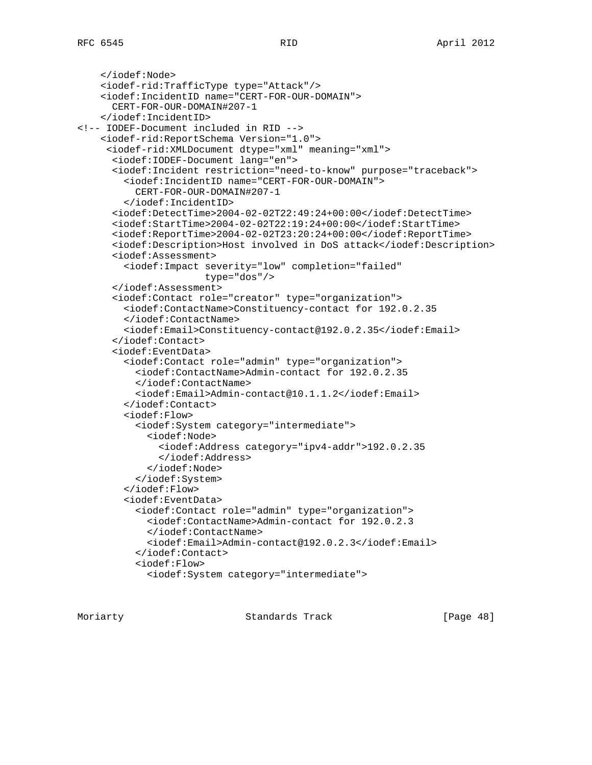```
 </iodef:Node>
     <iodef-rid:TrafficType type="Attack"/>
     <iodef:IncidentID name="CERT-FOR-OUR-DOMAIN">
       CERT-FOR-OUR-DOMAIN#207-1
     </iodef:IncidentID>
<!-- IODEF-Document included in RID -->
     <iodef-rid:ReportSchema Version="1.0">
      <iodef-rid:XMLDocument dtype="xml" meaning="xml">
       <iodef:IODEF-Document lang="en">
       <iodef:Incident restriction="need-to-know" purpose="traceback">
         <iodef:IncidentID name="CERT-FOR-OUR-DOMAIN">
           CERT-FOR-OUR-DOMAIN#207-1
         </iodef:IncidentID>
       <iodef:DetectTime>2004-02-02T22:49:24+00:00</iodef:DetectTime>
       <iodef:StartTime>2004-02-02T22:19:24+00:00</iodef:StartTime>
       <iodef:ReportTime>2004-02-02T23:20:24+00:00</iodef:ReportTime>
       <iodef:Description>Host involved in DoS attack</iodef:Description>
       <iodef:Assessment>
         <iodef:Impact severity="low" completion="failed"
                       type="dos"/>
       </iodef:Assessment>
       <iodef:Contact role="creator" type="organization">
         <iodef:ContactName>Constituency-contact for 192.0.2.35
         </iodef:ContactName>
         <iodef:Email>Constituency-contact@192.0.2.35</iodef:Email>
       </iodef:Contact>
       <iodef:EventData>
         <iodef:Contact role="admin" type="organization">
           <iodef:ContactName>Admin-contact for 192.0.2.35
           </iodef:ContactName>
           <iodef:Email>Admin-contact@10.1.1.2</iodef:Email>
         </iodef:Contact>
         <iodef:Flow>
           <iodef:System category="intermediate">
             <iodef:Node>
               <iodef:Address category="ipv4-addr">192.0.2.35
               </iodef:Address>
             </iodef:Node>
           </iodef:System>
         </iodef:Flow>
         <iodef:EventData>
           <iodef:Contact role="admin" type="organization">
             <iodef:ContactName>Admin-contact for 192.0.2.3
             </iodef:ContactName>
             <iodef:Email>Admin-contact@192.0.2.3</iodef:Email>
           </iodef:Contact>
           <iodef:Flow>
             <iodef:System category="intermediate">
```
Moriarty Standards Track [Page 48]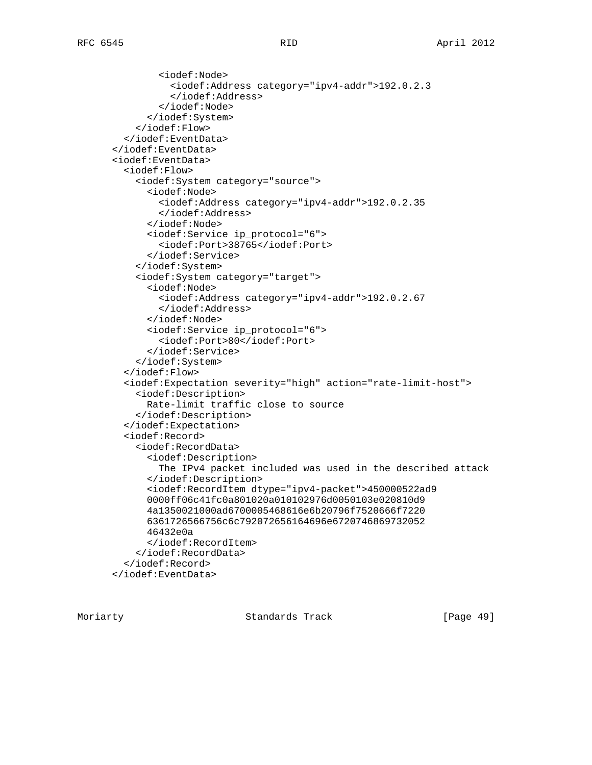```
 <iodef:Node>
           <iodef:Address category="ipv4-addr">192.0.2.3
           </iodef:Address>
         </iodef:Node>
       </iodef:System>
     </iodef:Flow>
   </iodef:EventData>
 </iodef:EventData>
 <iodef:EventData>
   <iodef:Flow>
     <iodef:System category="source">
       <iodef:Node>
         <iodef:Address category="ipv4-addr">192.0.2.35
         </iodef:Address>
       </iodef:Node>
       <iodef:Service ip_protocol="6">
         <iodef:Port>38765</iodef:Port>
       </iodef:Service>
     </iodef:System>
     <iodef:System category="target">
       <iodef:Node>
         <iodef:Address category="ipv4-addr">192.0.2.67
         </iodef:Address>
       </iodef:Node>
       <iodef:Service ip_protocol="6">
         <iodef:Port>80</iodef:Port>
       </iodef:Service>
     </iodef:System>
   </iodef:Flow>
   <iodef:Expectation severity="high" action="rate-limit-host">
     <iodef:Description>
       Rate-limit traffic close to source
     </iodef:Description>
   </iodef:Expectation>
   <iodef:Record>
     <iodef:RecordData>
       <iodef:Description>
         The IPv4 packet included was used in the described attack
       </iodef:Description>
       <iodef:RecordItem dtype="ipv4-packet">450000522ad9
       0000ff06c41fc0a801020a010102976d0050103e020810d9
       4a1350021000ad6700005468616e6b20796f7520666f7220
       6361726566756c6c792072656164696e6720746869732052
       46432e0a
       </iodef:RecordItem>
     </iodef:RecordData>
   </iodef:Record>
 </iodef:EventData>
```
Moriarty **Standards Track** [Page 49]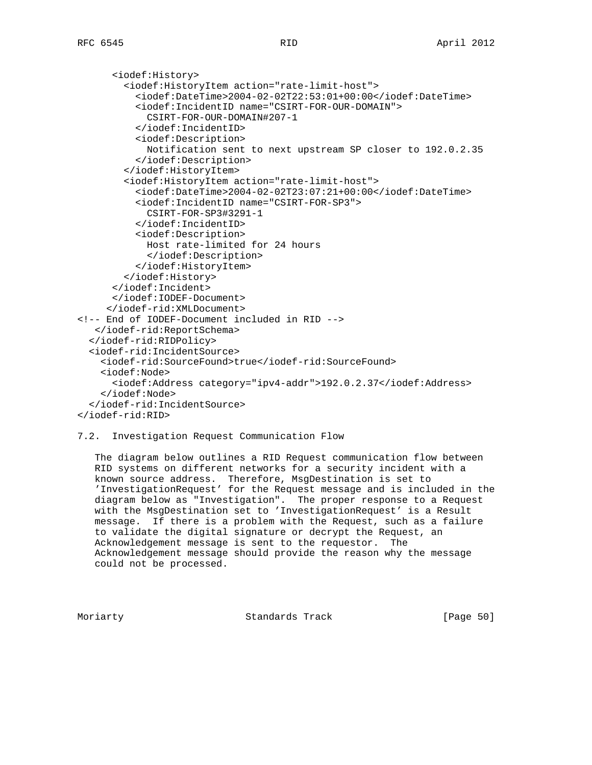<iodef:History> <iodef:HistoryItem action="rate-limit-host"> <iodef:DateTime>2004-02-02T22:53:01+00:00</iodef:DateTime> <iodef:IncidentID name="CSIRT-FOR-OUR-DOMAIN"> CSIRT-FOR-OUR-DOMAIN#207-1 </iodef:IncidentID> <iodef:Description> Notification sent to next upstream SP closer to 192.0.2.35 </iodef:Description> </iodef:HistoryItem> <iodef:HistoryItem action="rate-limit-host"> <iodef:DateTime>2004-02-02T23:07:21+00:00</iodef:DateTime> <iodef:IncidentID name="CSIRT-FOR-SP3"> CSIRT-FOR-SP3#3291-1 </iodef:IncidentID> <iodef:Description> Host rate-limited for 24 hours </iodef:Description> </iodef:HistoryItem> </iodef:History> </iodef:Incident> </iodef:IODEF-Document> </iodef-rid:XMLDocument> <!-- End of IODEF-Document included in RID --> </iodef-rid:ReportSchema> </iodef-rid:RIDPolicy> <iodef-rid:IncidentSource> <iodef-rid:SourceFound>true</iodef-rid:SourceFound> <iodef:Node> <iodef:Address category="ipv4-addr">192.0.2.37</iodef:Address> </iodef:Node> </iodef-rid:IncidentSource> </iodef-rid:RID>

## 7.2. Investigation Request Communication Flow

 The diagram below outlines a RID Request communication flow between RID systems on different networks for a security incident with a known source address. Therefore, MsgDestination is set to 'InvestigationRequest' for the Request message and is included in the diagram below as "Investigation". The proper response to a Request with the MsgDestination set to 'InvestigationRequest' is a Result message. If there is a problem with the Request, such as a failure to validate the digital signature or decrypt the Request, an Acknowledgement message is sent to the requestor. The Acknowledgement message should provide the reason why the message could not be processed.

Moriarty Standards Track [Paqe 50]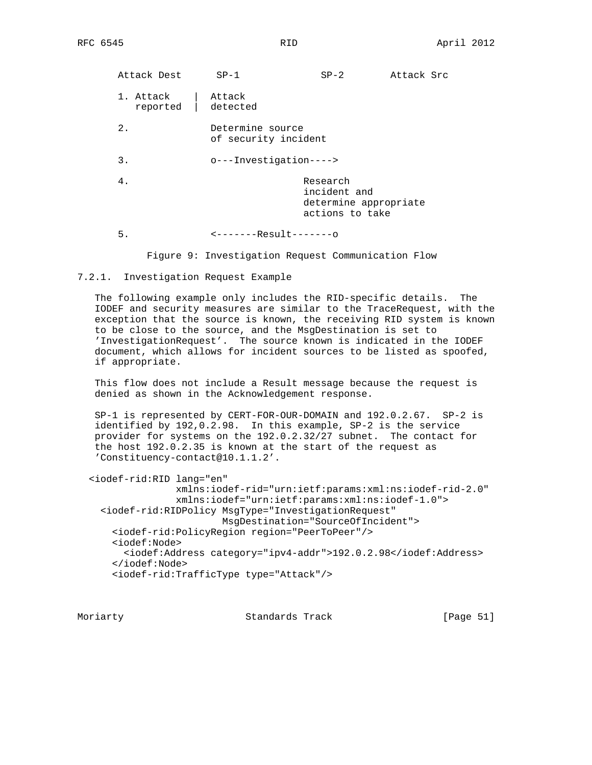| Attack Dest           | $SP-1$                                                             | $SP-2$                                                               | Attack Src |  |  |
|-----------------------|--------------------------------------------------------------------|----------------------------------------------------------------------|------------|--|--|
| 1. Attack<br>reported | Attack<br>detected                                                 |                                                                      |            |  |  |
| 2.                    | Determine source<br>of security incident<br>o---Investigation----> |                                                                      |            |  |  |
| 3.                    |                                                                    |                                                                      |            |  |  |
| 4.                    |                                                                    | Research<br>incident and<br>determine appropriate<br>actions to take |            |  |  |
| 5.                    | $-----Result----$                                                  |                                                                      |            |  |  |

Figure 9: Investigation Request Communication Flow

#### 7.2.1. Investigation Request Example

 The following example only includes the RID-specific details. The IODEF and security measures are similar to the TraceRequest, with the exception that the source is known, the receiving RID system is known to be close to the source, and the MsgDestination is set to 'InvestigationRequest'. The source known is indicated in the IODEF document, which allows for incident sources to be listed as spoofed, if appropriate.

 This flow does not include a Result message because the request is denied as shown in the Acknowledgement response.

 SP-1 is represented by CERT-FOR-OUR-DOMAIN and 192.0.2.67. SP-2 is identified by 192,0.2.98. In this example, SP-2 is the service provider for systems on the 192.0.2.32/27 subnet. The contact for the host 192.0.2.35 is known at the start of the request as 'Constituency-contact@10.1.1.2'.

```
 <iodef-rid:RID lang="en"
                xmlns:iodef-rid="urn:ietf:params:xml:ns:iodef-rid-2.0"
                xmlns:iodef="urn:ietf:params:xml:ns:iodef-1.0">
   <iodef-rid:RIDPolicy MsgType="InvestigationRequest"
                        MsgDestination="SourceOfIncident">
     <iodef-rid:PolicyRegion region="PeerToPeer"/>
     <iodef:Node>
       <iodef:Address category="ipv4-addr">192.0.2.98</iodef:Address>
     </iodef:Node>
     <iodef-rid:TrafficType type="Attack"/>
```
Moriarty **Standards Track** [Page 51]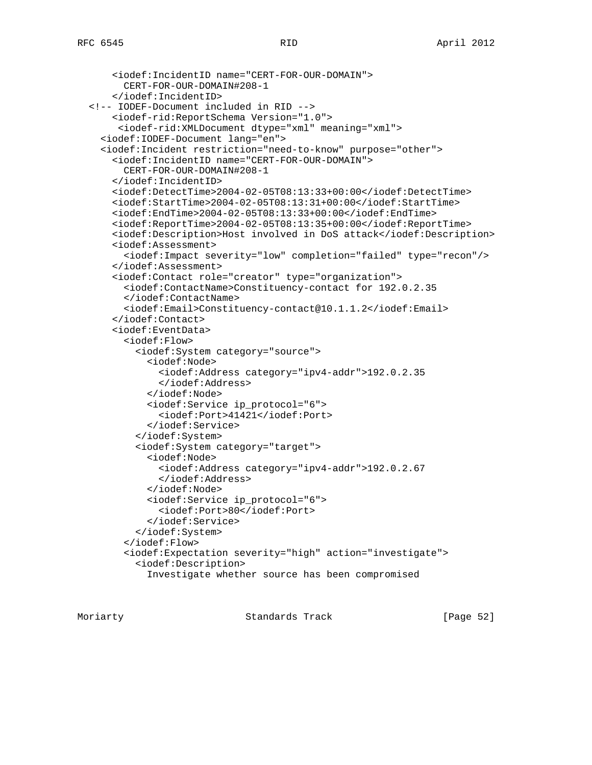```
 <iodef:IncidentID name="CERT-FOR-OUR-DOMAIN">
       CERT-FOR-OUR-DOMAIN#208-1
     </iodef:IncidentID>
 <!-- IODEF-Document included in RID -->
     <iodef-rid:ReportSchema Version="1.0">
      <iodef-rid:XMLDocument dtype="xml" meaning="xml">
   <iodef:IODEF-Document lang="en">
   <iodef:Incident restriction="need-to-know" purpose="other">
     <iodef:IncidentID name="CERT-FOR-OUR-DOMAIN">
       CERT-FOR-OUR-DOMAIN#208-1
     </iodef:IncidentID>
     <iodef:DetectTime>2004-02-05T08:13:33+00:00</iodef:DetectTime>
     <iodef:StartTime>2004-02-05T08:13:31+00:00</iodef:StartTime>
     <iodef:EndTime>2004-02-05T08:13:33+00:00</iodef:EndTime>
     <iodef:ReportTime>2004-02-05T08:13:35+00:00</iodef:ReportTime>
     <iodef:Description>Host involved in DoS attack</iodef:Description>
     <iodef:Assessment>
       <iodef:Impact severity="low" completion="failed" type="recon"/>
     </iodef:Assessment>
     <iodef:Contact role="creator" type="organization">
       <iodef:ContactName>Constituency-contact for 192.0.2.35
       </iodef:ContactName>
       <iodef:Email>Constituency-contact@10.1.1.2</iodef:Email>
     </iodef:Contact>
     <iodef:EventData>
       <iodef:Flow>
         <iodef:System category="source">
           <iodef:Node>
             <iodef:Address category="ipv4-addr">192.0.2.35
             </iodef:Address>
           </iodef:Node>
           <iodef:Service ip_protocol="6">
             <iodef:Port>41421</iodef:Port>
           </iodef:Service>
         </iodef:System>
         <iodef:System category="target">
           <iodef:Node>
             <iodef:Address category="ipv4-addr">192.0.2.67
             </iodef:Address>
           </iodef:Node>
           <iodef:Service ip_protocol="6">
             <iodef:Port>80</iodef:Port>
           </iodef:Service>
         </iodef:System>
       </iodef:Flow>
       <iodef:Expectation severity="high" action="investigate">
         <iodef:Description>
           Investigate whether source has been compromised
```
Moriarty Standards Track [Paqe 52]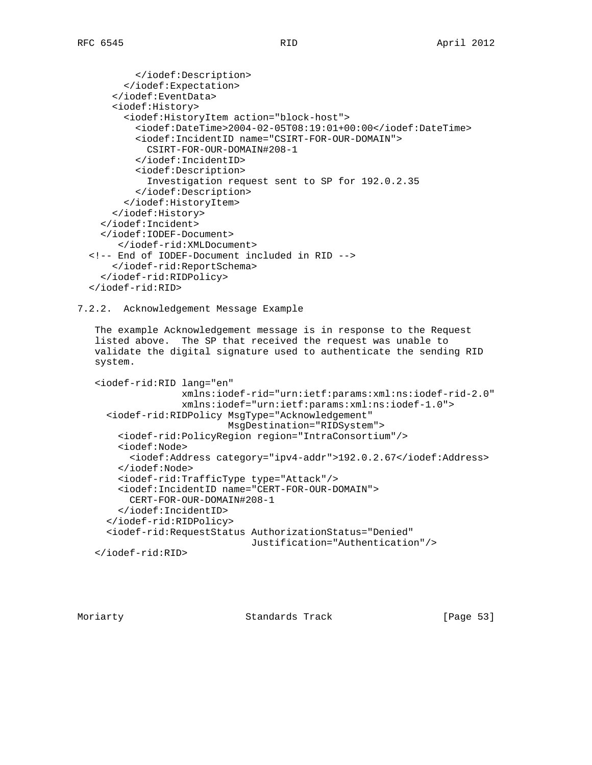```
 </iodef:Description>
       </iodef:Expectation>
     </iodef:EventData>
     <iodef:History>
       <iodef:HistoryItem action="block-host">
         <iodef:DateTime>2004-02-05T08:19:01+00:00</iodef:DateTime>
         <iodef:IncidentID name="CSIRT-FOR-OUR-DOMAIN">
           CSIRT-FOR-OUR-DOMAIN#208-1
         </iodef:IncidentID>
         <iodef:Description>
           Investigation request sent to SP for 192.0.2.35
         </iodef:Description>
       </iodef:HistoryItem>
     </iodef:History>
   </iodef:Incident>
   </iodef:IODEF-Document>
      </iodef-rid:XMLDocument>
 <!-- End of IODEF-Document included in RID -->
     </iodef-rid:ReportSchema>
   </iodef-rid:RIDPolicy>
```

```
 </iodef-rid:RID>
```
7.2.2. Acknowledgement Message Example

 The example Acknowledgement message is in response to the Request listed above. The SP that received the request was unable to validate the digital signature used to authenticate the sending RID system.

```
 <iodef-rid:RID lang="en"
                xmlns:iodef-rid="urn:ietf:params:xml:ns:iodef-rid-2.0"
                xmlns:iodef="urn:ietf:params:xml:ns:iodef-1.0">
   <iodef-rid:RIDPolicy MsgType="Acknowledgement"
                        MsgDestination="RIDSystem">
     <iodef-rid:PolicyRegion region="IntraConsortium"/>
     <iodef:Node>
       <iodef:Address category="ipv4-addr">192.0.2.67</iodef:Address>
     </iodef:Node>
     <iodef-rid:TrafficType type="Attack"/>
     <iodef:IncidentID name="CERT-FOR-OUR-DOMAIN">
       CERT-FOR-OUR-DOMAIN#208-1
     </iodef:IncidentID>
   </iodef-rid:RIDPolicy>
   <iodef-rid:RequestStatus AuthorizationStatus="Denied"
                             Justification="Authentication"/>
```

```
 </iodef-rid:RID>
```
Moriarty Standards Track [Page 53]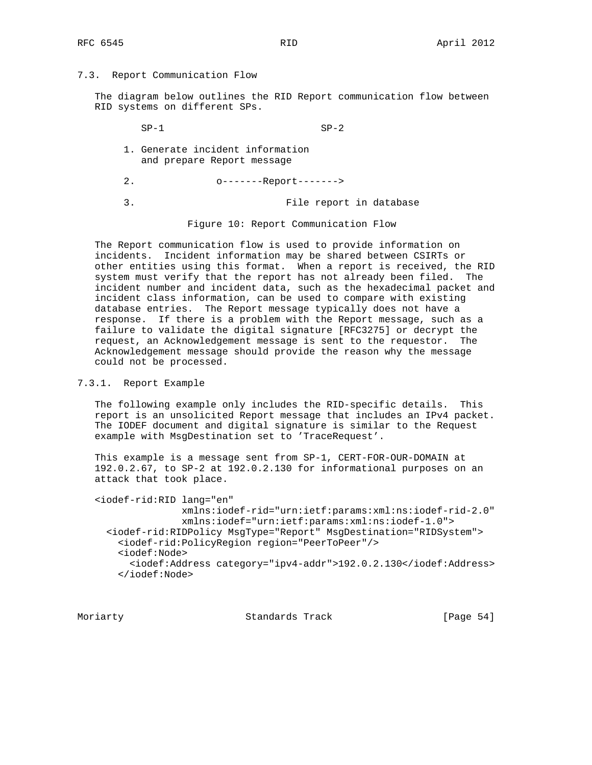## 7.3. Report Communication Flow

 The diagram below outlines the RID Report communication flow between RID systems on different SPs.

 $SP-1$   $SP-2$  1. Generate incident information and prepare Report message 2. o-------Report------->

3. File report in database

Figure 10: Report Communication Flow

 The Report communication flow is used to provide information on incidents. Incident information may be shared between CSIRTs or other entities using this format. When a report is received, the RID system must verify that the report has not already been filed. The incident number and incident data, such as the hexadecimal packet and incident class information, can be used to compare with existing database entries. The Report message typically does not have a response. If there is a problem with the Report message, such as a failure to validate the digital signature [RFC3275] or decrypt the request, an Acknowledgement message is sent to the requestor. The Acknowledgement message should provide the reason why the message could not be processed.

## 7.3.1. Report Example

 The following example only includes the RID-specific details. This report is an unsolicited Report message that includes an IPv4 packet. The IODEF document and digital signature is similar to the Request example with MsgDestination set to 'TraceRequest'.

 This example is a message sent from SP-1, CERT-FOR-OUR-DOMAIN at 192.0.2.67, to SP-2 at 192.0.2.130 for informational purposes on an attack that took place.

 <iodef-rid:RID lang="en" xmlns:iodef-rid="urn:ietf:params:xml:ns:iodef-rid-2.0" xmlns:iodef="urn:ietf:params:xml:ns:iodef-1.0"> <iodef-rid:RIDPolicy MsgType="Report" MsgDestination="RIDSystem"> <iodef-rid:PolicyRegion region="PeerToPeer"/> <iodef:Node> <iodef:Address category="ipv4-addr">192.0.2.130</iodef:Address> </iodef:Node>

Moriarty **Standards Track** [Page 54]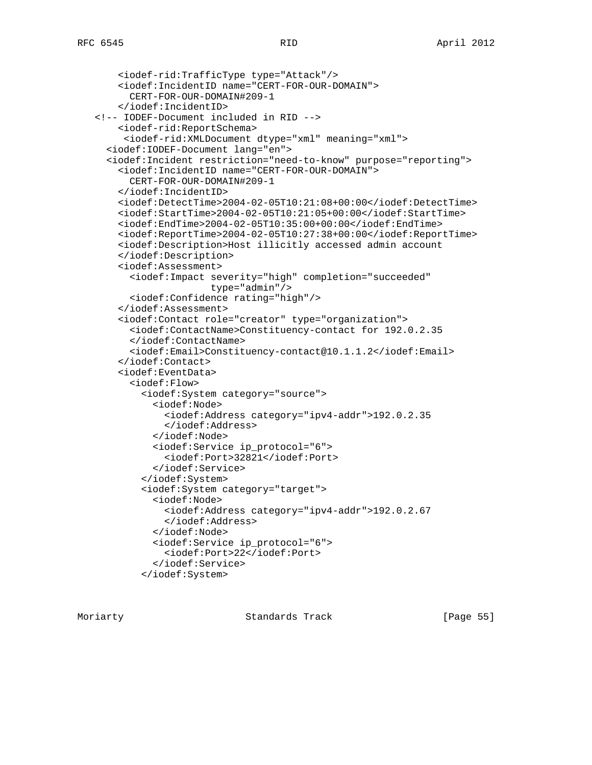```
 <iodef-rid:TrafficType type="Attack"/>
     <iodef:IncidentID name="CERT-FOR-OUR-DOMAIN">
       CERT-FOR-OUR-DOMAIN#209-1
     </iodef:IncidentID>
 <!-- IODEF-Document included in RID -->
     <iodef-rid:ReportSchema>
      <iodef-rid:XMLDocument dtype="xml" meaning="xml">
   <iodef:IODEF-Document lang="en">
   <iodef:Incident restriction="need-to-know" purpose="reporting">
     <iodef:IncidentID name="CERT-FOR-OUR-DOMAIN">
       CERT-FOR-OUR-DOMAIN#209-1
     </iodef:IncidentID>
     <iodef:DetectTime>2004-02-05T10:21:08+00:00</iodef:DetectTime>
     <iodef:StartTime>2004-02-05T10:21:05+00:00</iodef:StartTime>
     <iodef:EndTime>2004-02-05T10:35:00+00:00</iodef:EndTime>
     <iodef:ReportTime>2004-02-05T10:27:38+00:00</iodef:ReportTime>
     <iodef:Description>Host illicitly accessed admin account
     </iodef:Description>
     <iodef:Assessment>
       <iodef:Impact severity="high" completion="succeeded"
                     type="admin"/>
       <iodef:Confidence rating="high"/>
     </iodef:Assessment>
     <iodef:Contact role="creator" type="organization">
       <iodef:ContactName>Constituency-contact for 192.0.2.35
       </iodef:ContactName>
       <iodef:Email>Constituency-contact@10.1.1.2</iodef:Email>
     </iodef:Contact>
     <iodef:EventData>
       <iodef:Flow>
         <iodef:System category="source">
           <iodef:Node>
             <iodef:Address category="ipv4-addr">192.0.2.35
             </iodef:Address>
           </iodef:Node>
           <iodef:Service ip_protocol="6">
             <iodef:Port>32821</iodef:Port>
           </iodef:Service>
         </iodef:System>
         <iodef:System category="target">
           <iodef:Node>
             <iodef:Address category="ipv4-addr">192.0.2.67
             </iodef:Address>
           </iodef:Node>
           <iodef:Service ip_protocol="6">
             <iodef:Port>22</iodef:Port>
           </iodef:Service>
         </iodef:System>
```
Moriarty Standards Track [Page 55]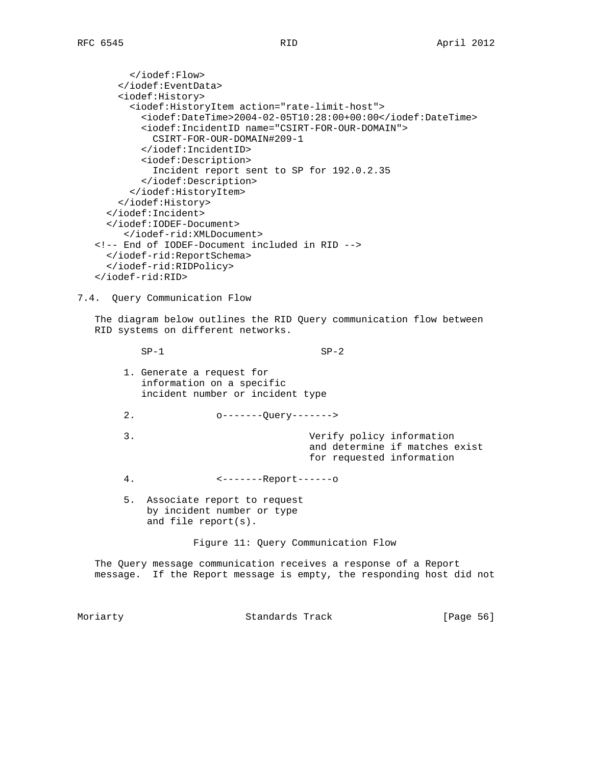</iodef:Flow> </iodef:EventData> <iodef:History> <iodef:HistoryItem action="rate-limit-host"> <iodef:DateTime>2004-02-05T10:28:00+00:00</iodef:DateTime> <iodef:IncidentID name="CSIRT-FOR-OUR-DOMAIN"> CSIRT-FOR-OUR-DOMAIN#209-1 </iodef:IncidentID> <iodef:Description> Incident report sent to SP for 192.0.2.35 </iodef:Description> </iodef:HistoryItem> </iodef:History> </iodef:Incident> </iodef:IODEF-Document> </iodef-rid:XMLDocument> <!-- End of IODEF-Document included in RID --> </iodef-rid:ReportSchema> </iodef-rid:RIDPolicy> </iodef-rid:RID> 7.4. Query Communication Flow

 The diagram below outlines the RID Query communication flow between RID systems on different networks.

 $SP-1$   $SP-2$  1. Generate a request for information on a specific incident number or incident type 2. o-------Query-------> 3. Verify policy information and determine if matches exist for requested information 4. <-------Report------o 5. Associate report to request by incident number or type and file report(s). Figure 11: Query Communication Flow

 The Query message communication receives a response of a Report message. If the Report message is empty, the responding host did not

Moriarty **Standards Track** [Page 56]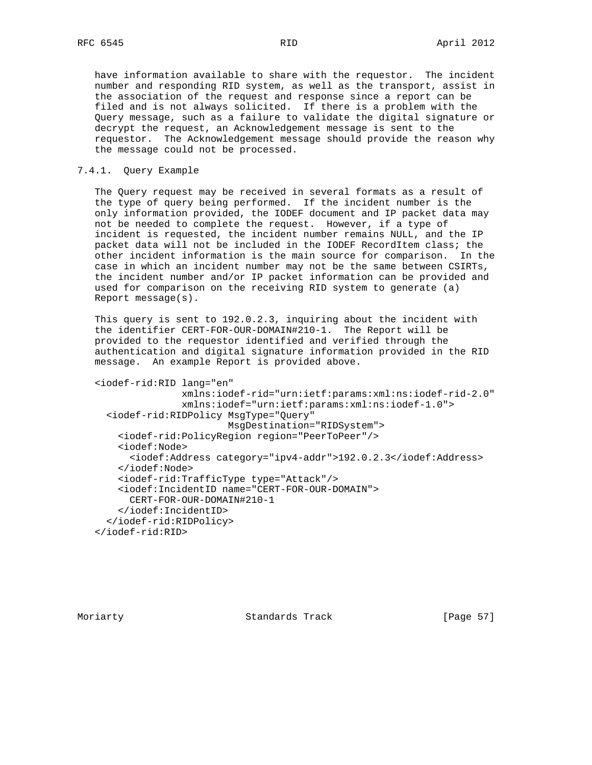have information available to share with the requestor. The incident number and responding RID system, as well as the transport, assist in the association of the request and response since a report can be filed and is not always solicited. If there is a problem with the Query message, such as a failure to validate the digital signature or decrypt the request, an Acknowledgement message is sent to the requestor. The Acknowledgement message should provide the reason why the message could not be processed.

## 7.4.1. Query Example

 The Query request may be received in several formats as a result of the type of query being performed. If the incident number is the only information provided, the IODEF document and IP packet data may not be needed to complete the request. However, if a type of incident is requested, the incident number remains NULL, and the IP packet data will not be included in the IODEF RecordItem class; the other incident information is the main source for comparison. In the case in which an incident number may not be the same between CSIRTs, the incident number and/or IP packet information can be provided and used for comparison on the receiving RID system to generate (a) Report message(s).

 This query is sent to 192.0.2.3, inquiring about the incident with the identifier CERT-FOR-OUR-DOMAIN#210-1. The Report will be provided to the requestor identified and verified through the authentication and digital signature information provided in the RID message. An example Report is provided above.

```
 <iodef-rid:RID lang="en"
                xmlns:iodef-rid="urn:ietf:params:xml:ns:iodef-rid-2.0"
                xmlns:iodef="urn:ietf:params:xml:ns:iodef-1.0">
   <iodef-rid:RIDPolicy MsgType="Query"
                        MsgDestination="RIDSystem">
     <iodef-rid:PolicyRegion region="PeerToPeer"/>
     <iodef:Node>
       <iodef:Address category="ipv4-addr">192.0.2.3</iodef:Address>
     </iodef:Node>
     <iodef-rid:TrafficType type="Attack"/>
     <iodef:IncidentID name="CERT-FOR-OUR-DOMAIN">
       CERT-FOR-OUR-DOMAIN#210-1
     </iodef:IncidentID>
   </iodef-rid:RIDPolicy>
 </iodef-rid:RID>
```
Moriarty **Standards Track** [Page 57]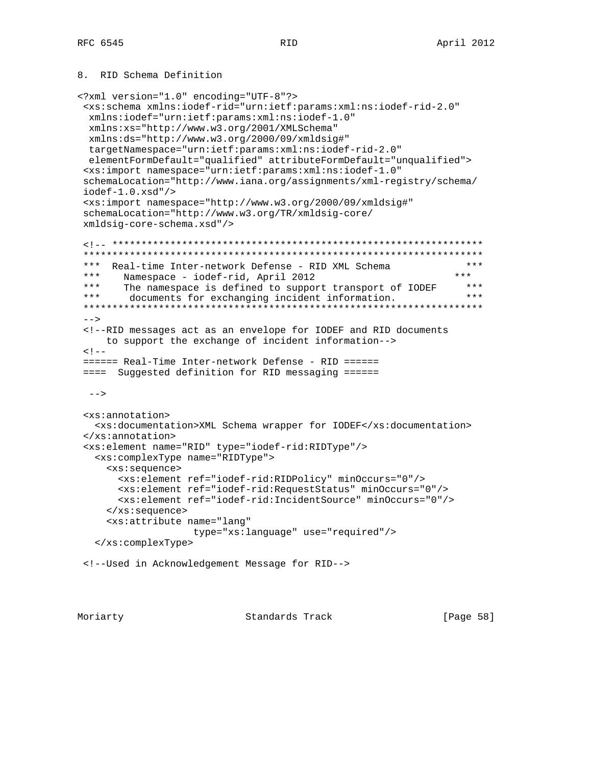# 8. RID Schema Definition

```
<?xml version="1.0" encoding="UTF-8"?>
  <xs:schema xmlns:iodef-rid="urn:ietf:params:xml:ns:iodef-rid-2.0"
  xmlns:iodef="urn:ietf:params:xml:ns:iodef-1.0"
  xmlns:xs="http://www.w3.org/2001/XMLSchema"
  xmlns:ds="http://www.w3.org/2000/09/xmldsig#"
  targetNamespace="urn:ietf:params:xml:ns:iodef-rid-2.0"
  elementFormDefault="qualified" attributeFormDefault="unqualified">
 <xs:import namespace="urn:ietf:params:xml:ns:iodef-1.0"
 schemaLocation="http://www.iana.org/assignments/xml-registry/schema/
 iodef-1.0.xsd"/>
 <xs:import namespace="http://www.w3.org/2000/09/xmldsig#"
 schemaLocation="http://www.w3.org/TR/xmldsig-core/
 xmldsig-core-schema.xsd"/>
 <!-- ****************************************************************
  *********************************************************************
*** Real-time Inter-network Defense - RID XML Schema *** *** *** Namespace - iodef-rid April 2012
*** Namespace - iodef-rid, April 2012 *** *** ***<br>*** The namespace is defined to support transport of IODER ***
      The namespace is defined to support transport of IODEF
  *** documents for exchanging incident information. ***
  *********************************************************************
--&> <!--RID messages act as an envelope for IODEF and RID documents
     to support the exchange of incident information-->
< 1 - - ====== Real-Time Inter-network Defense - RID ======
 ==== Suggested definition for RID messaging ======
 --&> <xs:annotation>
   <xs:documentation>XML Schema wrapper for IODEF</xs:documentation>
 </xs:annotation>
 <xs:element name="RID" type="iodef-rid:RIDType"/>
    <xs:complexType name="RIDType">
      <xs:sequence>
        <xs:element ref="iodef-rid:RIDPolicy" minOccurs="0"/>
        <xs:element ref="iodef-rid:RequestStatus" minOccurs="0"/>
        <xs:element ref="iodef-rid:IncidentSource" minOccurs="0"/>
      </xs:sequence>
      <xs:attribute name="lang"
                     type="xs:language" use="required"/>
    </xs:complexType>
 <!--Used in Acknowledgement Message for RID-->
```
Moriarty **Standards Track** [Page 58]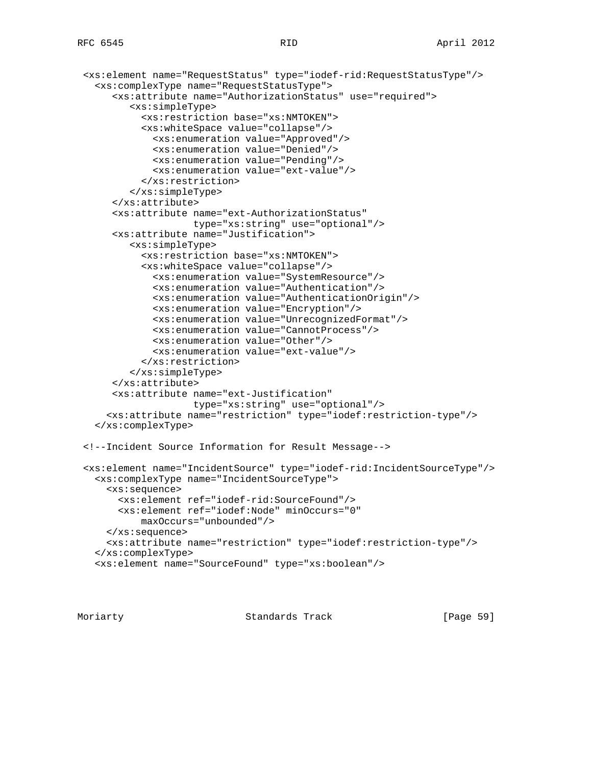```
 <xs:element name="RequestStatus" type="iodef-rid:RequestStatusType"/>
   <xs:complexType name="RequestStatusType">
      <xs:attribute name="AuthorizationStatus" use="required">
         <xs:simpleType>
           <xs:restriction base="xs:NMTOKEN">
           <xs:whiteSpace value="collapse"/>
             <xs:enumeration value="Approved"/>
             <xs:enumeration value="Denied"/>
             <xs:enumeration value="Pending"/>
             <xs:enumeration value="ext-value"/>
           </xs:restriction>
         </xs:simpleType>
      </xs:attribute>
      <xs:attribute name="ext-AuthorizationStatus"
                    type="xs:string" use="optional"/>
      <xs:attribute name="Justification">
         <xs:simpleType>
           <xs:restriction base="xs:NMTOKEN">
           <xs:whiteSpace value="collapse"/>
             <xs:enumeration value="SystemResource"/>
             <xs:enumeration value="Authentication"/>
             <xs:enumeration value="AuthenticationOrigin"/>
             <xs:enumeration value="Encryption"/>
             <xs:enumeration value="UnrecognizedFormat"/>
             <xs:enumeration value="CannotProcess"/>
             <xs:enumeration value="Other"/>
             <xs:enumeration value="ext-value"/>
           </xs:restriction>
         </xs:simpleType>
      </xs:attribute>
      <xs:attribute name="ext-Justification"
                    type="xs:string" use="optional"/>
     <xs:attribute name="restriction" type="iodef:restriction-type"/>
   </xs:complexType>
 <!--Incident Source Information for Result Message-->
 <xs:element name="IncidentSource" type="iodef-rid:IncidentSourceType"/>
   <xs:complexType name="IncidentSourceType">
     <xs:sequence>
       <xs:element ref="iodef-rid:SourceFound"/>
       <xs:element ref="iodef:Node" minOccurs="0"
           maxOccurs="unbounded"/>
     </xs:sequence>
     <xs:attribute name="restriction" type="iodef:restriction-type"/>
   </xs:complexType>
   <xs:element name="SourceFound" type="xs:boolean"/>
```
Moriarty Standards Track [Page 59]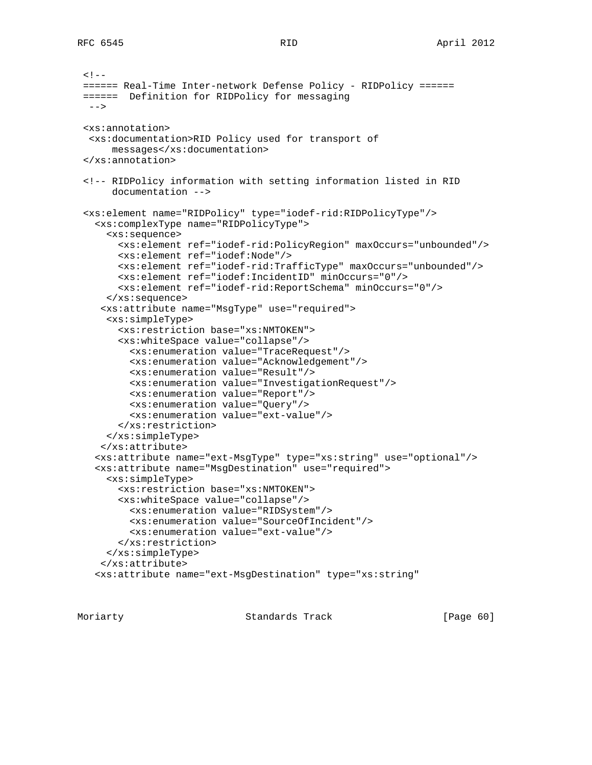```
<! -- ====== Real-Time Inter-network Defense Policy - RIDPolicy ======
 ====== Definition for RIDPolicy for messaging
 --&> <xs:annotation>
  <xs:documentation>RID Policy used for transport of
      messages</xs:documentation>
 </xs:annotation>
 <!-- RIDPolicy information with setting information listed in RID
      documentation -->
 <xs:element name="RIDPolicy" type="iodef-rid:RIDPolicyType"/>
   <xs:complexType name="RIDPolicyType">
     <xs:sequence>
       <xs:element ref="iodef-rid:PolicyRegion" maxOccurs="unbounded"/>
       <xs:element ref="iodef:Node"/>
       <xs:element ref="iodef-rid:TrafficType" maxOccurs="unbounded"/>
       <xs:element ref="iodef:IncidentID" minOccurs="0"/>
       <xs:element ref="iodef-rid:ReportSchema" minOccurs="0"/>
     </xs:sequence>
    <xs:attribute name="MsgType" use="required">
     <xs:simpleType>
       <xs:restriction base="xs:NMTOKEN">
       <xs:whiteSpace value="collapse"/>
         <xs:enumeration value="TraceRequest"/>
         <xs:enumeration value="Acknowledgement"/>
         <xs:enumeration value="Result"/>
         <xs:enumeration value="InvestigationRequest"/>
         <xs:enumeration value="Report"/>
         <xs:enumeration value="Query"/>
         <xs:enumeration value="ext-value"/>
       </xs:restriction>
     </xs:simpleType>
    </xs:attribute>
   <xs:attribute name="ext-MsgType" type="xs:string" use="optional"/>
   <xs:attribute name="MsgDestination" use="required">
     <xs:simpleType>
       <xs:restriction base="xs:NMTOKEN">
       <xs:whiteSpace value="collapse"/>
         <xs:enumeration value="RIDSystem"/>
         <xs:enumeration value="SourceOfIncident"/>
         <xs:enumeration value="ext-value"/>
       </xs:restriction>
     </xs:simpleType>
    </xs:attribute>
   <xs:attribute name="ext-MsgDestination" type="xs:string"
```
Moriarty **Standards Track** [Page 60]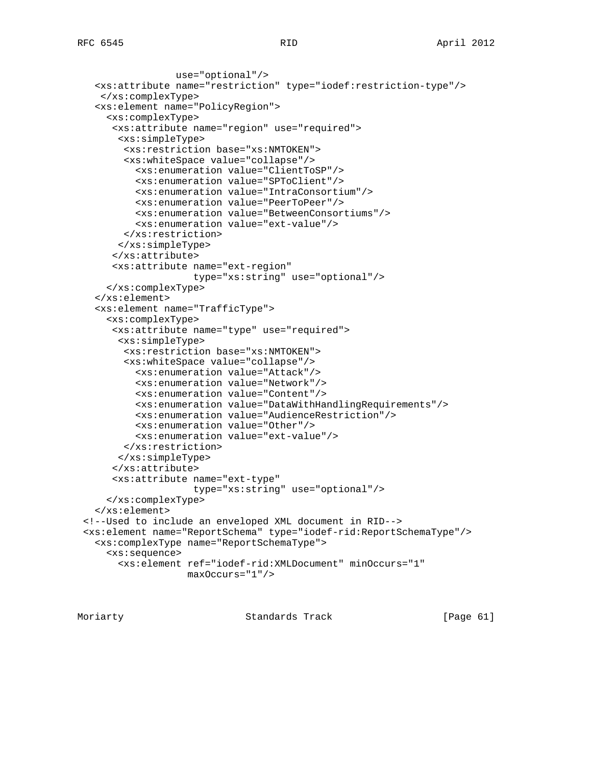```
 use="optional"/>
   <xs:attribute name="restriction" type="iodef:restriction-type"/>
    </xs:complexType>
   <xs:element name="PolicyRegion">
     <xs:complexType>
      <xs:attribute name="region" use="required">
       <xs:simpleType>
        <xs:restriction base="xs:NMTOKEN">
        <xs:whiteSpace value="collapse"/>
          <xs:enumeration value="ClientToSP"/>
          <xs:enumeration value="SPToClient"/>
          <xs:enumeration value="IntraConsortium"/>
          <xs:enumeration value="PeerToPeer"/>
          <xs:enumeration value="BetweenConsortiums"/>
          <xs:enumeration value="ext-value"/>
        </xs:restriction>
       </xs:simpleType>
      </xs:attribute>
      <xs:attribute name="ext-region"
                    type="xs:string" use="optional"/>
     </xs:complexType>
   </xs:element>
   <xs:element name="TrafficType">
     <xs:complexType>
      <xs:attribute name="type" use="required">
       <xs:simpleType>
        <xs:restriction base="xs:NMTOKEN">
        <xs:whiteSpace value="collapse"/>
          <xs:enumeration value="Attack"/>
          <xs:enumeration value="Network"/>
          <xs:enumeration value="Content"/>
          <xs:enumeration value="DataWithHandlingRequirements"/>
          <xs:enumeration value="AudienceRestriction"/>
          <xs:enumeration value="Other"/>
          <xs:enumeration value="ext-value"/>
        </xs:restriction>
       </xs:simpleType>
      </xs:attribute>
      <xs:attribute name="ext-type"
                    type="xs:string" use="optional"/>
     </xs:complexType>
   </xs:element>
 <!--Used to include an enveloped XML document in RID-->
 <xs:element name="ReportSchema" type="iodef-rid:ReportSchemaType"/>
   <xs:complexType name="ReportSchemaType">
     <xs:sequence>
       <xs:element ref="iodef-rid:XMLDocument" minOccurs="1"
                   maxOccurs="1"/>
```
Moriarty **Standards Track** [Page 61]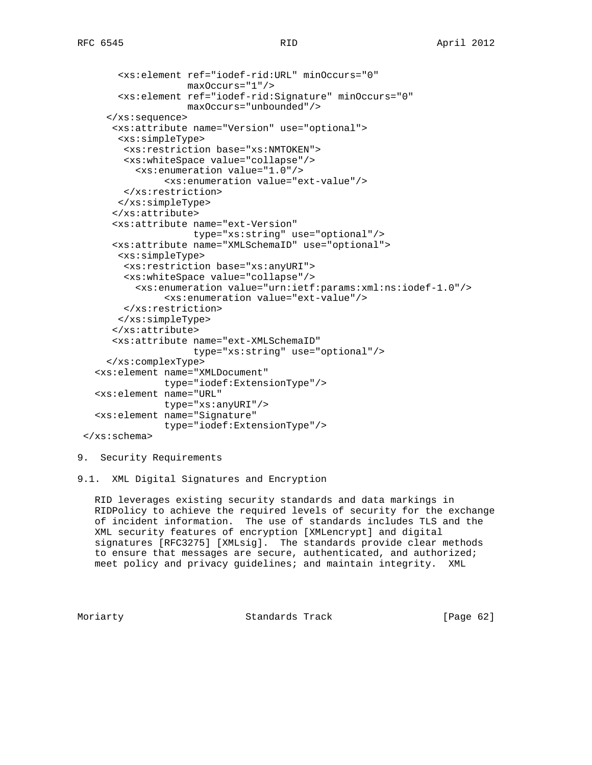```
 <xs:element ref="iodef-rid:URL" minOccurs="0"
                maxOccurs="1"/>
     <xs:element ref="iodef-rid:Signature" minOccurs="0"
                 maxOccurs="unbounded"/>
   </xs:sequence>
    <xs:attribute name="Version" use="optional">
     <xs:simpleType>
     <xs:restriction base="xs:NMTOKEN">
     <xs:whiteSpace value="collapse"/>
       <xs:enumeration value="1.0"/>
             <xs:enumeration value="ext-value"/>
     </xs:restriction>
    </xs:simpleType>
    </xs:attribute>
    <xs:attribute name="ext-Version"
                  type="xs:string" use="optional"/>
    <xs:attribute name="XMLSchemaID" use="optional">
    <xs:simpleType>
     <xs:restriction base="xs:anyURI">
      <xs:whiteSpace value="collapse"/>
        <xs:enumeration value="urn:ietf:params:xml:ns:iodef-1.0"/>
             <xs:enumeration value="ext-value"/>
     </xs:restriction>
    </xs:simpleType>
    </xs:attribute>
    <xs:attribute name="ext-XMLSchemaID"
                  type="xs:string" use="optional"/>
   </xs:complexType>
 <xs:element name="XMLDocument"
             type="iodef:ExtensionType"/>
 <xs:element name="URL"
            type="xs:anyURI"/>
 <xs:element name="Signature"
            type="iodef:ExtensionType"/>
```

```
 </xs:schema>
```
9. Security Requirements

9.1. XML Digital Signatures and Encryption

 RID leverages existing security standards and data markings in RIDPolicy to achieve the required levels of security for the exchange of incident information. The use of standards includes TLS and the XML security features of encryption [XMLencrypt] and digital signatures [RFC3275] [XMLsig]. The standards provide clear methods to ensure that messages are secure, authenticated, and authorized; meet policy and privacy guidelines; and maintain integrity. XML

Moriarty **Standards Track** [Page 62]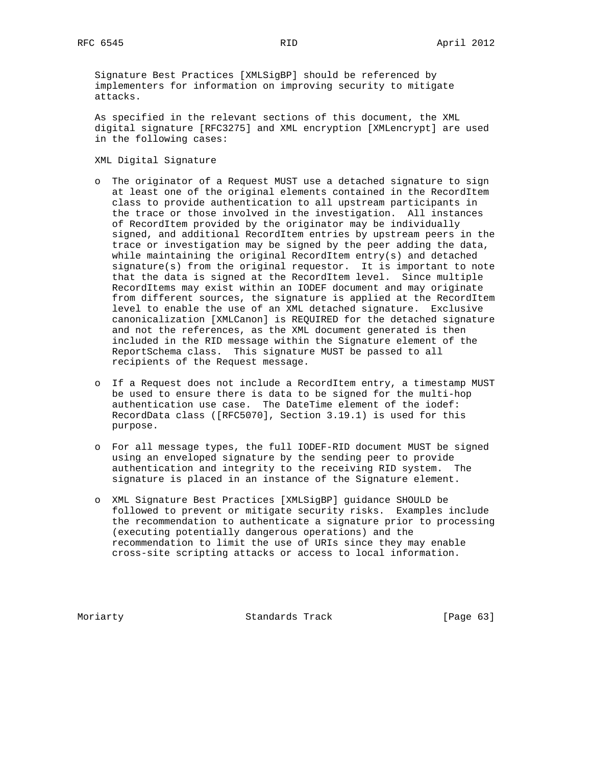Signature Best Practices [XMLSigBP] should be referenced by implementers for information on improving security to mitigate attacks.

 As specified in the relevant sections of this document, the XML digital signature [RFC3275] and XML encryption [XMLencrypt] are used in the following cases:

XML Digital Signature

- o The originator of a Request MUST use a detached signature to sign at least one of the original elements contained in the RecordItem class to provide authentication to all upstream participants in the trace or those involved in the investigation. All instances of RecordItem provided by the originator may be individually signed, and additional RecordItem entries by upstream peers in the trace or investigation may be signed by the peer adding the data, while maintaining the original RecordItem entry(s) and detached signature(s) from the original requestor. It is important to note that the data is signed at the RecordItem level. Since multiple RecordItems may exist within an IODEF document and may originate from different sources, the signature is applied at the RecordItem level to enable the use of an XML detached signature. Exclusive canonicalization [XMLCanon] is REQUIRED for the detached signature and not the references, as the XML document generated is then included in the RID message within the Signature element of the ReportSchema class. This signature MUST be passed to all recipients of the Request message.
- o If a Request does not include a RecordItem entry, a timestamp MUST be used to ensure there is data to be signed for the multi-hop authentication use case. The DateTime element of the iodef: RecordData class ([RFC5070], Section 3.19.1) is used for this purpose.
- o For all message types, the full IODEF-RID document MUST be signed using an enveloped signature by the sending peer to provide authentication and integrity to the receiving RID system. The signature is placed in an instance of the Signature element.
- o XML Signature Best Practices [XMLSigBP] guidance SHOULD be followed to prevent or mitigate security risks. Examples include the recommendation to authenticate a signature prior to processing (executing potentially dangerous operations) and the recommendation to limit the use of URIs since they may enable cross-site scripting attacks or access to local information.

Moriarty **Standards Track** [Page 63]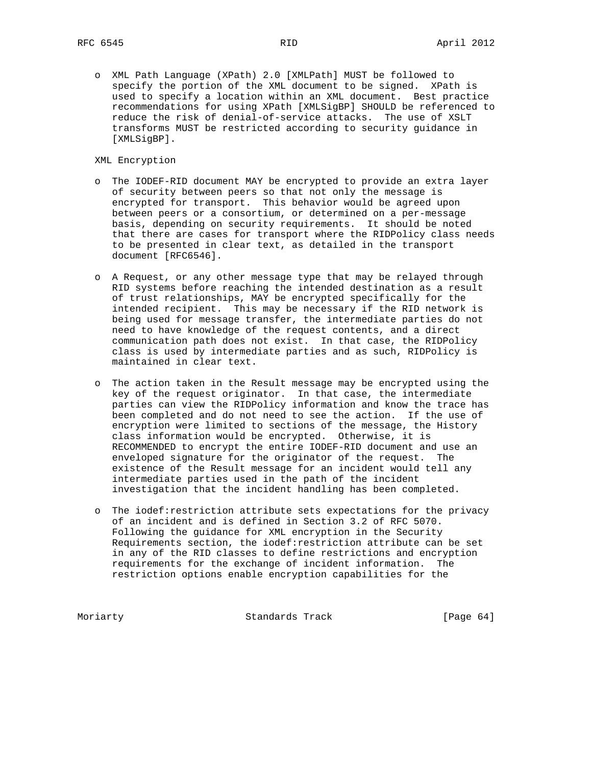o XML Path Language (XPath) 2.0 [XMLPath] MUST be followed to specify the portion of the XML document to be signed. XPath is used to specify a location within an XML document. Best practice recommendations for using XPath [XMLSigBP] SHOULD be referenced to reduce the risk of denial-of-service attacks. The use of XSLT transforms MUST be restricted according to security guidance in [XMLSigBP].

XML Encryption

- o The IODEF-RID document MAY be encrypted to provide an extra layer of security between peers so that not only the message is encrypted for transport. This behavior would be agreed upon between peers or a consortium, or determined on a per-message basis, depending on security requirements. It should be noted that there are cases for transport where the RIDPolicy class needs to be presented in clear text, as detailed in the transport document [RFC6546].
- o A Request, or any other message type that may be relayed through RID systems before reaching the intended destination as a result of trust relationships, MAY be encrypted specifically for the intended recipient. This may be necessary if the RID network is being used for message transfer, the intermediate parties do not need to have knowledge of the request contents, and a direct communication path does not exist. In that case, the RIDPolicy class is used by intermediate parties and as such, RIDPolicy is maintained in clear text.
- o The action taken in the Result message may be encrypted using the key of the request originator. In that case, the intermediate parties can view the RIDPolicy information and know the trace has been completed and do not need to see the action. If the use of encryption were limited to sections of the message, the History class information would be encrypted. Otherwise, it is RECOMMENDED to encrypt the entire IODEF-RID document and use an enveloped signature for the originator of the request. The existence of the Result message for an incident would tell any intermediate parties used in the path of the incident investigation that the incident handling has been completed.
- o The iodef:restriction attribute sets expectations for the privacy of an incident and is defined in Section 3.2 of RFC 5070. Following the guidance for XML encryption in the Security Requirements section, the iodef:restriction attribute can be set in any of the RID classes to define restrictions and encryption requirements for the exchange of incident information. The restriction options enable encryption capabilities for the

Moriarty **Standards Track** [Page 64]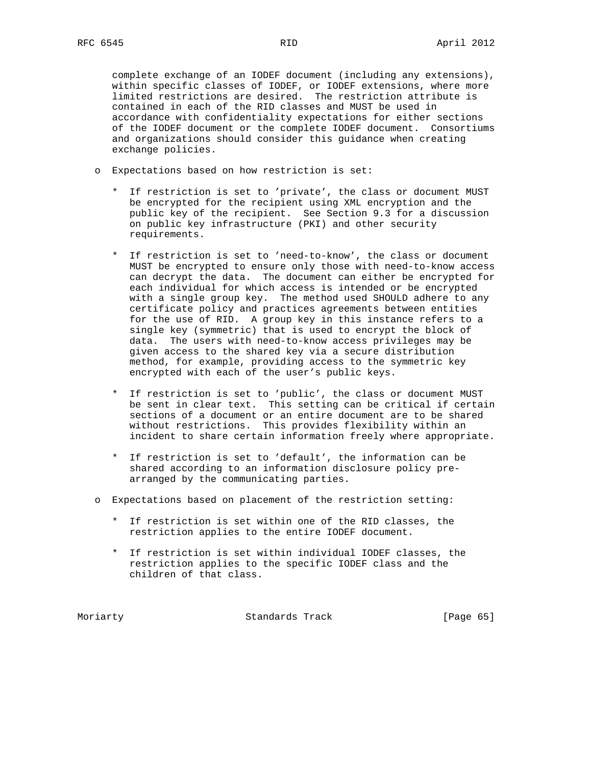complete exchange of an IODEF document (including any extensions), within specific classes of IODEF, or IODEF extensions, where more limited restrictions are desired. The restriction attribute is contained in each of the RID classes and MUST be used in accordance with confidentiality expectations for either sections of the IODEF document or the complete IODEF document. Consortiums and organizations should consider this guidance when creating exchange policies.

- o Expectations based on how restriction is set:
	- \* If restriction is set to 'private', the class or document MUST be encrypted for the recipient using XML encryption and the public key of the recipient. See Section 9.3 for a discussion on public key infrastructure (PKI) and other security requirements.
	- \* If restriction is set to 'need-to-know', the class or document MUST be encrypted to ensure only those with need-to-know access can decrypt the data. The document can either be encrypted for each individual for which access is intended or be encrypted with a single group key. The method used SHOULD adhere to any certificate policy and practices agreements between entities for the use of RID. A group key in this instance refers to a single key (symmetric) that is used to encrypt the block of data. The users with need-to-know access privileges may be given access to the shared key via a secure distribution method, for example, providing access to the symmetric key encrypted with each of the user's public keys.
	- \* If restriction is set to 'public', the class or document MUST be sent in clear text. This setting can be critical if certain sections of a document or an entire document are to be shared without restrictions. This provides flexibility within an incident to share certain information freely where appropriate.
	- \* If restriction is set to 'default', the information can be shared according to an information disclosure policy pre arranged by the communicating parties.
- o Expectations based on placement of the restriction setting:
	- \* If restriction is set within one of the RID classes, the restriction applies to the entire IODEF document.
	- \* If restriction is set within individual IODEF classes, the restriction applies to the specific IODEF class and the children of that class.

Moriarty **Standards Track** [Page 65]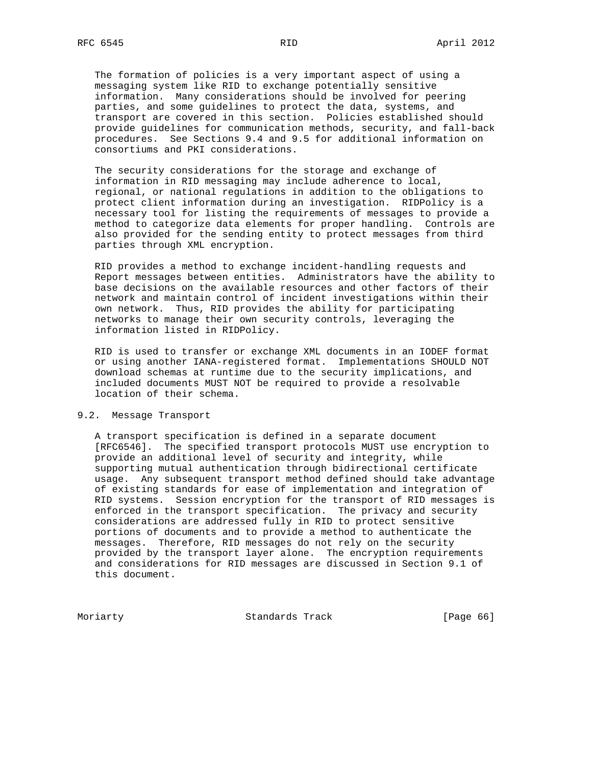The formation of policies is a very important aspect of using a messaging system like RID to exchange potentially sensitive information. Many considerations should be involved for peering parties, and some guidelines to protect the data, systems, and transport are covered in this section. Policies established should provide guidelines for communication methods, security, and fall-back procedures. See Sections 9.4 and 9.5 for additional information on consortiums and PKI considerations.

 The security considerations for the storage and exchange of information in RID messaging may include adherence to local, regional, or national regulations in addition to the obligations to protect client information during an investigation. RIDPolicy is a necessary tool for listing the requirements of messages to provide a method to categorize data elements for proper handling. Controls are also provided for the sending entity to protect messages from third parties through XML encryption.

 RID provides a method to exchange incident-handling requests and Report messages between entities. Administrators have the ability to base decisions on the available resources and other factors of their network and maintain control of incident investigations within their own network. Thus, RID provides the ability for participating networks to manage their own security controls, leveraging the information listed in RIDPolicy.

 RID is used to transfer or exchange XML documents in an IODEF format or using another IANA-registered format. Implementations SHOULD NOT download schemas at runtime due to the security implications, and included documents MUST NOT be required to provide a resolvable location of their schema.

## 9.2. Message Transport

 A transport specification is defined in a separate document [RFC6546]. The specified transport protocols MUST use encryption to provide an additional level of security and integrity, while supporting mutual authentication through bidirectional certificate usage. Any subsequent transport method defined should take advantage of existing standards for ease of implementation and integration of RID systems. Session encryption for the transport of RID messages is enforced in the transport specification. The privacy and security considerations are addressed fully in RID to protect sensitive portions of documents and to provide a method to authenticate the messages. Therefore, RID messages do not rely on the security provided by the transport layer alone. The encryption requirements and considerations for RID messages are discussed in Section 9.1 of this document.

Moriarty Standards Track [Page 66]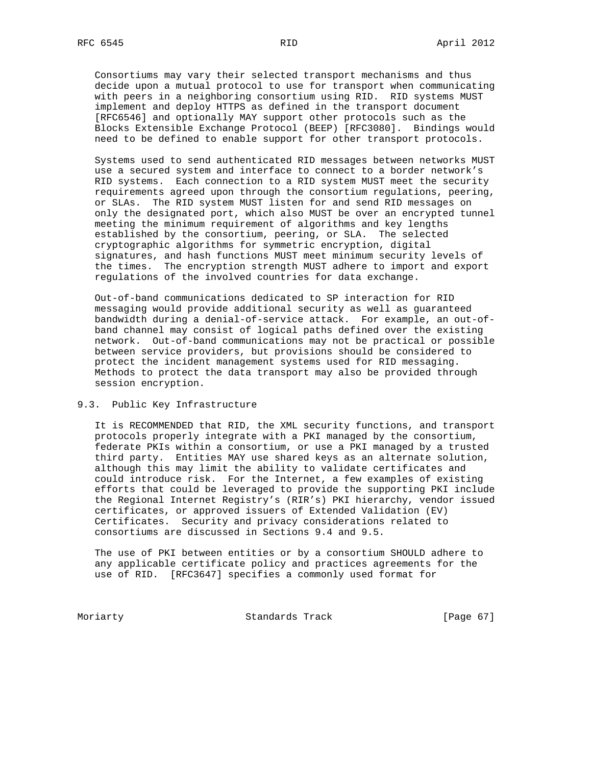Consortiums may vary their selected transport mechanisms and thus decide upon a mutual protocol to use for transport when communicating with peers in a neighboring consortium using RID. RID systems MUST implement and deploy HTTPS as defined in the transport document [RFC6546] and optionally MAY support other protocols such as the Blocks Extensible Exchange Protocol (BEEP) [RFC3080]. Bindings would need to be defined to enable support for other transport protocols.

 Systems used to send authenticated RID messages between networks MUST use a secured system and interface to connect to a border network's RID systems. Each connection to a RID system MUST meet the security requirements agreed upon through the consortium regulations, peering, or SLAs. The RID system MUST listen for and send RID messages on only the designated port, which also MUST be over an encrypted tunnel meeting the minimum requirement of algorithms and key lengths established by the consortium, peering, or SLA. The selected cryptographic algorithms for symmetric encryption, digital signatures, and hash functions MUST meet minimum security levels of the times. The encryption strength MUST adhere to import and export regulations of the involved countries for data exchange.

 Out-of-band communications dedicated to SP interaction for RID messaging would provide additional security as well as guaranteed bandwidth during a denial-of-service attack. For example, an out-of band channel may consist of logical paths defined over the existing network. Out-of-band communications may not be practical or possible between service providers, but provisions should be considered to protect the incident management systems used for RID messaging. Methods to protect the data transport may also be provided through session encryption.

### 9.3. Public Key Infrastructure

 It is RECOMMENDED that RID, the XML security functions, and transport protocols properly integrate with a PKI managed by the consortium, federate PKIs within a consortium, or use a PKI managed by a trusted third party. Entities MAY use shared keys as an alternate solution, although this may limit the ability to validate certificates and could introduce risk. For the Internet, a few examples of existing efforts that could be leveraged to provide the supporting PKI include the Regional Internet Registry's (RIR's) PKI hierarchy, vendor issued certificates, or approved issuers of Extended Validation (EV) Certificates. Security and privacy considerations related to consortiums are discussed in Sections 9.4 and 9.5.

 The use of PKI between entities or by a consortium SHOULD adhere to any applicable certificate policy and practices agreements for the use of RID. [RFC3647] specifies a commonly used format for

Moriarty **Standards Track** [Page 67]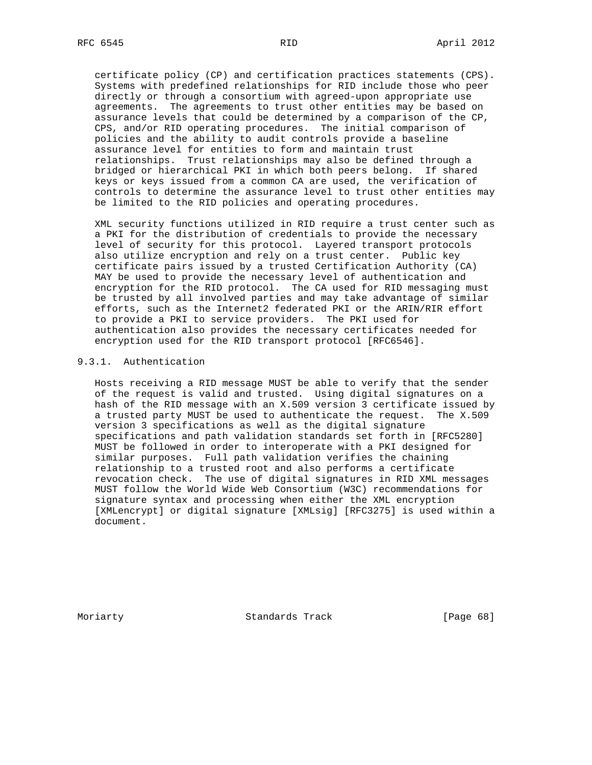certificate policy (CP) and certification practices statements (CPS). Systems with predefined relationships for RID include those who peer directly or through a consortium with agreed-upon appropriate use agreements. The agreements to trust other entities may be based on assurance levels that could be determined by a comparison of the CP, CPS, and/or RID operating procedures. The initial comparison of policies and the ability to audit controls provide a baseline assurance level for entities to form and maintain trust relationships. Trust relationships may also be defined through a bridged or hierarchical PKI in which both peers belong. If shared keys or keys issued from a common CA are used, the verification of controls to determine the assurance level to trust other entities may be limited to the RID policies and operating procedures.

 XML security functions utilized in RID require a trust center such as a PKI for the distribution of credentials to provide the necessary level of security for this protocol. Layered transport protocols also utilize encryption and rely on a trust center. Public key certificate pairs issued by a trusted Certification Authority (CA) MAY be used to provide the necessary level of authentication and encryption for the RID protocol. The CA used for RID messaging must be trusted by all involved parties and may take advantage of similar efforts, such as the Internet2 federated PKI or the ARIN/RIR effort to provide a PKI to service providers. The PKI used for authentication also provides the necessary certificates needed for encryption used for the RID transport protocol [RFC6546].

### 9.3.1. Authentication

 Hosts receiving a RID message MUST be able to verify that the sender of the request is valid and trusted. Using digital signatures on a hash of the RID message with an X.509 version 3 certificate issued by a trusted party MUST be used to authenticate the request. The X.509 version 3 specifications as well as the digital signature specifications and path validation standards set forth in [RFC5280] MUST be followed in order to interoperate with a PKI designed for similar purposes. Full path validation verifies the chaining relationship to a trusted root and also performs a certificate revocation check. The use of digital signatures in RID XML messages MUST follow the World Wide Web Consortium (W3C) recommendations for signature syntax and processing when either the XML encryption [XMLencrypt] or digital signature [XMLsig] [RFC3275] is used within a document.

Moriarty **Standards Track** [Page 68]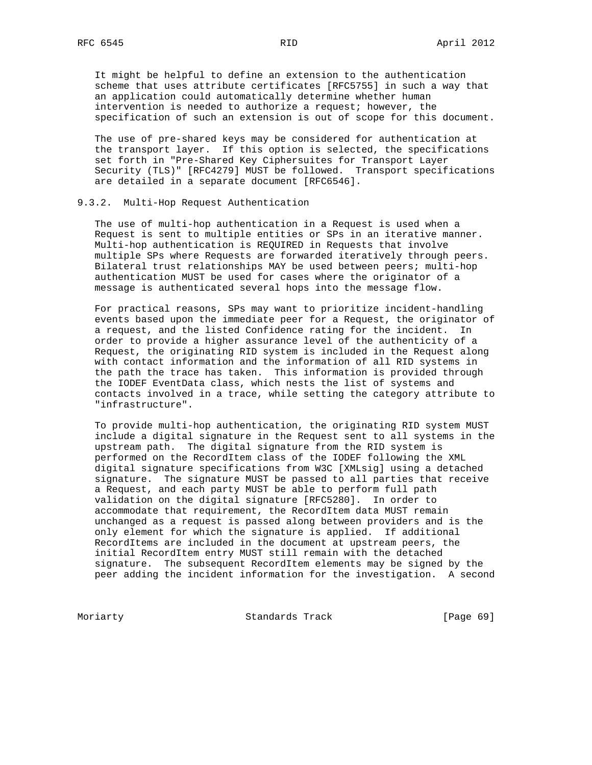It might be helpful to define an extension to the authentication scheme that uses attribute certificates [RFC5755] in such a way that an application could automatically determine whether human intervention is needed to authorize a request; however, the specification of such an extension is out of scope for this document.

 The use of pre-shared keys may be considered for authentication at the transport layer. If this option is selected, the specifications set forth in "Pre-Shared Key Ciphersuites for Transport Layer Security (TLS)" [RFC4279] MUST be followed. Transport specifications are detailed in a separate document [RFC6546].

#### 9.3.2. Multi-Hop Request Authentication

 The use of multi-hop authentication in a Request is used when a Request is sent to multiple entities or SPs in an iterative manner. Multi-hop authentication is REQUIRED in Requests that involve multiple SPs where Requests are forwarded iteratively through peers. Bilateral trust relationships MAY be used between peers; multi-hop authentication MUST be used for cases where the originator of a message is authenticated several hops into the message flow.

 For practical reasons, SPs may want to prioritize incident-handling events based upon the immediate peer for a Request, the originator of a request, and the listed Confidence rating for the incident. In order to provide a higher assurance level of the authenticity of a Request, the originating RID system is included in the Request along with contact information and the information of all RID systems in the path the trace has taken. This information is provided through the IODEF EventData class, which nests the list of systems and contacts involved in a trace, while setting the category attribute to "infrastructure".

 To provide multi-hop authentication, the originating RID system MUST include a digital signature in the Request sent to all systems in the upstream path. The digital signature from the RID system is performed on the RecordItem class of the IODEF following the XML digital signature specifications from W3C [XMLsig] using a detached signature. The signature MUST be passed to all parties that receive a Request, and each party MUST be able to perform full path validation on the digital signature [RFC5280]. In order to accommodate that requirement, the RecordItem data MUST remain unchanged as a request is passed along between providers and is the only element for which the signature is applied. If additional RecordItems are included in the document at upstream peers, the initial RecordItem entry MUST still remain with the detached signature. The subsequent RecordItem elements may be signed by the peer adding the incident information for the investigation. A second

Moriarty **Standards Track** [Page 69]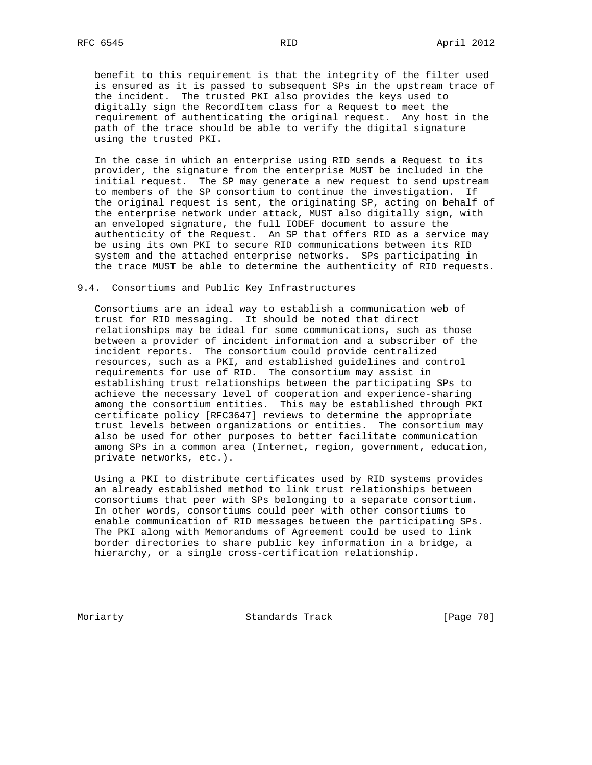benefit to this requirement is that the integrity of the filter used is ensured as it is passed to subsequent SPs in the upstream trace of the incident. The trusted PKI also provides the keys used to digitally sign the RecordItem class for a Request to meet the requirement of authenticating the original request. Any host in the path of the trace should be able to verify the digital signature using the trusted PKI.

 In the case in which an enterprise using RID sends a Request to its provider, the signature from the enterprise MUST be included in the initial request. The SP may generate a new request to send upstream to members of the SP consortium to continue the investigation. If the original request is sent, the originating SP, acting on behalf of the enterprise network under attack, MUST also digitally sign, with an enveloped signature, the full IODEF document to assure the authenticity of the Request. An SP that offers RID as a service may be using its own PKI to secure RID communications between its RID system and the attached enterprise networks. SPs participating in the trace MUST be able to determine the authenticity of RID requests.

#### 9.4. Consortiums and Public Key Infrastructures

 Consortiums are an ideal way to establish a communication web of trust for RID messaging. It should be noted that direct relationships may be ideal for some communications, such as those between a provider of incident information and a subscriber of the incident reports. The consortium could provide centralized resources, such as a PKI, and established guidelines and control requirements for use of RID. The consortium may assist in establishing trust relationships between the participating SPs to achieve the necessary level of cooperation and experience-sharing among the consortium entities. This may be established through PKI certificate policy [RFC3647] reviews to determine the appropriate trust levels between organizations or entities. The consortium may also be used for other purposes to better facilitate communication among SPs in a common area (Internet, region, government, education, private networks, etc.).

 Using a PKI to distribute certificates used by RID systems provides an already established method to link trust relationships between consortiums that peer with SPs belonging to a separate consortium. In other words, consortiums could peer with other consortiums to enable communication of RID messages between the participating SPs. The PKI along with Memorandums of Agreement could be used to link border directories to share public key information in a bridge, a hierarchy, or a single cross-certification relationship.

Moriarty **Standards Track** [Page 70]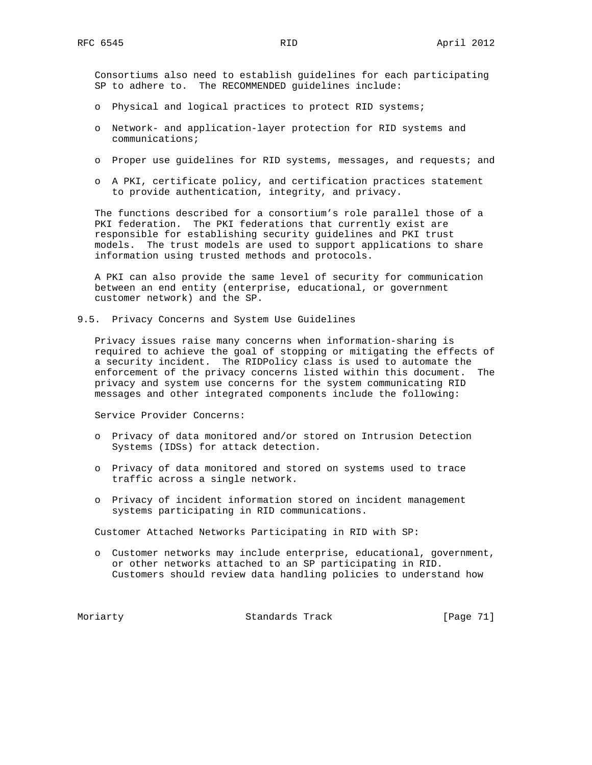Consortiums also need to establish guidelines for each participating SP to adhere to. The RECOMMENDED guidelines include:

- o Physical and logical practices to protect RID systems;
- o Network- and application-layer protection for RID systems and communications;
- o Proper use guidelines for RID systems, messages, and requests; and
- o A PKI, certificate policy, and certification practices statement to provide authentication, integrity, and privacy.

 The functions described for a consortium's role parallel those of a PKI federation. The PKI federations that currently exist are responsible for establishing security guidelines and PKI trust models. The trust models are used to support applications to share information using trusted methods and protocols.

 A PKI can also provide the same level of security for communication between an end entity (enterprise, educational, or government customer network) and the SP.

9.5. Privacy Concerns and System Use Guidelines

 Privacy issues raise many concerns when information-sharing is required to achieve the goal of stopping or mitigating the effects of a security incident. The RIDPolicy class is used to automate the enforcement of the privacy concerns listed within this document. The privacy and system use concerns for the system communicating RID messages and other integrated components include the following:

Service Provider Concerns:

- o Privacy of data monitored and/or stored on Intrusion Detection Systems (IDSs) for attack detection.
- o Privacy of data monitored and stored on systems used to trace traffic across a single network.
- o Privacy of incident information stored on incident management systems participating in RID communications.

Customer Attached Networks Participating in RID with SP:

 o Customer networks may include enterprise, educational, government, or other networks attached to an SP participating in RID. Customers should review data handling policies to understand how

Moriarty **Standards Track** [Page 71]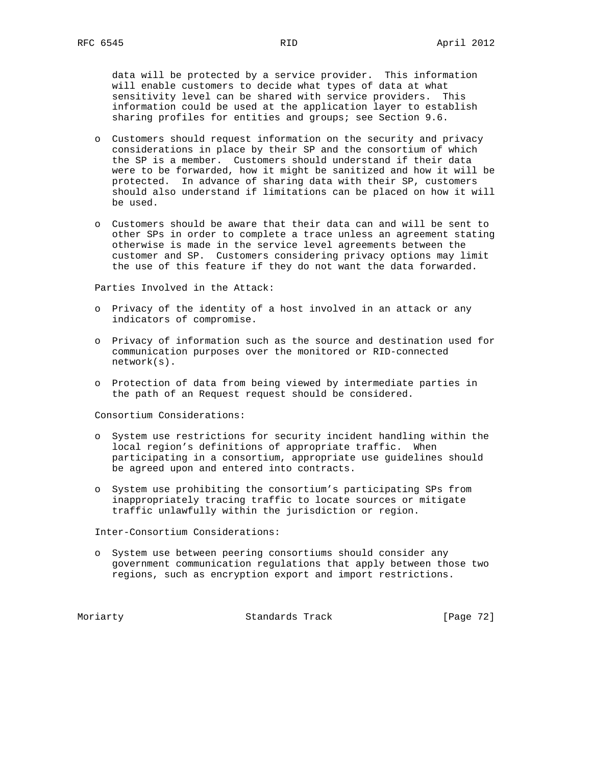data will be protected by a service provider. This information will enable customers to decide what types of data at what sensitivity level can be shared with service providers. This information could be used at the application layer to establish sharing profiles for entities and groups; see Section 9.6.

- o Customers should request information on the security and privacy considerations in place by their SP and the consortium of which the SP is a member. Customers should understand if their data were to be forwarded, how it might be sanitized and how it will be protected. In advance of sharing data with their SP, customers should also understand if limitations can be placed on how it will be used.
- o Customers should be aware that their data can and will be sent to other SPs in order to complete a trace unless an agreement stating otherwise is made in the service level agreements between the customer and SP. Customers considering privacy options may limit the use of this feature if they do not want the data forwarded.

Parties Involved in the Attack:

- o Privacy of the identity of a host involved in an attack or any indicators of compromise.
- o Privacy of information such as the source and destination used for communication purposes over the monitored or RID-connected network(s).
- o Protection of data from being viewed by intermediate parties in the path of an Request request should be considered.

Consortium Considerations:

- o System use restrictions for security incident handling within the local region's definitions of appropriate traffic. When participating in a consortium, appropriate use guidelines should be agreed upon and entered into contracts.
- o System use prohibiting the consortium's participating SPs from inappropriately tracing traffic to locate sources or mitigate traffic unlawfully within the jurisdiction or region.

Inter-Consortium Considerations:

 o System use between peering consortiums should consider any government communication regulations that apply between those two regions, such as encryption export and import restrictions.

Moriarty **Standards Track** [Page 72]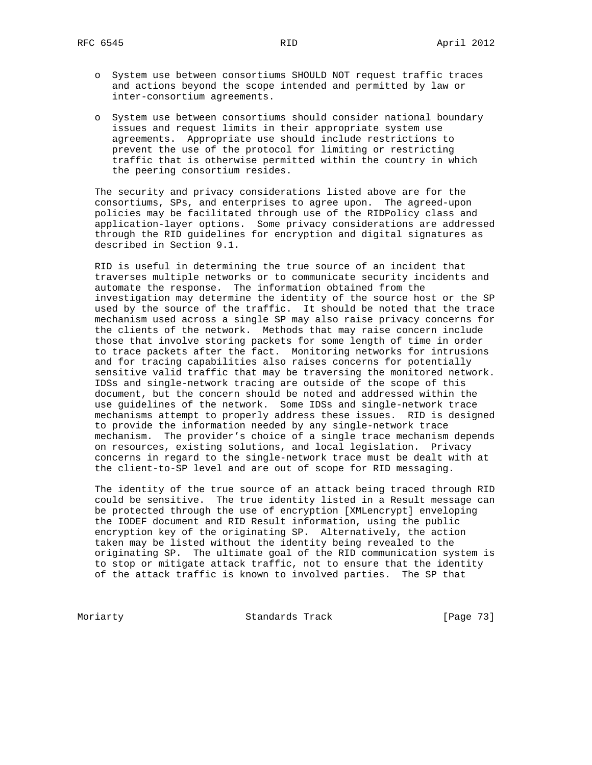- o System use between consortiums SHOULD NOT request traffic traces and actions beyond the scope intended and permitted by law or inter-consortium agreements.
- o System use between consortiums should consider national boundary issues and request limits in their appropriate system use agreements. Appropriate use should include restrictions to prevent the use of the protocol for limiting or restricting traffic that is otherwise permitted within the country in which the peering consortium resides.

 The security and privacy considerations listed above are for the consortiums, SPs, and enterprises to agree upon. The agreed-upon policies may be facilitated through use of the RIDPolicy class and application-layer options. Some privacy considerations are addressed through the RID guidelines for encryption and digital signatures as described in Section 9.1.

 RID is useful in determining the true source of an incident that traverses multiple networks or to communicate security incidents and automate the response. The information obtained from the investigation may determine the identity of the source host or the SP used by the source of the traffic. It should be noted that the trace mechanism used across a single SP may also raise privacy concerns for the clients of the network. Methods that may raise concern include those that involve storing packets for some length of time in order to trace packets after the fact. Monitoring networks for intrusions and for tracing capabilities also raises concerns for potentially sensitive valid traffic that may be traversing the monitored network. IDSs and single-network tracing are outside of the scope of this document, but the concern should be noted and addressed within the use guidelines of the network. Some IDSs and single-network trace mechanisms attempt to properly address these issues. RID is designed to provide the information needed by any single-network trace mechanism. The provider's choice of a single trace mechanism depends on resources, existing solutions, and local legislation. Privacy concerns in regard to the single-network trace must be dealt with at the client-to-SP level and are out of scope for RID messaging.

 The identity of the true source of an attack being traced through RID could be sensitive. The true identity listed in a Result message can be protected through the use of encryption [XMLencrypt] enveloping the IODEF document and RID Result information, using the public encryption key of the originating SP. Alternatively, the action taken may be listed without the identity being revealed to the originating SP. The ultimate goal of the RID communication system is to stop or mitigate attack traffic, not to ensure that the identity of the attack traffic is known to involved parties. The SP that

Moriarty **Standards Track** [Page 73]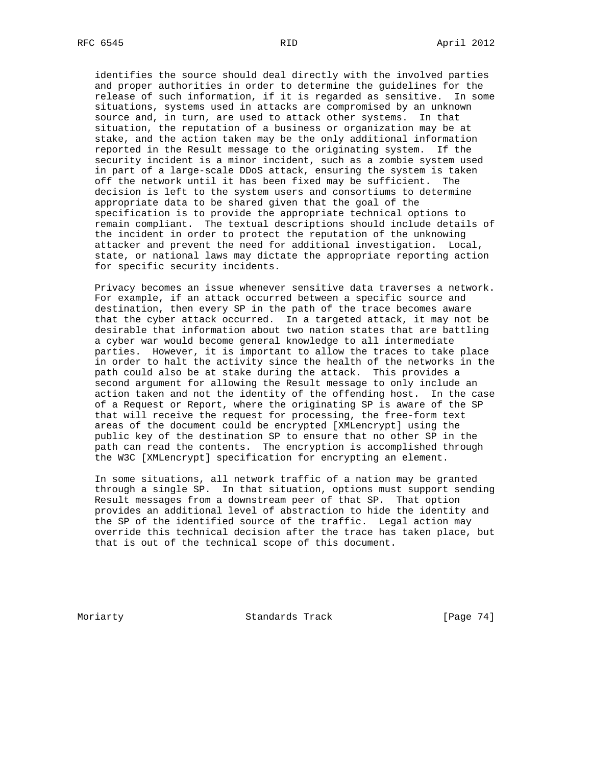identifies the source should deal directly with the involved parties and proper authorities in order to determine the guidelines for the release of such information, if it is regarded as sensitive. In some situations, systems used in attacks are compromised by an unknown source and, in turn, are used to attack other systems. In that situation, the reputation of a business or organization may be at stake, and the action taken may be the only additional information reported in the Result message to the originating system. If the security incident is a minor incident, such as a zombie system used in part of a large-scale DDoS attack, ensuring the system is taken off the network until it has been fixed may be sufficient. The decision is left to the system users and consortiums to determine appropriate data to be shared given that the goal of the specification is to provide the appropriate technical options to remain compliant. The textual descriptions should include details of the incident in order to protect the reputation of the unknowing attacker and prevent the need for additional investigation. Local, state, or national laws may dictate the appropriate reporting action for specific security incidents.

 Privacy becomes an issue whenever sensitive data traverses a network. For example, if an attack occurred between a specific source and destination, then every SP in the path of the trace becomes aware that the cyber attack occurred. In a targeted attack, it may not be desirable that information about two nation states that are battling a cyber war would become general knowledge to all intermediate parties. However, it is important to allow the traces to take place in order to halt the activity since the health of the networks in the path could also be at stake during the attack. This provides a second argument for allowing the Result message to only include an action taken and not the identity of the offending host. In the case of a Request or Report, where the originating SP is aware of the SP that will receive the request for processing, the free-form text areas of the document could be encrypted [XMLencrypt] using the public key of the destination SP to ensure that no other SP in the path can read the contents. The encryption is accomplished through the W3C [XMLencrypt] specification for encrypting an element.

 In some situations, all network traffic of a nation may be granted through a single SP. In that situation, options must support sending Result messages from a downstream peer of that SP. That option provides an additional level of abstraction to hide the identity and the SP of the identified source of the traffic. Legal action may override this technical decision after the trace has taken place, but that is out of the technical scope of this document.

Moriarty **Standards Track** [Page 74]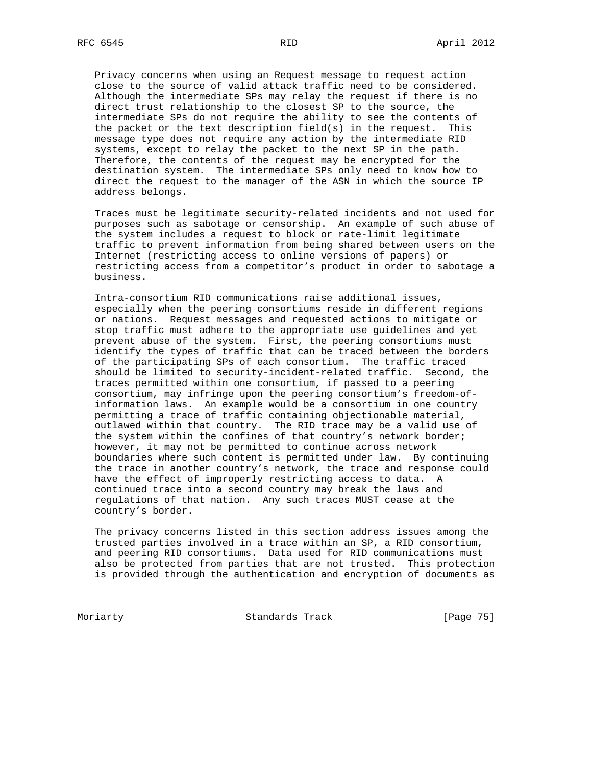Privacy concerns when using an Request message to request action close to the source of valid attack traffic need to be considered. Although the intermediate SPs may relay the request if there is no direct trust relationship to the closest SP to the source, the intermediate SPs do not require the ability to see the contents of the packet or the text description field(s) in the request. This message type does not require any action by the intermediate RID systems, except to relay the packet to the next SP in the path. Therefore, the contents of the request may be encrypted for the destination system. The intermediate SPs only need to know how to direct the request to the manager of the ASN in which the source IP address belongs.

 Traces must be legitimate security-related incidents and not used for purposes such as sabotage or censorship. An example of such abuse of the system includes a request to block or rate-limit legitimate traffic to prevent information from being shared between users on the Internet (restricting access to online versions of papers) or restricting access from a competitor's product in order to sabotage a business.

 Intra-consortium RID communications raise additional issues, especially when the peering consortiums reside in different regions or nations. Request messages and requested actions to mitigate or stop traffic must adhere to the appropriate use guidelines and yet prevent abuse of the system. First, the peering consortiums must identify the types of traffic that can be traced between the borders of the participating SPs of each consortium. The traffic traced should be limited to security-incident-related traffic. Second, the traces permitted within one consortium, if passed to a peering consortium, may infringe upon the peering consortium's freedom-of information laws. An example would be a consortium in one country permitting a trace of traffic containing objectionable material, outlawed within that country. The RID trace may be a valid use of the system within the confines of that country's network border; however, it may not be permitted to continue across network boundaries where such content is permitted under law. By continuing the trace in another country's network, the trace and response could have the effect of improperly restricting access to data. A continued trace into a second country may break the laws and regulations of that nation. Any such traces MUST cease at the country's border.

 The privacy concerns listed in this section address issues among the trusted parties involved in a trace within an SP, a RID consortium, and peering RID consortiums. Data used for RID communications must also be protected from parties that are not trusted. This protection is provided through the authentication and encryption of documents as

Moriarty Standards Track [Page 75]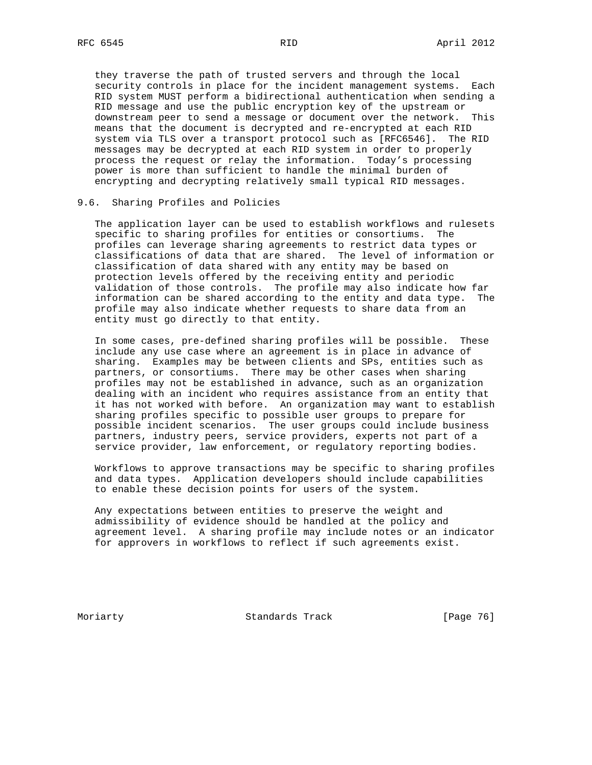they traverse the path of trusted servers and through the local security controls in place for the incident management systems. Each RID system MUST perform a bidirectional authentication when sending a RID message and use the public encryption key of the upstream or downstream peer to send a message or document over the network. This means that the document is decrypted and re-encrypted at each RID system via TLS over a transport protocol such as [RFC6546]. The RID messages may be decrypted at each RID system in order to properly process the request or relay the information. Today's processing power is more than sufficient to handle the minimal burden of encrypting and decrypting relatively small typical RID messages.

## 9.6. Sharing Profiles and Policies

 The application layer can be used to establish workflows and rulesets specific to sharing profiles for entities or consortiums. The profiles can leverage sharing agreements to restrict data types or classifications of data that are shared. The level of information or classification of data shared with any entity may be based on protection levels offered by the receiving entity and periodic validation of those controls. The profile may also indicate how far information can be shared according to the entity and data type. The profile may also indicate whether requests to share data from an entity must go directly to that entity.

 In some cases, pre-defined sharing profiles will be possible. These include any use case where an agreement is in place in advance of sharing. Examples may be between clients and SPs, entities such as partners, or consortiums. There may be other cases when sharing profiles may not be established in advance, such as an organization dealing with an incident who requires assistance from an entity that it has not worked with before. An organization may want to establish sharing profiles specific to possible user groups to prepare for possible incident scenarios. The user groups could include business partners, industry peers, service providers, experts not part of a service provider, law enforcement, or regulatory reporting bodies.

 Workflows to approve transactions may be specific to sharing profiles and data types. Application developers should include capabilities to enable these decision points for users of the system.

 Any expectations between entities to preserve the weight and admissibility of evidence should be handled at the policy and agreement level. A sharing profile may include notes or an indicator for approvers in workflows to reflect if such agreements exist.

Moriarty **Standards Track** [Page 76]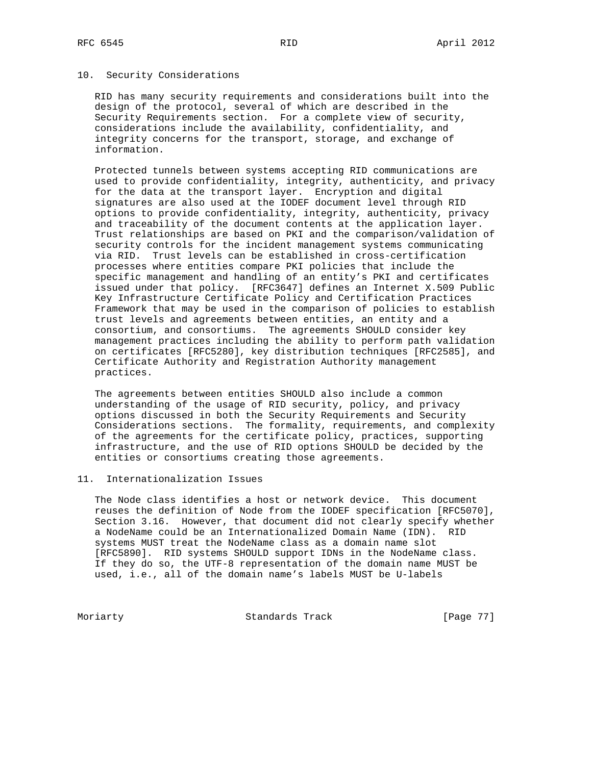#### 10. Security Considerations

 RID has many security requirements and considerations built into the design of the protocol, several of which are described in the Security Requirements section. For a complete view of security, considerations include the availability, confidentiality, and integrity concerns for the transport, storage, and exchange of information.

 Protected tunnels between systems accepting RID communications are used to provide confidentiality, integrity, authenticity, and privacy for the data at the transport layer. Encryption and digital signatures are also used at the IODEF document level through RID options to provide confidentiality, integrity, authenticity, privacy and traceability of the document contents at the application layer. Trust relationships are based on PKI and the comparison/validation of security controls for the incident management systems communicating via RID. Trust levels can be established in cross-certification processes where entities compare PKI policies that include the specific management and handling of an entity's PKI and certificates issued under that policy. [RFC3647] defines an Internet X.509 Public Key Infrastructure Certificate Policy and Certification Practices Framework that may be used in the comparison of policies to establish trust levels and agreements between entities, an entity and a consortium, and consortiums. The agreements SHOULD consider key management practices including the ability to perform path validation on certificates [RFC5280], key distribution techniques [RFC2585], and Certificate Authority and Registration Authority management practices.

 The agreements between entities SHOULD also include a common understanding of the usage of RID security, policy, and privacy options discussed in both the Security Requirements and Security Considerations sections. The formality, requirements, and complexity of the agreements for the certificate policy, practices, supporting infrastructure, and the use of RID options SHOULD be decided by the entities or consortiums creating those agreements.

# 11. Internationalization Issues

 The Node class identifies a host or network device. This document reuses the definition of Node from the IODEF specification [RFC5070], Section 3.16. However, that document did not clearly specify whether a NodeName could be an Internationalized Domain Name (IDN). RID systems MUST treat the NodeName class as a domain name slot [RFC5890]. RID systems SHOULD support IDNs in the NodeName class. If they do so, the UTF-8 representation of the domain name MUST be used, i.e., all of the domain name's labels MUST be U-labels

Moriarty **Standards Track** [Page 77]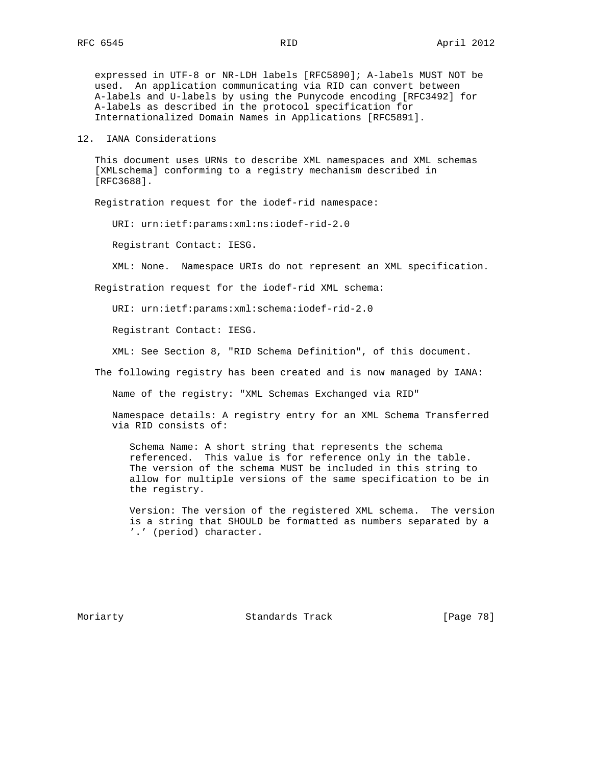expressed in UTF-8 or NR-LDH labels [RFC5890]; A-labels MUST NOT be used. An application communicating via RID can convert between A-labels and U-labels by using the Punycode encoding [RFC3492] for A-labels as described in the protocol specification for Internationalized Domain Names in Applications [RFC5891].

12. IANA Considerations

 This document uses URNs to describe XML namespaces and XML schemas [XMLschema] conforming to a registry mechanism described in [RFC3688].

Registration request for the iodef-rid namespace:

URI: urn:ietf:params:xml:ns:iodef-rid-2.0

Registrant Contact: IESG.

XML: None. Namespace URIs do not represent an XML specification.

Registration request for the iodef-rid XML schema:

URI: urn:ietf:params:xml:schema:iodef-rid-2.0

Registrant Contact: IESG.

XML: See Section 8, "RID Schema Definition", of this document.

The following registry has been created and is now managed by IANA:

Name of the registry: "XML Schemas Exchanged via RID"

 Namespace details: A registry entry for an XML Schema Transferred via RID consists of:

 Schema Name: A short string that represents the schema referenced. This value is for reference only in the table. The version of the schema MUST be included in this string to allow for multiple versions of the same specification to be in the registry.

 Version: The version of the registered XML schema. The version is a string that SHOULD be formatted as numbers separated by a '.' (period) character.

Moriarty **Standards Track** [Page 78]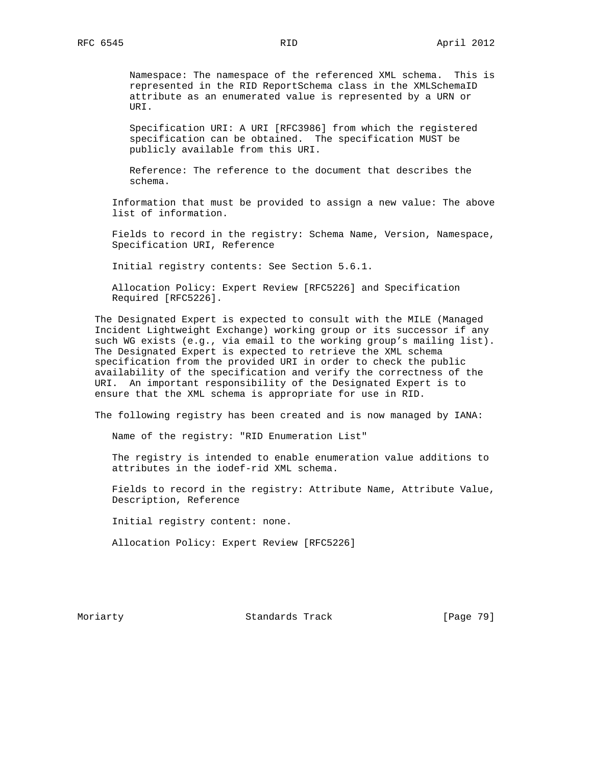Namespace: The namespace of the referenced XML schema. This is represented in the RID ReportSchema class in the XMLSchemaID attribute as an enumerated value is represented by a URN or URI.

 Specification URI: A URI [RFC3986] from which the registered specification can be obtained. The specification MUST be publicly available from this URI.

 Reference: The reference to the document that describes the schema.

 Information that must be provided to assign a new value: The above list of information.

 Fields to record in the registry: Schema Name, Version, Namespace, Specification URI, Reference

Initial registry contents: See Section 5.6.1.

 Allocation Policy: Expert Review [RFC5226] and Specification Required [RFC5226].

 The Designated Expert is expected to consult with the MILE (Managed Incident Lightweight Exchange) working group or its successor if any such WG exists (e.g., via email to the working group's mailing list). The Designated Expert is expected to retrieve the XML schema specification from the provided URI in order to check the public availability of the specification and verify the correctness of the URI. An important responsibility of the Designated Expert is to ensure that the XML schema is appropriate for use in RID.

The following registry has been created and is now managed by IANA:

Name of the registry: "RID Enumeration List"

 The registry is intended to enable enumeration value additions to attributes in the iodef-rid XML schema.

 Fields to record in the registry: Attribute Name, Attribute Value, Description, Reference

Initial registry content: none.

Allocation Policy: Expert Review [RFC5226]

Moriarty **Standards Track** [Page 79]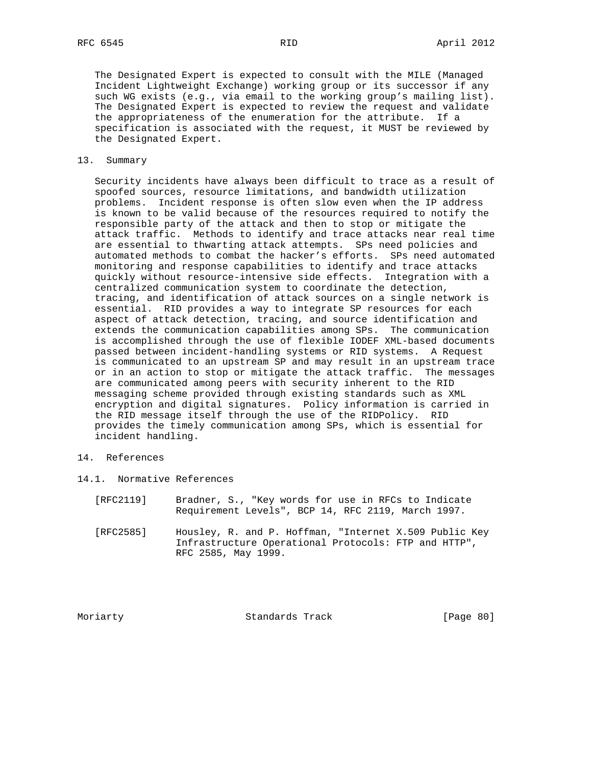The Designated Expert is expected to consult with the MILE (Managed Incident Lightweight Exchange) working group or its successor if any such WG exists (e.g., via email to the working group's mailing list). The Designated Expert is expected to review the request and validate the appropriateness of the enumeration for the attribute. If a specification is associated with the request, it MUST be reviewed by the Designated Expert.

# 13. Summary

 Security incidents have always been difficult to trace as a result of spoofed sources, resource limitations, and bandwidth utilization problems. Incident response is often slow even when the IP address is known to be valid because of the resources required to notify the responsible party of the attack and then to stop or mitigate the attack traffic. Methods to identify and trace attacks near real time are essential to thwarting attack attempts. SPs need policies and automated methods to combat the hacker's efforts. SPs need automated monitoring and response capabilities to identify and trace attacks quickly without resource-intensive side effects. Integration with a centralized communication system to coordinate the detection, tracing, and identification of attack sources on a single network is essential. RID provides a way to integrate SP resources for each aspect of attack detection, tracing, and source identification and extends the communication capabilities among SPs. The communication is accomplished through the use of flexible IODEF XML-based documents passed between incident-handling systems or RID systems. A Request is communicated to an upstream SP and may result in an upstream trace or in an action to stop or mitigate the attack traffic. The messages are communicated among peers with security inherent to the RID messaging scheme provided through existing standards such as XML encryption and digital signatures. Policy information is carried in the RID message itself through the use of the RIDPolicy. RID provides the timely communication among SPs, which is essential for incident handling.

- 14. References
- 14.1. Normative References
	- [RFC2119] Bradner, S., "Key words for use in RFCs to Indicate Requirement Levels", BCP 14, RFC 2119, March 1997.
	- [RFC2585] Housley, R. and P. Hoffman, "Internet X.509 Public Key Infrastructure Operational Protocols: FTP and HTTP", RFC 2585, May 1999.

Moriarty **Standards Track** [Page 80]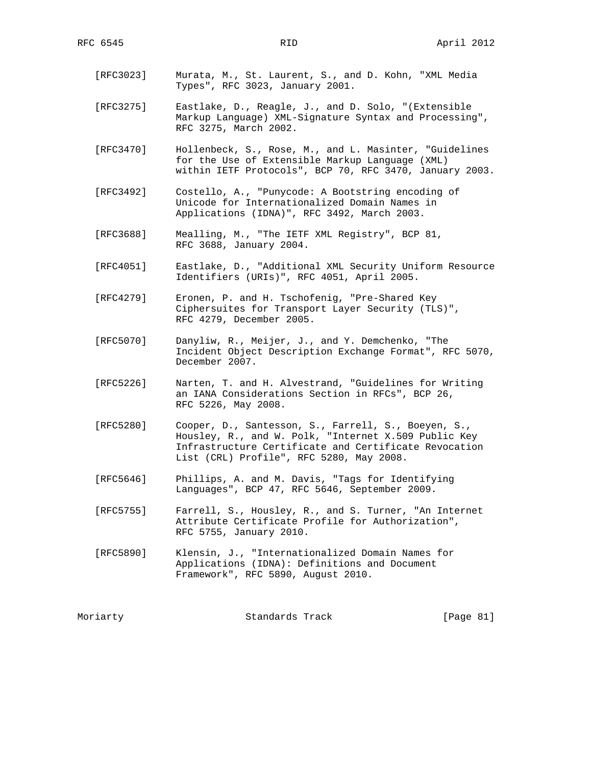- [RFC3023] Murata, M., St. Laurent, S., and D. Kohn, "XML Media Types", RFC 3023, January 2001.
- [RFC3275] Eastlake, D., Reagle, J., and D. Solo, "(Extensible Markup Language) XML-Signature Syntax and Processing", RFC 3275, March 2002.
- [RFC3470] Hollenbeck, S., Rose, M., and L. Masinter, "Guidelines for the Use of Extensible Markup Language (XML) within IETF Protocols", BCP 70, RFC 3470, January 2003.
- [RFC3492] Costello, A., "Punycode: A Bootstring encoding of Unicode for Internationalized Domain Names in Applications (IDNA)", RFC 3492, March 2003.
- [RFC3688] Mealling, M., "The IETF XML Registry", BCP 81, RFC 3688, January 2004.
- [RFC4051] Eastlake, D., "Additional XML Security Uniform Resource Identifiers (URIs)", RFC 4051, April 2005.
- [RFC4279] Eronen, P. and H. Tschofenig, "Pre-Shared Key Ciphersuites for Transport Layer Security (TLS)", RFC 4279, December 2005.
- [RFC5070] Danyliw, R., Meijer, J., and Y. Demchenko, "The Incident Object Description Exchange Format", RFC 5070, December 2007.
- [RFC5226] Narten, T. and H. Alvestrand, "Guidelines for Writing an IANA Considerations Section in RFCs", BCP 26, RFC 5226, May 2008.
- [RFC5280] Cooper, D., Santesson, S., Farrell, S., Boeyen, S., Housley, R., and W. Polk, "Internet X.509 Public Key Infrastructure Certificate and Certificate Revocation List (CRL) Profile", RFC 5280, May 2008.
- [RFC5646] Phillips, A. and M. Davis, "Tags for Identifying Languages", BCP 47, RFC 5646, September 2009.
- [RFC5755] Farrell, S., Housley, R., and S. Turner, "An Internet Attribute Certificate Profile for Authorization", RFC 5755, January 2010.
- [RFC5890] Klensin, J., "Internationalized Domain Names for Applications (IDNA): Definitions and Document Framework", RFC 5890, August 2010.

| Moriarty | Standards Track | [Page 81] |  |
|----------|-----------------|-----------|--|
|----------|-----------------|-----------|--|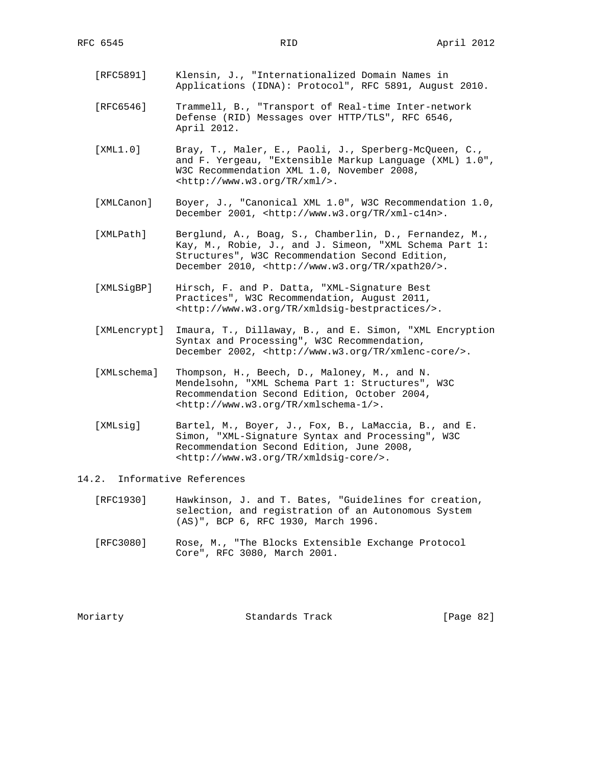- [RFC5891] Klensin, J., "Internationalized Domain Names in Applications (IDNA): Protocol", RFC 5891, August 2010.
- [RFC6546] Trammell, B., "Transport of Real-time Inter-network Defense (RID) Messages over HTTP/TLS", RFC 6546, April 2012.
- [XML1.0] Bray, T., Maler, E., Paoli, J., Sperberg-McQueen, C., and F. Yergeau, "Extensible Markup Language (XML) 1.0", W3C Recommendation XML 1.0, November 2008, <http://www.w3.org/TR/xml/>.
- [XMLCanon] Boyer, J., "Canonical XML 1.0", W3C Recommendation 1.0, December 2001, <http://www.w3.org/TR/xml-c14n>.
- [XMLPath] Berglund, A., Boag, S., Chamberlin, D., Fernandez, M., Kay, M., Robie, J., and J. Simeon, "XML Schema Part 1: Structures", W3C Recommendation Second Edition, December 2010, <http://www.w3.org/TR/xpath20/>.
- [XMLSigBP] Hirsch, F. and P. Datta, "XML-Signature Best Practices", W3C Recommendation, August 2011, <http://www.w3.org/TR/xmldsig-bestpractices/>.
- [XMLencrypt] Imaura, T., Dillaway, B., and E. Simon, "XML Encryption Syntax and Processing", W3C Recommendation, December 2002, <http://www.w3.org/TR/xmlenc-core/>.
- [XMLschema] Thompson, H., Beech, D., Maloney, M., and N. Mendelsohn, "XML Schema Part 1: Structures", W3C Recommendation Second Edition, October 2004, <http://www.w3.org/TR/xmlschema-1/>.
- [XMLsig] Bartel, M., Boyer, J., Fox, B., LaMaccia, B., and E. Simon, "XML-Signature Syntax and Processing", W3C Recommendation Second Edition, June 2008, <http://www.w3.org/TR/xmldsig-core/>.

## 14.2. Informative References

- [RFC1930] Hawkinson, J. and T. Bates, "Guidelines for creation, selection, and registration of an Autonomous System (AS)", BCP 6, RFC 1930, March 1996.
- [RFC3080] Rose, M., "The Blocks Extensible Exchange Protocol Core", RFC 3080, March 2001.

Moriarty Standards Track [Page 82]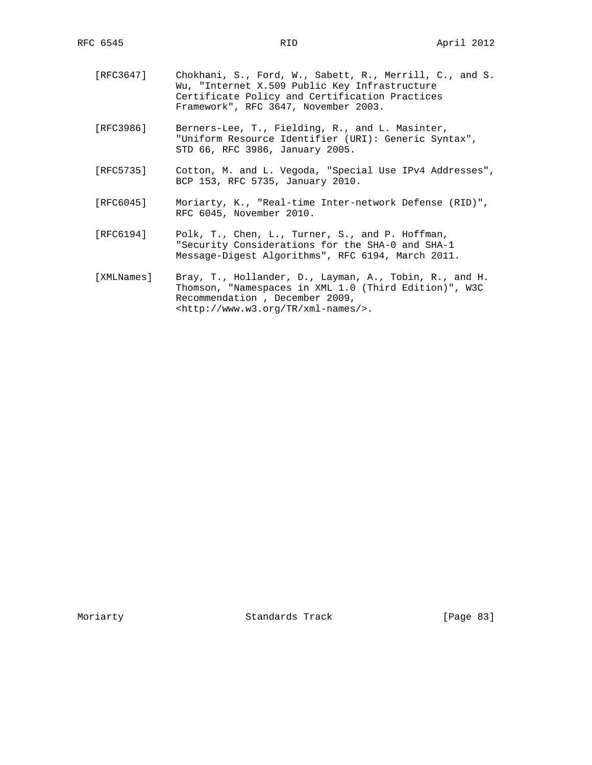- [RFC3647] Chokhani, S., Ford, W., Sabett, R., Merrill, C., and S. Wu, "Internet X.509 Public Key Infrastructure Certificate Policy and Certification Practices Framework", RFC 3647, November 2003.
- [RFC3986] Berners-Lee, T., Fielding, R., and L. Masinter, "Uniform Resource Identifier (URI): Generic Syntax", STD 66, RFC 3986, January 2005.
- [RFC5735] Cotton, M. and L. Vegoda, "Special Use IPv4 Addresses", BCP 153, RFC 5735, January 2010.
- [RFC6045] Moriarty, K., "Real-time Inter-network Defense (RID)", RFC 6045, November 2010.
- [RFC6194] Polk, T., Chen, L., Turner, S., and P. Hoffman, "Security Considerations for the SHA-0 and SHA-1 Message-Digest Algorithms", RFC 6194, March 2011.
- [XMLNames] Bray, T., Hollander, D., Layman, A., Tobin, R., and H. Thomson, "Namespaces in XML 1.0 (Third Edition)", W3C Recommendation , December 2009, <http://www.w3.org/TR/xml-names/>.

Moriarty **Standards Track** [Page 83]